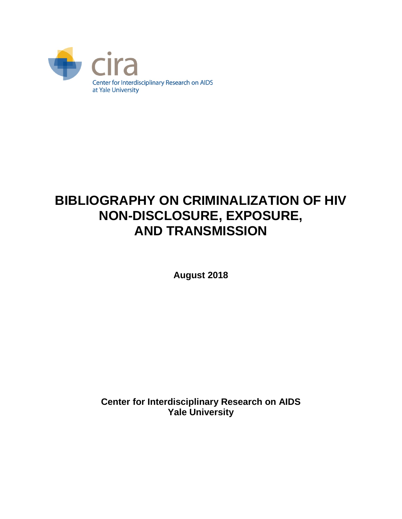

# **BIBLIOGRAPHY ON CRIMINALIZATION OF HIV NON-DISCLOSURE, EXPOSURE, AND TRANSMISSION**

**August 2018**

**Center for Interdisciplinary Research on AIDS Yale University**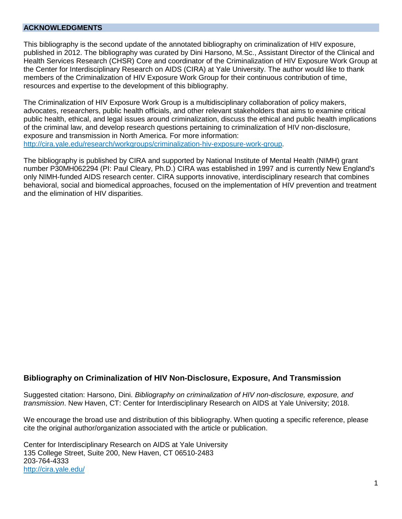#### **ACKNOWLEDGMENTS**

This bibliography is the second update of the annotated bibliography on criminalization of HIV exposure, published in 2012. The bibliography was curated by Dini Harsono, M.Sc., Assistant Director of the Clinical and Health Services Research (CHSR) Core and coordinator of the Criminalization of HIV Exposure Work Group at the Center for Interdisciplinary Research on AIDS (CIRA) at Yale University. The author would like to thank members of the Criminalization of HIV Exposure Work Group for their continuous contribution of time, resources and expertise to the development of this bibliography.

The Criminalization of HIV Exposure Work Group is a multidisciplinary collaboration of policy makers, advocates, researchers, public health officials, and other relevant stakeholders that aims to examine critical public health, ethical, and legal issues around criminalization, discuss the ethical and public health implications of the criminal law, and develop research questions pertaining to criminalization of HIV non-disclosure, exposure and transmission in North America. For more information: [http://cira.yale.edu/research/workgroups/criminalization-hiv-exposure-work-group.](http://cira.yale.edu/research/workgroups/criminalization-hiv-exposure-work-group)

The bibliography is published by CIRA and supported by National Institute of Mental Health (NIMH) grant number P30MH062294 (PI: Paul Cleary, Ph.D.) CIRA was established in 1997 and is currently New England's only NIMH-funded AIDS research center. CIRA supports innovative, interdisciplinary research that combines behavioral, social and biomedical approaches, focused on the implementation of HIV prevention and treatment and the elimination of HIV disparities.

## **Bibliography on Criminalization of HIV Non-Disclosure, Exposure, And Transmission**

Suggested citation: Harsono, Dini. *Bibliography on criminalization of HIV non-disclosure, exposure, and transmission*. New Haven, CT: Center for Interdisciplinary Research on AIDS at Yale University; 2018.

We encourage the broad use and distribution of this bibliography. When quoting a specific reference, please cite the original author/organization associated with the article or publication.

Center for Interdisciplinary Research on AIDS at Yale University 135 College Street, Suite 200, New Haven, CT 06510-2483 203-764-4333 <http://cira.yale.edu/>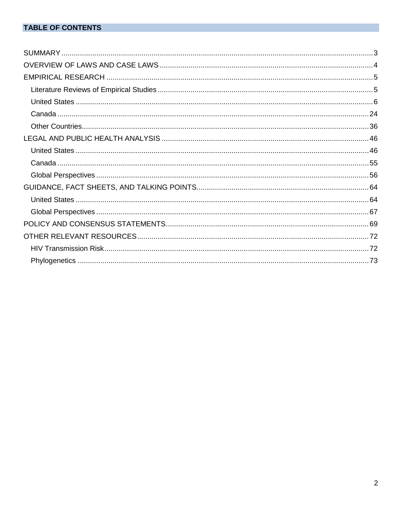# **TABLE OF CONTENTS**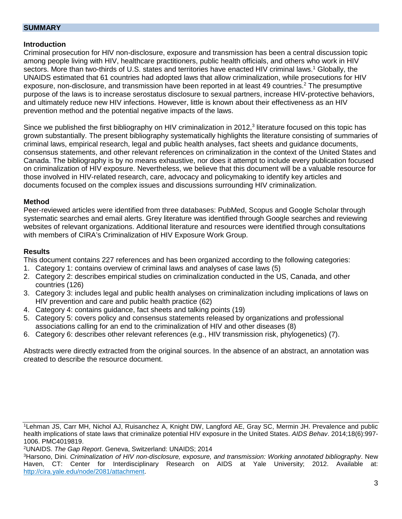#### <span id="page-3-0"></span>**SUMMARY**

## **Introduction**

Criminal prosecution for HIV non-disclosure, exposure and transmission has been a central discussion topic among people living with HIV, healthcare practitioners, public health officials, and others who work in HIV sectors. More than two-thirds of U.S. states and territories have enacted HIV criminal laws.<sup>1</sup> Globally, the UNAIDS estimated that 61 countries had adopted laws that allow criminalization, while prosecutions for HIV exposure, non-disclosure, and transmission have been reported in at least 49 countries.<sup>2</sup> The presumptive purpose of the laws is to increase serostatus disclosure to sexual partners, increase HIV-protective behaviors, and ultimately reduce new HIV infections. However, little is known about their effectiveness as an HIV prevention method and the potential negative impacts of the laws.

Since we published the first bibliography on HIV criminalization in 2012,<sup>3</sup> literature focused on this topic has grown substantially. The present bibliography systematically highlights the literature consisting of summaries of criminal laws, empirical research, legal and public health analyses, fact sheets and guidance documents, consensus statements, and other relevant references on criminalization in the context of the United States and Canada. The bibliography is by no means exhaustive, nor does it attempt to include every publication focused on criminalization of HIV exposure. Nevertheless, we believe that this document will be a valuable resource for those involved in HIV-related research, care, advocacy and policymaking to identify key articles and documents focused on the complex issues and discussions surrounding HIV criminalization.

## **Method**

Peer-reviewed articles were identified from three databases: PubMed, Scopus and Google Scholar through systematic searches and email alerts. Grey literature was identified through Google searches and reviewing websites of relevant organizations. Additional literature and resources were identified through consultations with members of CIRA's Criminalization of HIV Exposure Work Group.

## **Results**

This document contains 227 references and has been organized according to the following categories:

- 1. Category 1: contains overview of criminal laws and analyses of case laws (5)
- 2. Category 2: describes empirical studies on criminalization conducted in the US, Canada, and other countries (126)
- 3. Category 3: includes legal and public health analyses on criminalization including implications of laws on HIV prevention and care and public health practice (62)
- 4. Category 4: contains guidance, fact sheets and talking points (19)
- 5. Category 5: covers policy and consensus statements released by organizations and professional associations calling for an end to the criminalization of HIV and other diseases (8)
- 6. Category 6: describes other relevant references (e.g., HIV transmission risk, phylogenetics) (7).

Abstracts were directly extracted from the original sources. In the absence of an abstract, an annotation was created to describe the resource document.

<sup>1</sup>Lehman JS, Carr MH, Nichol AJ, Ruisanchez A, Knight DW, Langford AE, Gray SC, Mermin JH. Prevalence and public health implications of state laws that criminalize potential HIV exposure in the United States. *AIDS Behav*. 2014;18(6):997- 1006. PMC4019819.

<sup>2</sup>UNAIDS. *The Gap Report*. Geneva, Switzerland: UNAIDS; 2014

<sup>3</sup>Harsono, Dini. *Criminalization of HIV non-disclosure, exposure, and transmission: Working annotated bibliography*. New Haven, CT: Center for Interdisciplinary Research on AIDS at Yale University; 2012. Available at: [http://cira.yale.edu/node/2081/attachment.](http://cira.yale.edu/node/2081/attachment)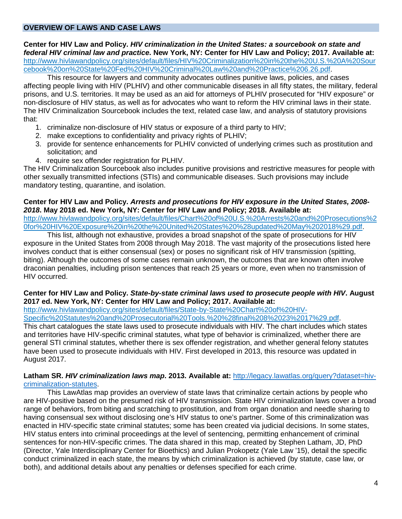<span id="page-4-0"></span>**Center for HIV Law and Policy.** *HIV criminalization in the United States: a sourcebook on state and federal HIV criminal law and practice***. New York, NY: Center for HIV Law and Policy; 2017. Available at:** [http://www.hivlawandpolicy.org/sites/default/files/HIV%20Criminalization%20in%20the%20U.S.%20A%20Sour](http://www.hivlawandpolicy.org/sites/default/files/HIV%20Criminalization%20in%20the%20U.S.%20A%20Sourcebook%20on%20State%20Fed%20HIV%20Criminal%20Law%20and%20Practice%206.26.pdf) [cebook%20on%20State%20Fed%20HIV%20Criminal%20Law%20and%20Practice%206.26.pdf.](http://www.hivlawandpolicy.org/sites/default/files/HIV%20Criminalization%20in%20the%20U.S.%20A%20Sourcebook%20on%20State%20Fed%20HIV%20Criminal%20Law%20and%20Practice%206.26.pdf)

This resource for lawyers and community advocates outlines punitive laws, policies, and cases affecting people living with HIV (PLHIV) and other communicable diseases in all fifty states, the military, federal prisons, and U.S. territories. It may be used as an aid for attorneys of PLHIV prosecuted for "HIV exposure" or non-disclosure of HIV status, as well as for advocates who want to reform the HIV criminal laws in their state. The HIV Criminalization Sourcebook includes the text, related case law, and analysis of statutory provisions that:

- 1. criminalize non-disclosure of HIV status or exposure of a third party to HIV;
- 2. make exceptions to confidentiality and privacy rights of PLHIV;
- 3. provide for sentence enhancements for PLHIV convicted of underlying crimes such as prostitution and solicitation; and
- 4. require sex offender registration for PLHIV.

The HIV Criminalization Sourcebook also includes punitive provisions and restrictive measures for people with other sexually transmitted infections (STIs) and communicable diseases. Such provisions may include mandatory testing, quarantine, and isolation.

## **Center for HIV Law and Policy.** *Arrests and prosecutions for HIV exposure in the United States, 2008- 2018***. May 2018 ed. New York, NY: Center for HIV Law and Policy; 2018. Available at:**

[http://www.hivlawandpolicy.org/sites/default/files/Chart%20of%20U.S.%20Arrests%20and%20Prosecutions%2](http://www.hivlawandpolicy.org/sites/default/files/Chart%20of%20U.S.%20Arrests%20and%20Prosecutions%20for%20HIV%20Exposure%20in%20the%20United%20States%20%28updated%20May%202018%29.pdf) [0for%20HIV%20Exposure%20in%20the%20United%20States%20%28updated%20May%202018%29.pdf.](http://www.hivlawandpolicy.org/sites/default/files/Chart%20of%20U.S.%20Arrests%20and%20Prosecutions%20for%20HIV%20Exposure%20in%20the%20United%20States%20%28updated%20May%202018%29.pdf)

This list, although not exhaustive, provides a broad snapshot of the spate of prosecutions for HIV exposure in the United States from 2008 through May 2018. The vast majority of the prosecutions listed here involves conduct that is either consensual (sex) or poses no significant risk of HIV transmission (spitting, biting). Although the outcomes of some cases remain unknown, the outcomes that are known often involve draconian penalties, including prison sentences that reach 25 years or more, even when no transmission of HIV occurred.

## **Center for HIV Law and Policy.** *State-by-state criminal laws used to prosecute people with HIV***. August 2017 ed. New York, NY: Center for HIV Law and Policy; 2017. Available at:**

[http://www.hivlawandpolicy.org/sites/default/files/State-by-State%20Chart%20of%20HIV-](http://www.hivlawandpolicy.org/sites/default/files/State-by-State%20Chart%20of%20HIV-Specific%20Statutes%20and%20Prosecutorial%20Tools.%20%28final%208%2023%2017%29.pdf)

[Specific%20Statutes%20and%20Prosecutorial%20Tools.%20%28final%208%2023%2017%29.pdf.](http://www.hivlawandpolicy.org/sites/default/files/State-by-State%20Chart%20of%20HIV-Specific%20Statutes%20and%20Prosecutorial%20Tools.%20%28final%208%2023%2017%29.pdf)

This chart catalogues the state laws used to prosecute individuals with HIV. The chart includes which states and territories have HIV-specific criminal statutes, what type of behavior is criminalized, whether there are general STI criminal statutes, whether there is sex offender registration, and whether general felony statutes have been used to prosecute individuals with HIV. First developed in 2013, this resource was updated in August 2017.

## **Latham SR.** *HIV criminalization laws map***. 2013. Available at:** [http://legacy.lawatlas.org/query?dataset=hiv](http://legacy.lawatlas.org/query?dataset=hiv-criminalization-statutes)[criminalization-statutes.](http://legacy.lawatlas.org/query?dataset=hiv-criminalization-statutes)

This LawAtlas map provides an overview of state laws that criminalize certain actions by people who are HIV-positive based on the presumed risk of HIV transmission. State HIV criminalization laws cover a broad range of behaviors, from biting and scratching to prostitution, and from organ donation and needle sharing to having consensual sex without disclosing one's HIV status to one's partner. Some of this criminalization was enacted in HIV-specific state criminal statutes; some has been created via judicial decisions. In some states, HIV status enters into criminal proceedings at the level of sentencing, permitting enhancement of criminal sentences for non-HIV-specific crimes. The data shared in this map, created by Stephen Latham, JD, PhD (Director, Yale Interdisciplinary Center for Bioethics) and Julian Prokopetz (Yale Law '15), detail the specific conduct criminalized in each state, the means by which criminalization is achieved (by statute, case law, or both), and additional details about any penalties or defenses specified for each crime.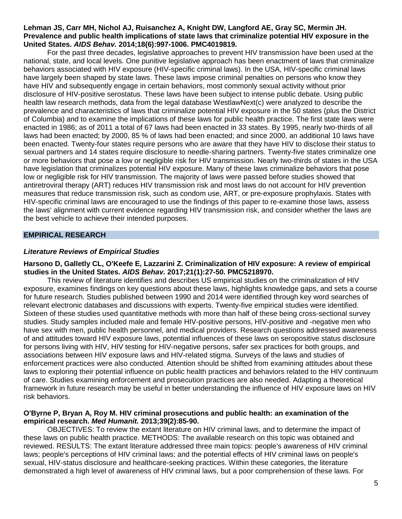## **Lehman JS, Carr MH, Nichol AJ, Ruisanchez A, Knight DW, Langford AE, Gray SC, Mermin JH. Prevalence and public health implications of state laws that criminalize potential HIV exposure in the United States.** *AIDS Behav.* **2014;18(6):997-1006. PMC4019819.**

For the past three decades, legislative approaches to prevent HIV transmission have been used at the national, state, and local levels. One punitive legislative approach has been enactment of laws that criminalize behaviors associated with HIV exposure (HIV-specific criminal laws). In the USA, HIV-specific criminal laws have largely been shaped by state laws. These laws impose criminal penalties on persons who know they have HIV and subsequently engage in certain behaviors, most commonly sexual activity without prior disclosure of HIV-positive serostatus. These laws have been subject to intense public debate. Using public health law research methods, data from the legal database WestlawNext(c) were analyzed to describe the prevalence and characteristics of laws that criminalize potential HIV exposure in the 50 states (plus the District of Columbia) and to examine the implications of these laws for public health practice. The first state laws were enacted in 1986; as of 2011 a total of 67 laws had been enacted in 33 states. By 1995, nearly two-thirds of all laws had been enacted; by 2000, 85 % of laws had been enacted; and since 2000, an additional 10 laws have been enacted. Twenty-four states require persons who are aware that they have HIV to disclose their status to sexual partners and 14 states require disclosure to needle-sharing partners. Twenty-five states criminalize one or more behaviors that pose a low or negligible risk for HIV transmission. Nearly two-thirds of states in the USA have legislation that criminalizes potential HIV exposure. Many of these laws criminalize behaviors that pose low or negligible risk for HIV transmission. The majority of laws were passed before studies showed that antiretroviral therapy (ART) reduces HIV transmission risk and most laws do not account for HIV prevention measures that reduce transmission risk, such as condom use, ART, or pre-exposure prophylaxis. States with HIV-specific criminal laws are encouraged to use the findings of this paper to re-examine those laws, assess the laws' alignment with current evidence regarding HIV transmission risk, and consider whether the laws are the best vehicle to achieve their intended purposes.

## <span id="page-5-0"></span>**EMPIRICAL RESEARCH**

## <span id="page-5-1"></span>*Literature Reviews of Empirical Studies*

## **Harsono D, Galletly CL, O'Keefe E, Lazzarini Z. Criminalization of HIV exposure: A review of empirical studies in the United States.** *AIDS Behav.* **2017;21(1):27-50. PMC5218970.**

This review of literature identifies and describes US empirical studies on the criminalization of HIV exposure, examines findings on key questions about these laws, highlights knowledge gaps, and sets a course for future research. Studies published between 1990 and 2014 were identified through key word searches of relevant electronic databases and discussions with experts. Twenty-five empirical studies were identified. Sixteen of these studies used quantitative methods with more than half of these being cross-sectional survey studies. Study samples included male and female HIV-positive persons, HIV-positive and -negative men who have sex with men, public health personnel, and medical providers. Research questions addressed awareness of and attitudes toward HIV exposure laws, potential influences of these laws on seropositive status disclosure for persons living with HIV, HIV testing for HIV-negative persons, safer sex practices for both groups, and associations between HIV exposure laws and HIV-related stigma. Surveys of the laws and studies of enforcement practices were also conducted. Attention should be shifted from examining attitudes about these laws to exploring their potential influence on public health practices and behaviors related to the HIV continuum of care. Studies examining enforcement and prosecution practices are also needed. Adapting a theoretical framework in future research may be useful in better understanding the influence of HIV exposure laws on HIV risk behaviors.

#### **O'Byrne P, Bryan A, Roy M. HIV criminal prosecutions and public health: an examination of the empirical research.** *Med Humanit.* **2013;39(2):85-90.**

OBJECTIVES: To review the extant literature on HIV criminal laws, and to determine the impact of these laws on public health practice. METHODS: The available research on this topic was obtained and reviewed. RESULTS: The extant literature addressed three main topics: people's awareness of HIV criminal laws; people's perceptions of HIV criminal laws; and the potential effects of HIV criminal laws on people's sexual, HIV-status disclosure and healthcare-seeking practices. Within these categories, the literature demonstrated a high level of awareness of HIV criminal laws, but a poor comprehension of these laws. For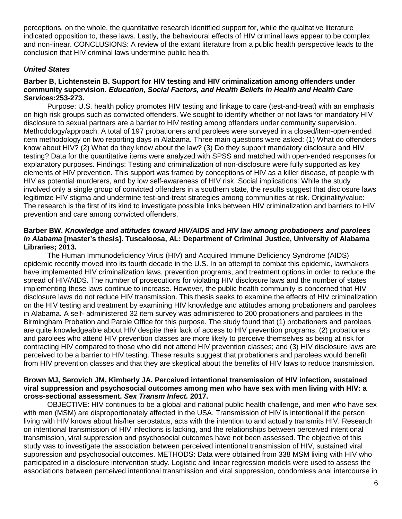perceptions, on the whole, the quantitative research identified support for, while the qualitative literature indicated opposition to, these laws. Lastly, the behavioural effects of HIV criminal laws appear to be complex and non-linear. CONCLUSIONS: A review of the extant literature from a public health perspective leads to the conclusion that HIV criminal laws undermine public health.

## <span id="page-6-0"></span>*United States*

## **Barber B, Lichtenstein B. Support for HIV testing and HIV criminalization among offenders under community supervision.** *Education, Social Factors, and Health Beliefs in Health and Health Care Services***:253-273.**

Purpose: U.S. health policy promotes HIV testing and linkage to care (test-and-treat) with an emphasis on high risk groups such as convicted offenders. We sought to identify whether or not laws for mandatory HIV disclosure to sexual partners are a barrier to HIV testing among offenders under community supervision. Methodology/approach: A total of 197 probationers and parolees were surveyed in a closed/item-open-ended item methodology on two reporting days in Alabama. Three main questions were asked: (1) What do offenders know about HIV? (2) What do they know about the law? (3) Do they support mandatory disclosure and HIV testing? Data for the quantitative items were analyzed with SPSS and matched with open-ended responses for explanatory purposes. Findings: Testing and criminalization of non-disclosure were fully supported as key elements of HIV prevention. This support was framed by conceptions of HIV as a killer disease, of people with HIV as potential murderers, and by low self-awareness of HIV risk. Social implications: While the study involved only a single group of convicted offenders in a southern state, the results suggest that disclosure laws legitimize HIV stigma and undermine test-and-treat strategies among communities at risk. Originality/value: The research is the first of its kind to investigate possible links between HIV criminalization and barriers to HIV prevention and care among convicted offenders.

### **Barber BW.** *Knowledge and attitudes toward HIV/AIDS and HIV law among probationers and parolees in Alabama* **[master's thesis]. Tuscaloosa, AL: Department of Criminal Justice, University of Alabama Libraries; 2013.**

The Human Immunodeficiency Virus (HIV) and Acquired Immune Deficiency Syndrome (AIDS) epidemic recently moved into its fourth decade in the U.S. In an attempt to combat this epidemic, lawmakers have implemented HIV criminalization laws, prevention programs, and treatment options in order to reduce the spread of HIV/AIDS. The number of prosecutions for violating HIV disclosure laws and the number of states implementing these laws continue to increase. However, the public health community is concerned that HIV disclosure laws do not reduce HIV transmission. This thesis seeks to examine the effects of HIV criminalization on the HIV testing and treatment by examining HIV knowledge and attitudes among probationers and parolees in Alabama. A self- administered 32 item survey was administered to 200 probationers and parolees in the Birmingham Probation and Parole Office for this purpose. The study found that (1) probationers and parolees are quite knowledgeable about HIV despite their lack of access to HIV prevention programs; (2) probationers and parolees who attend HIV prevention classes are more likely to perceive themselves as being at risk for contracting HIV compared to those who did not attend HIV prevention classes; and (3) HIV disclosure laws are perceived to be a barrier to HIV testing. These results suggest that probationers and parolees would benefit from HIV prevention classes and that they are skeptical about the benefits of HIV laws to reduce transmission.

### **Brown MJ, Serovich JM, Kimberly JA. Perceived intentional transmission of HIV infection, sustained viral suppression and psychosocial outcomes among men who have sex with men living with HIV: a cross-sectional assessment.** *Sex Transm Infect.* **2017.**

OBJECTIVE: HIV continues to be a global and national public health challenge, and men who have sex with men (MSM) are disproportionately affected in the USA. Transmission of HIV is intentional if the person living with HIV knows about his/her serostatus, acts with the intention to and actually transmits HIV. Research on intentional transmission of HIV infections is lacking, and the relationships between perceived intentional transmission, viral suppression and psychosocial outcomes have not been assessed. The objective of this study was to investigate the association between perceived intentional transmission of HIV, sustained viral suppression and psychosocial outcomes. METHODS: Data were obtained from 338 MSM living with HIV who participated in a disclosure intervention study. Logistic and linear regression models were used to assess the associations between perceived intentional transmission and viral suppression, condomless anal intercourse in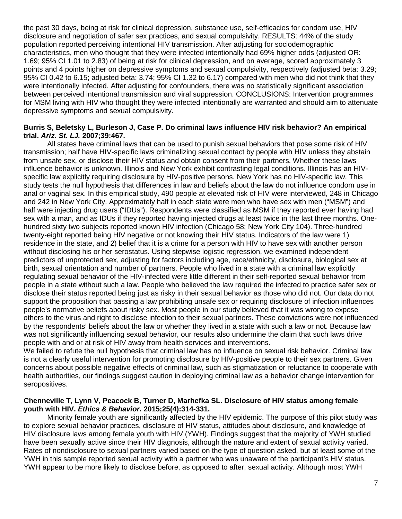the past 30 days, being at risk for clinical depression, substance use, self-efficacies for condom use, HIV disclosure and negotiation of safer sex practices, and sexual compulsivity. RESULTS: 44% of the study population reported perceiving intentional HIV transmission. After adjusting for sociodemographic characteristics, men who thought that they were infected intentionally had 69% higher odds (adjusted OR: 1.69; 95% CI 1.01 to 2.83) of being at risk for clinical depression, and on average, scored approximately 3 points and 4 points higher on depressive symptoms and sexual compulsivity, respectively (adjusted beta: 3.29; 95% CI 0.42 to 6.15; adjusted beta: 3.74; 95% CI 1.32 to 6.17) compared with men who did not think that they were intentionally infected. After adjusting for confounders, there was no statistically significant association between perceived intentional transmission and viral suppression. CONCLUSIONS: Intervention programmes for MSM living with HIV who thought they were infected intentionally are warranted and should aim to attenuate depressive symptoms and sexual compulsivity.

## **Burris S, Beletsky L, Burleson J, Case P. Do criminal laws influence HIV risk behavior? An empirical trial.** *Ariz. St. LJ.* **2007;39:467.**

All states have criminal laws that can be used to punish sexual behaviors that pose some risk of HIV transmission; half have HIV-specific laws criminalizing sexual contact by people with HIV unless they abstain from unsafe sex, or disclose their HIV status and obtain consent from their partners. Whether these laws influence behavior is unknown. Illinois and New York exhibit contrasting legal conditions. Illinois has an HIVspecific law explicitly requiring disclosure by HIV-positive persons. New York has no HIV-specific law. This study tests the null hypothesis that differences in law and beliefs about the law do not influence condom use in anal or vaginal sex. In this empirical study, 490 people at elevated risk of HIV were interviewed, 248 in Chicago and 242 in New York City. Approximately half in each state were men who have sex with men ("MSM") and half were injecting drug users ("IDUs"). Respondents were classified as MSM if they reported ever having had sex with a man, and as IDUs if they reported having injected drugs at least twice in the last three months. Onehundred sixty two subjects reported known HIV infection (Chicago 58; New York City 104). Three-hundred twenty-eight reported being HIV negative or not knowing their HIV status. Indicators of the law were 1) residence in the state, and 2) belief that it is a crime for a person with HIV to have sex with another person without disclosing his or her serostatus. Using stepwise logistic regression, we examined independent predictors of unprotected sex, adjusting for factors including age, race/ethnicity, disclosure, biological sex at birth, sexual orientation and number of partners. People who lived in a state with a criminal law explicitly regulating sexual behavior of the HIV-infected were little different in their self-reported sexual behavior from people in a state without such a law. People who believed the law required the infected to practice safer sex or disclose their status reported being just as risky in their sexual behavior as those who did not. Our data do not support the proposition that passing a law prohibiting unsafe sex or requiring disclosure of infection influences people's normative beliefs about risky sex. Most people in our study believed that it was wrong to expose others to the virus and right to disclose infection to their sexual partners. These convictions were not influenced by the respondents' beliefs about the law or whether they lived in a state with such a law or not. Because law was not significantly influencing sexual behavior, our results also undermine the claim that such laws drive people with and or at risk of HIV away from health services and interventions.

We failed to refute the null hypothesis that criminal law has no influence on sexual risk behavior. Criminal law is not a clearly useful intervention for promoting disclosure by HIV-positive people to their sex partners. Given concerns about possible negative effects of criminal law, such as stigmatization or reluctance to cooperate with health authorities, our findings suggest caution in deploying criminal law as a behavior change intervention for seropositives.

## **Chenneville T, Lynn V, Peacock B, Turner D, Marhefka SL. Disclosure of HIV status among female youth with HIV.** *Ethics & Behavior.* **2015;25(4):314-331.**

Minority female youth are significantly affected by the HIV epidemic. The purpose of this pilot study was to explore sexual behavior practices, disclosure of HIV status, attitudes about disclosure, and knowledge of HIV disclosure laws among female youth with HIV (YWH). Findings suggest that the majority of YWH studied have been sexually active since their HIV diagnosis, although the nature and extent of sexual activity varied. Rates of nondisclosure to sexual partners varied based on the type of question asked, but at least some of the YWH in this sample reported sexual activity with a partner who was unaware of the participant's HIV status. YWH appear to be more likely to disclose before, as opposed to after, sexual activity. Although most YWH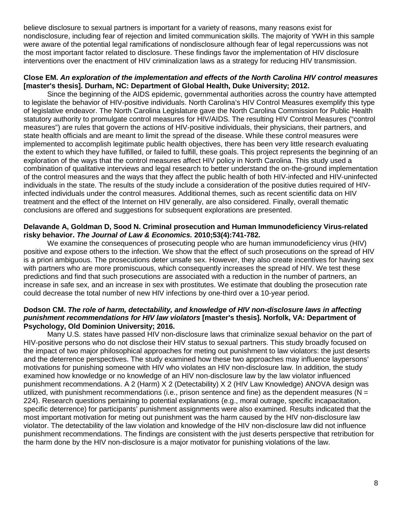believe disclosure to sexual partners is important for a variety of reasons, many reasons exist for nondisclosure, including fear of rejection and limited communication skills. The majority of YWH in this sample were aware of the potential legal ramifications of nondisclosure although fear of legal repercussions was not the most important factor related to disclosure. These findings favor the implementation of HIV disclosure interventions over the enactment of HIV criminalization laws as a strategy for reducing HIV transmission.

## **Close EM.** *An exploration of the implementation and effects of the North Carolina HIV control measures* **[master's thesis]. Durham, NC: Department of Global Health, Duke University; 2012.**

Since the beginning of the AIDS epidemic, governmental authorities across the country have attempted to legislate the behavior of HIV-positive individuals. North Carolina's HIV Control Measures exemplify this type of legislative endeavor. The North Carolina Legislature gave the North Carolina Commission for Public Health statutory authority to promulgate control measures for HIV/AIDS. The resulting HIV Control Measures ("control measures") are rules that govern the actions of HIV-positive individuals, their physicians, their partners, and state health officials and are meant to limit the spread of the disease. While these control measures were implemented to accomplish legitimate public health objectives, there has been very little research evaluating the extent to which they have fulfilled, or failed to fulfill, these goals. This project represents the beginning of an exploration of the ways that the control measures affect HIV policy in North Carolina. This study used a combination of qualitative interviews and legal research to better understand the on-the-ground implementation of the control measures and the ways that they affect the public health of both HIV-infected and HIV-uninfected individuals in the state. The results of the study include a consideration of the positive duties required of HIVinfected individuals under the control measures. Additional themes, such as recent scientific data on HIV treatment and the effect of the Internet on HIV generally, are also considered. Finally, overall thematic conclusions are offered and suggestions for subsequent explorations are presented.

## **Delavande A, Goldman D, Sood N. Criminal prosecution and Human Immunodeficiency Virus-related risky behavior.** *The Journal of Law & Economics.* **2010;53(4):741-782.**

We examine the consequences of prosecuting people who are human immunodeficiency virus (HIV) positive and expose others to the infection. We show that the effect of such prosecutions on the spread of HIV is a priori ambiguous. The prosecutions deter unsafe sex. However, they also create incentives for having sex with partners who are more promiscuous, which consequently increases the spread of HIV. We test these predictions and find that such prosecutions are associated with a reduction in the number of partners, an increase in safe sex, and an increase in sex with prostitutes. We estimate that doubling the prosecution rate could decrease the total number of new HIV infections by one-third over a 10-year period.

## **Dodson CM.** *The role of harm, detectability, and knowledge of HIV non-disclosure laws in affecting punishment recommendations for HIV law violators* **[master's thesis]. Norfolk, VA: Department of Psychology, Old Dominion University; 2016.**

Many U.S. states have passed HIV non-disclosure laws that criminalize sexual behavior on the part of HIV-positive persons who do not disclose their HIV status to sexual partners. This study broadly focused on the impact of two major philosophical approaches for meting out punishment to law violators: the just deserts and the deterrence perspectives. The study examined how these two approaches may influence laypersons' motivations for punishing someone with HIV who violates an HIV non-disclosure law. In addition, the study examined how knowledge or no knowledge of an HIV non-disclosure law by the law violator influenced punishment recommendations. A 2 (Harm) X 2 (Detectability) X 2 (HIV Law Knowledge) ANOVA design was utilized, with punishment recommendations (i.e., prison sentence and fine) as the dependent measures ( $N =$ 224). Research questions pertaining to potential explanations (e.g., moral outrage, specific incapacitation, specific deterrence) for participants' punishment assignments were also examined. Results indicated that the most important motivation for meting out punishment was the harm caused by the HIV non-disclosure law violator. The detectability of the law violation and knowledge of the HIV non-disclosure law did not influence punishment recommendations. The findings are consistent with the just deserts perspective that retribution for the harm done by the HIV non-disclosure is a major motivator for punishing violations of the law.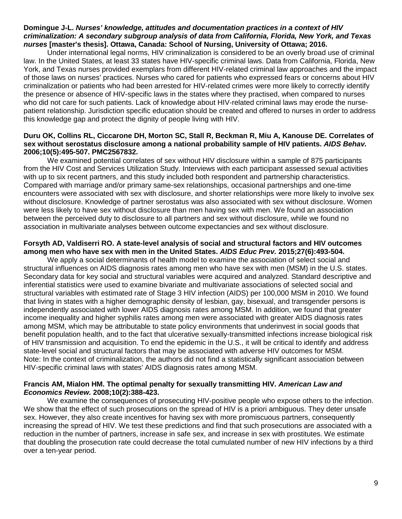## **Domingue J-L.** *Nurses' knowledge, attitudes and documentation practices in a context of HIV criminalization: A secondary subgroup analysis of data from California, Florida, New York, and Texas nurses* **[master's thesis]. Ottawa, Canada: School of Nursing, University of Ottawa; 2016.**

Under international legal norms, HIV criminalization is considered to be an overly broad use of criminal law. In the United States, at least 33 states have HIV-specific criminal laws. Data from California, Florida, New York, and Texas nurses provided exemplars from different HIV-related criminal law approaches and the impact of those laws on nurses' practices. Nurses who cared for patients who expressed fears or concerns about HIV criminalization or patients who had been arrested for HIV-related crimes were more likely to correctly identify the presence or absence of HIV-specific laws in the states where they practised, when compared to nurses who did not care for such patients. Lack of knowledge about HIV-related criminal laws may erode the nursepatient relationship. Jurisdiction specific education should be created and offered to nurses in order to address this knowledge gap and protect the dignity of people living with HIV.

## **Duru OK, Collins RL, Ciccarone DH, Morton SC, Stall R, Beckman R, Miu A, Kanouse DE. Correlates of sex without serostatus disclosure among a national probability sample of HIV patients.** *AIDS Behav.*  **2006;10(5):495-507. PMC2567832.**

We examined potential correlates of sex without HIV disclosure within a sample of 875 participants from the HIV Cost and Services Utilization Study. Interviews with each participant assessed sexual activities with up to six recent partners, and this study included both respondent and partnership characteristics. Compared with marriage and/or primary same-sex relationships, occasional partnerships and one-time encounters were associated with sex with disclosure, and shorter relationships were more likely to involve sex without disclosure. Knowledge of partner serostatus was also associated with sex without disclosure. Women were less likely to have sex without disclosure than men having sex with men. We found an association between the perceived duty to disclosure to all partners and sex without disclosure, while we found no association in multivariate analyses between outcome expectancies and sex without disclosure.

## **Forsyth AD, Valdiserri RO. A state-level analysis of social and structural factors and HIV outcomes among men who have sex with men in the United States.** *AIDS Educ Prev.* **2015;27(6):493-504.**

We apply a social determinants of health model to examine the association of select social and structural influences on AIDS diagnosis rates among men who have sex with men (MSM) in the U.S. states. Secondary data for key social and structural variables were acquired and analyzed. Standard descriptive and inferential statistics were used to examine bivariate and multivariate associations of selected social and structural variables with estimated rate of Stage 3 HIV infection (AIDS) per 100,000 MSM in 2010. We found that living in states with a higher demographic density of lesbian, gay, bisexual, and transgender persons is independently associated with lower AIDS diagnosis rates among MSM. In addition, we found that greater income inequality and higher syphilis rates among men were associated with greater AIDS diagnosis rates among MSM, which may be attributable to state policy environments that underinvest in social goods that benefit population health, and to the fact that ulcerative sexually-transmitted infections increase biological risk of HIV transmission and acquisition. To end the epidemic in the U.S., it will be critical to identify and address state-level social and structural factors that may be associated with adverse HIV outcomes for MSM. Note: In the context of criminalization, the authors did not find a statistically significant association between HIV-specific criminal laws with states' AIDS diagnosis rates among MSM.

## **Francis AM, Mialon HM. The optimal penalty for sexually transmitting HIV.** *American Law and Economics Review.* **2008;10(2):388-423.**

We examine the consequences of prosecuting HIV-positive people who expose others to the infection. We show that the effect of such prosecutions on the spread of HIV is a priori ambiguous. They deter unsafe sex. However, they also create incentives for having sex with more promiscuous partners, consequently increasing the spread of HIV. We test these predictions and find that such prosecutions are associated with a reduction in the number of partners, increase in safe sex, and increase in sex with prostitutes. We estimate that doubling the prosecution rate could decrease the total cumulated number of new HIV infections by a third over a ten-year period.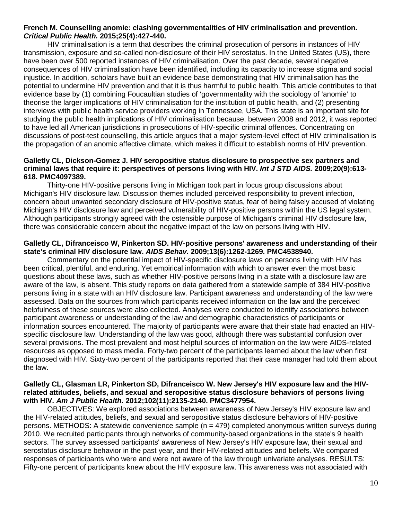## **French M. Counselling anomie: clashing governmentalities of HIV criminalisation and prevention.**  *Critical Public Health.* **2015;25(4):427-440.**

HIV criminalisation is a term that describes the criminal prosecution of persons in instances of HIV transmission, exposure and so-called non-disclosure of their HIV serostatus. In the United States (US), there have been over 500 reported instances of HIV criminalisation. Over the past decade, several negative consequences of HIV criminalisation have been identified, including its capacity to increase stigma and social injustice. In addition, scholars have built an evidence base demonstrating that HIV criminalisation has the potential to undermine HIV prevention and that it is thus harmful to public health. This article contributes to that evidence base by (1) combining Foucaultian studies of 'governmentality with the sociology of 'anomie' to theorise the larger implications of HIV criminalisation for the institution of public health, and (2) presenting interviews with public health service providers working in Tennessee, USA. This state is an important site for studying the public health implications of HIV criminalisation because, between 2008 and 2012, it was reported to have led all American jurisdictions in prosecutions of HIV-specific criminal offences. Concentrating on discussions of post-test counselling, this article argues that a major system-level effect of HIV criminalisation is the propagation of an anomic affective climate, which makes it difficult to establish norms of HIV prevention.

#### **Galletly CL, Dickson-Gomez J. HIV seropositive status disclosure to prospective sex partners and criminal laws that require it: perspectives of persons living with HIV.** *Int J STD AIDS.* **2009;20(9):613- 618. PMC4097389.**

Thirty-one HIV-positive persons living in Michigan took part in focus group discussions about Michigan's HIV disclosure law. Discussion themes included perceived responsibility to prevent infection, concern about unwanted secondary disclosure of HIV-positive status, fear of being falsely accused of violating Michigan's HIV disclosure law and perceived vulnerability of HIV-positive persons within the US legal system. Although participants strongly agreed with the ostensible purpose of Michigan's criminal HIV disclosure law, there was considerable concern about the negative impact of the law on persons living with HIV.

## **Galletly CL, Difranceisco W, Pinkerton SD. HIV-positive persons' awareness and understanding of their state's criminal HIV disclosure law.** *AIDS Behav.* **2009;13(6):1262-1269. PMC4538940.**

Commentary on the potential impact of HIV-specific disclosure laws on persons living with HIV has been critical, plentiful, and enduring. Yet empirical information with which to answer even the most basic questions about these laws, such as whether HIV-positive persons living in a state with a disclosure law are aware of the law, is absent. This study reports on data gathered from a statewide sample of 384 HIV-positive persons living in a state with an HIV disclosure law. Participant awareness and understanding of the law were assessed. Data on the sources from which participants received information on the law and the perceived helpfulness of these sources were also collected. Analyses were conducted to identify associations between participant awareness or understanding of the law and demographic characteristics of participants or information sources encountered. The majority of participants were aware that their state had enacted an HIVspecific disclosure law. Understanding of the law was good, although there was substantial confusion over several provisions. The most prevalent and most helpful sources of information on the law were AIDS-related resources as opposed to mass media. Forty-two percent of the participants learned about the law when first diagnosed with HIV. Sixty-two percent of the participants reported that their case manager had told them about the law.

#### **Galletly CL, Glasman LR, Pinkerton SD, Difranceisco W. New Jersey's HIV exposure law and the HIVrelated attitudes, beliefs, and sexual and seropositive status disclosure behaviors of persons living with HIV.** *Am J Public Health.* **2012;102(11):2135-2140. PMC3477954.**

OBJECTIVES: We explored associations between awareness of New Jersey's HIV exposure law and the HIV-related attitudes, beliefs, and sexual and seropositive status disclosure behaviors of HIV-positive persons. METHODS: A statewide convenience sample (n = 479) completed anonymous written surveys during 2010. We recruited participants through networks of community-based organizations in the state's 9 health sectors. The survey assessed participants' awareness of New Jersey's HIV exposure law, their sexual and serostatus disclosure behavior in the past year, and their HIV-related attitudes and beliefs. We compared responses of participants who were and were not aware of the law through univariate analyses. RESULTS: Fifty-one percent of participants knew about the HIV exposure law. This awareness was not associated with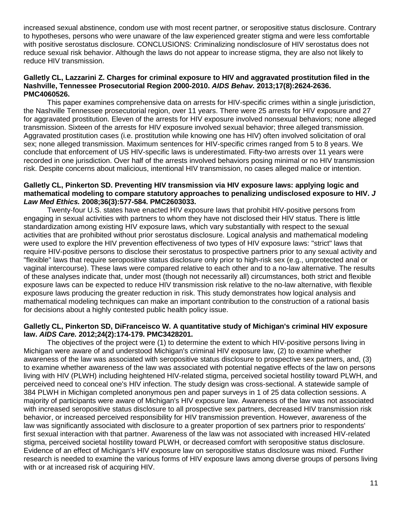increased sexual abstinence, condom use with most recent partner, or seropositive status disclosure. Contrary to hypotheses, persons who were unaware of the law experienced greater stigma and were less comfortable with positive serostatus disclosure. CONCLUSIONS: Criminalizing nondisclosure of HIV serostatus does not reduce sexual risk behavior. Although the laws do not appear to increase stigma, they are also not likely to reduce HIV transmission.

### **Galletly CL, Lazzarini Z. Charges for criminal exposure to HIV and aggravated prostitution filed in the Nashville, Tennessee Prosecutorial Region 2000-2010.** *AIDS Behav.* **2013;17(8):2624-2636. PMC4060526.**

This paper examines comprehensive data on arrests for HIV-specific crimes within a single jurisdiction, the Nashville Tennessee prosecutorial region, over 11 years. There were 25 arrests for HIV exposure and 27 for aggravated prostitution. Eleven of the arrests for HIV exposure involved nonsexual behaviors; none alleged transmission. Sixteen of the arrests for HIV exposure involved sexual behavior; three alleged transmission. Aggravated prostitution cases (i.e. prostitution while knowing one has HIV) often involved solicitation of oral sex; none alleged transmission. Maximum sentences for HIV-specific crimes ranged from 5 to 8 years. We conclude that enforcement of US HIV-specific laws is underestimated. Fifty-two arrests over 11 years were recorded in one jurisdiction. Over half of the arrests involved behaviors posing minimal or no HIV transmission risk. Despite concerns about malicious, intentional HIV transmission, no cases alleged malice or intention.

## **Galletly CL, Pinkerton SD. Preventing HIV transmission via HIV exposure laws: applying logic and mathematical modeling to compare statutory approaches to penalizing undisclosed exposure to HIV.** *J Law Med Ethics.* **2008;36(3):577-584. PMC2603033.**

Twenty-four U.S. states have enacted HIV exposure laws that prohibit HIV-positive persons from engaging in sexual activities with partners to whom they have not disclosed their HIV status. There is little standardization among existing HIV exposure laws, which vary substantially with respect to the sexual activities that are prohibited without prior serostatus disclosure. Logical analysis and mathematical modeling were used to explore the HIV prevention effectiveness of two types of HIV exposure laws: "strict" laws that require HIV-positive persons to disclose their serostatus to prospective partners prior to any sexual activity and "flexible" laws that require seropositive status disclosure only prior to high-risk sex (e.g., unprotected anal or vaginal intercourse). These laws were compared relative to each other and to a no-law alternative. The results of these analyses indicate that, under most (though not necessarily all) circumstances, both strict and flexible exposure laws can be expected to reduce HIV transmission risk relative to the no-law alternative, with flexible exposure laws producing the greater reduction in risk. This study demonstrates how logical analysis and mathematical modeling techniques can make an important contribution to the construction of a rational basis for decisions about a highly contested public health policy issue.

## **Galletly CL, Pinkerton SD, DiFranceisco W. A quantitative study of Michigan's criminal HIV exposure law.** *AIDS Care.* **2012;24(2):174-179. PMC3428201.**

The objectives of the project were (1) to determine the extent to which HIV-positive persons living in Michigan were aware of and understood Michigan's criminal HIV exposure law, (2) to examine whether awareness of the law was associated with seropositive status disclosure to prospective sex partners, and, (3) to examine whether awareness of the law was associated with potential negative effects of the law on persons living with HIV (PLWH) including heightened HIV-related stigma, perceived societal hostility toward PLWH, and perceived need to conceal one's HIV infection. The study design was cross-sectional. A statewide sample of 384 PLWH in Michigan completed anonymous pen and paper surveys in 1 of 25 data collection sessions. A majority of participants were aware of Michigan's HIV exposure law. Awareness of the law was not associated with increased seropositive status disclosure to all prospective sex partners, decreased HIV transmission risk behavior, or increased perceived responsibility for HIV transmission prevention. However, awareness of the law was significantly associated with disclosure to a greater proportion of sex partners prior to respondents' first sexual interaction with that partner. Awareness of the law was not associated with increased HIV-related stigma, perceived societal hostility toward PLWH, or decreased comfort with seropositive status disclosure. Evidence of an effect of Michigan's HIV exposure law on seropositive status disclosure was mixed. Further research is needed to examine the various forms of HIV exposure laws among diverse groups of persons living with or at increased risk of acquiring HIV.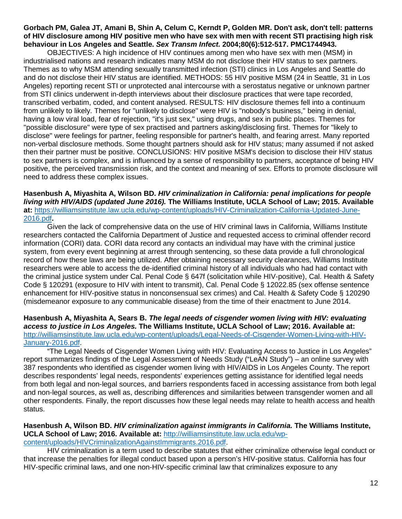## **Gorbach PM, Galea JT, Amani B, Shin A, Celum C, Kerndt P, Golden MR. Don't ask, don't tell: patterns of HIV disclosure among HIV positive men who have sex with men with recent STI practising high risk behaviour in Los Angeles and Seattle.** *Sex Transm Infect.* **2004;80(6):512-517. PMC1744943.**

OBJECTIVES: A high incidence of HIV continues among men who have sex with men (MSM) in industrialised nations and research indicates many MSM do not disclose their HIV status to sex partners. Themes as to why MSM attending sexually transmitted infection (STI) clinics in Los Angeles and Seattle do and do not disclose their HIV status are identified. METHODS: 55 HIV positive MSM (24 in Seattle, 31 in Los Angeles) reporting recent STI or unprotected anal intercourse with a serostatus negative or unknown partner from STI clinics underwent in-depth interviews about their disclosure practices that were tape recorded, transcribed verbatim, coded, and content analysed. RESULTS: HIV disclosure themes fell into a continuum from unlikely to likely. Themes for "unlikely to disclose" were HIV is "nobody's business," being in denial, having a low viral load, fear of rejection, "it's just sex," using drugs, and sex in public places. Themes for "possible disclosure" were type of sex practised and partners asking/disclosing first. Themes for "likely to disclose" were feelings for partner, feeling responsible for partner's health, and fearing arrest. Many reported non-verbal disclosure methods. Some thought partners should ask for HIV status; many assumed if not asked then their partner must be positive. CONCLUSIONS: HIV positive MSM's decision to disclose their HIV status to sex partners is complex, and is influenced by a sense of responsibility to partners, acceptance of being HIV positive, the perceived transmission risk, and the context and meaning of sex. Efforts to promote disclosure will need to address these complex issues.

## **Hasenbush A, Miyashita A, Wilson BD.** *HIV criminalization in California: penal implications for people living with HIV/AIDS (updated June 2016).* **The Williams Institute, UCLA School of Law; 2015. Available at:** [https://williamsinstitute.law.ucla.edu/wp-content/uploads/HIV-Criminalization-California-Updated-June-](https://williamsinstitute.law.ucla.edu/wp-content/uploads/HIV-Criminalization-California-Updated-June-2016.pdf)[2016.pdf](https://williamsinstitute.law.ucla.edu/wp-content/uploads/HIV-Criminalization-California-Updated-June-2016.pdf)**.**

Given the lack of comprehensive data on the use of HIV criminal laws in California, Williams Institute researchers contacted the California Department of Justice and requested access to criminal offender record information (CORI) data. CORI data record any contacts an individual may have with the criminal justice system, from every event beginning at arrest through sentencing, so these data provide a full chronological record of how these laws are being utilized. After obtaining necessary security clearances, Williams Institute researchers were able to access the de-identified criminal history of all individuals who had had contact with the criminal justice system under Cal. Penal Code § 647f (solicitation while HIV-positive), Cal. Health & Safety Code § 120291 (exposure to HIV with intent to transmit), Cal. Penal Code § 12022.85 (sex offense sentence enhancement for HIV-positive status in nonconsensual sex crimes) and Cal. Health & Safety Code § 120290 (misdemeanor exposure to any communicable disease) from the time of their enactment to June 2014.

# **Hasenbush A, Miyashita A, Sears B.** *The legal needs of cisgender women living with HIV: evaluating access to justice in Los Angeles.* **The Williams Institute, UCLA School of Law; 2016. Available at:**  [http://williamsinstitute.law.ucla.edu/wp-content/uploads/Legal-Needs-of-Cisgender-Women-Living-with-HIV-](http://williamsinstitute.law.ucla.edu/wp-content/uploads/Legal-Needs-of-Cisgender-Women-Living-with-HIV-January-2016.pdf)[January-2016.pdf.](http://williamsinstitute.law.ucla.edu/wp-content/uploads/Legal-Needs-of-Cisgender-Women-Living-with-HIV-January-2016.pdf)

"The Legal Needs of Cisgender Women Living with HIV: Evaluating Access to Justice in Los Angeles" report summarizes findings of the Legal Assessment of Needs Study ("LeAN Study") – an online survey with 387 respondents who identified as cisgender women living with HIV/AIDS in Los Angeles County. The report describes respondents' legal needs, respondents' experiences getting assistance for identified legal needs from both legal and non-legal sources, and barriers respondents faced in accessing assistance from both legal and non-legal sources, as well as, describing differences and similarities between transgender women and all other respondents. Finally, the report discusses how these legal needs may relate to health access and health status.

# **Hasenbush A, Wilson BD.** *HIV criminalization against immigrants in California.* **The Williams Institute, UCLA School of Law; 2016. Available at:** [http://williamsinstitute.law.ucla.edu/wp-](http://williamsinstitute.law.ucla.edu/wp-content/uploads/HIVCriminalizationAgainstImmigrants.2016.pdf)

[content/uploads/HIVCriminalizationAgainstImmigrants.2016.pdf.](http://williamsinstitute.law.ucla.edu/wp-content/uploads/HIVCriminalizationAgainstImmigrants.2016.pdf)

HIV criminalization is a term used to describe statutes that either criminalize otherwise legal conduct or that increase the penalties for illegal conduct based upon a person's HIV-positive status. California has four HIV-specific criminal laws, and one non-HIV-specific criminal law that criminalizes exposure to any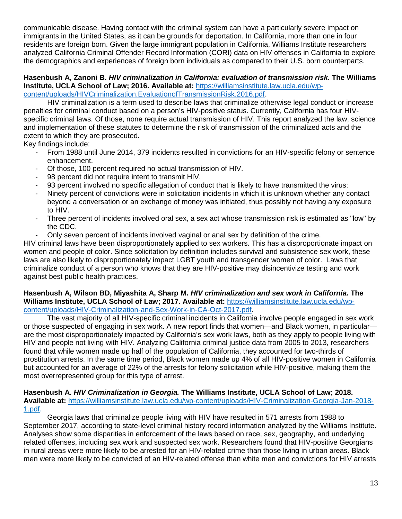communicable disease. Having contact with the criminal system can have a particularly severe impact on immigrants in the United States, as it can be grounds for deportation. In California, more than one in four residents are foreign born. Given the large immigrant population in California, Williams Institute researchers analyzed California Criminal Offender Record Information (CORI) data on HIV offenses in California to explore the demographics and experiences of foreign born individuals as compared to their U.S. born counterparts.

#### **Hasenbush A, Zanoni B.** *HIV criminalization in California: evaluation of transmission risk.* **The Williams Institute, UCLA School of Law; 2016. Available at:** [https://williamsinstitute.law.ucla.edu/wp](https://williamsinstitute.law.ucla.edu/wp-content/uploads/HIVCriminalization.EvaluationofTransmissionRisk.2016.pdf)[content/uploads/HIVCriminalization.EvaluationofTransmissionRisk.2016.pdf.](https://williamsinstitute.law.ucla.edu/wp-content/uploads/HIVCriminalization.EvaluationofTransmissionRisk.2016.pdf)

HIV criminalization is a term used to describe laws that criminalize otherwise legal conduct or increase penalties for criminal conduct based on a person's HIV-positive status. Currently, California has four HIVspecific criminal laws. Of those, none require actual transmission of HIV. This report analyzed the law, science and implementation of these statutes to determine the risk of transmission of the criminalized acts and the extent to which they are prosecuted.

Key findings include:

- From 1988 until June 2014, 379 incidents resulted in convictions for an HIV-specific felony or sentence enhancement.
- Of those, 100 percent required no actual transmission of HIV.
- 98 percent did not require intent to transmit HIV.
- 93 percent involved no specific allegation of conduct that is likely to have transmitted the virus:
- Ninety percent of convictions were in solicitation incidents in which it is unknown whether any contact beyond a conversation or an exchange of money was initiated, thus possibly not having any exposure to HIV.
- Three percent of incidents involved oral sex, a sex act whose transmission risk is estimated as "low" by the CDC.
- Only seven percent of incidents involved vaginal or anal sex by definition of the crime.

HIV criminal laws have been disproportionately applied to sex workers. This has a disproportionate impact on women and people of color. Since solicitation by definition includes survival and subsistence sex work, these laws are also likely to disproportionately impact LGBT youth and transgender women of color. Laws that criminalize conduct of a person who knows that they are HIV-positive may disincentivize testing and work against best public health practices.

## **Hasenbush A, Wilson BD, Miyashita A, Sharp M.** *HIV criminalization and sex work in California.* **The Williams Institute, UCLA School of Law; 2017. Available at:** [https://williamsinstitute.law.ucla.edu/wp](https://williamsinstitute.law.ucla.edu/wp-content/uploads/HIV-Criminalization-and-Sex-Work-in-CA-Oct-2017.pdf)[content/uploads/HIV-Criminalization-and-Sex-Work-in-CA-Oct-2017.pdf.](https://williamsinstitute.law.ucla.edu/wp-content/uploads/HIV-Criminalization-and-Sex-Work-in-CA-Oct-2017.pdf)

The vast majority of all HIV-specific criminal incidents in California involve people engaged in sex work or those suspected of engaging in sex work. A new report finds that women—and Black women, in particular are the most disproportionately impacted by California's sex work laws, both as they apply to people living with HIV and people not living with HIV. Analyzing California criminal justice data from 2005 to 2013, researchers found that while women made up half of the population of California, they accounted for two-thirds of prostitution arrests. In the same time period, Black women made up 4% of all HIV-positive women in California but accounted for an average of 22% of the arrests for felony solicitation while HIV-positive, making them the most overrepresented group for this type of arrest.

## **Hasenbush A.** *HIV Criminalization in Georgia.* **The Williams Institute, UCLA School of Law; 2018. Available at:** [https://williamsinstitute.law.ucla.edu/wp-content/uploads/HIV-Criminalization-Georgia-Jan-2018-](https://williamsinstitute.law.ucla.edu/wp-content/uploads/HIV-Criminalization-Georgia-Jan-2018-1.pdf) [1.pdf.](https://williamsinstitute.law.ucla.edu/wp-content/uploads/HIV-Criminalization-Georgia-Jan-2018-1.pdf)

Georgia laws that criminalize people living with HIV have resulted in 571 arrests from 1988 to September 2017, according to state-level criminal history record information analyzed by the Williams Institute. Analyses show some disparities in enforcement of the laws based on race, sex, geography, and underlying related offenses, including sex work and suspected sex work. Researchers found that HIV-positive Georgians in rural areas were more likely to be arrested for an HIV-related crime than those living in urban areas. Black men were more likely to be convicted of an HIV-related offense than white men and convictions for HIV arrests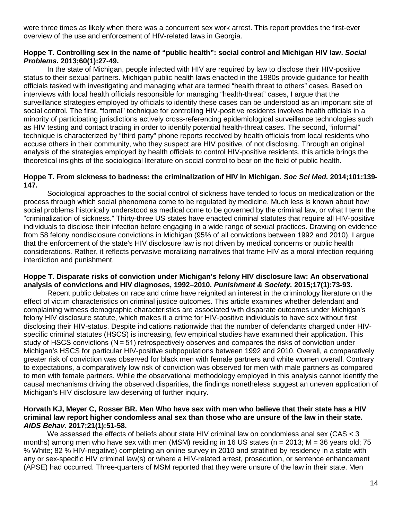were three times as likely when there was a concurrent sex work arrest. This report provides the first-ever overview of the use and enforcement of HIV-related laws in Georgia.

## **Hoppe T. Controlling sex in the name of "public health": social control and Michigan HIV law.** *Social Problems.* **2013;60(1):27-49.**

In the state of Michigan, people infected with HIV are required by law to disclose their HIV-positive status to their sexual partners. Michigan public health laws enacted in the 1980s provide guidance for health officials tasked with investigating and managing what are termed "health threat to others" cases. Based on interviews with local health officials responsible for managing "health-threat" cases, I argue that the surveillance strategies employed by officials to identify these cases can be understood as an important site of social control. The first, "formal" technique for controlling HIV-positive residents involves health officials in a minority of participating jurisdictions actively cross-referencing epidemiological surveillance technologies such as HIV testing and contact tracing in order to identify potential health-threat cases. The second, "informal" technique is characterized by "third party" phone reports received by health officials from local residents who accuse others in their community, who they suspect are HIV positive, of not disclosing. Through an original analysis of the strategies employed by health officials to control HIV-positive residents, this article brings the theoretical insights of the sociological literature on social control to bear on the field of public health.

## **Hoppe T. From sickness to badness: the criminalization of HIV in Michigan.** *Soc Sci Med.* **2014;101:139- 147.**

Sociological approaches to the social control of sickness have tended to focus on medicalization or the process through which social phenomena come to be regulated by medicine. Much less is known about how social problems historically understood as medical come to be governed by the criminal law, or what I term the "criminalization of sickness." Thirty-three US states have enacted criminal statutes that require all HIV-positive individuals to disclose their infection before engaging in a wide range of sexual practices. Drawing on evidence from 58 felony nondisclosure convictions in Michigan (95% of all convictions between 1992 and 2010), I argue that the enforcement of the state's HIV disclosure law is not driven by medical concerns or public health considerations. Rather, it reflects pervasive moralizing narratives that frame HIV as a moral infection requiring interdiction and punishment.

## **Hoppe T. Disparate risks of conviction under Michigan's felony HIV disclosure law: An observational analysis of convictions and HIV diagnoses, 1992–2010.** *Punishment & Society.* **2015;17(1):73-93.**

Recent public debates on race and crime have reignited an interest in the criminology literature on the effect of victim characteristics on criminal justice outcomes. This article examines whether defendant and complaining witness demographic characteristics are associated with disparate outcomes under Michigan's felony HIV disclosure statute, which makes it a crime for HIV-positive individuals to have sex without first disclosing their HIV-status. Despite indications nationwide that the number of defendants charged under HIVspecific criminal statutes (HSCS) is increasing, few empirical studies have examined their application. This study of HSCS convictions (N = 51) retrospectively observes and compares the risks of conviction under Michigan's HSCS for particular HIV-positive subpopulations between 1992 and 2010. Overall, a comparatively greater risk of conviction was observed for black men with female partners and white women overall. Contrary to expectations, a comparatively low risk of conviction was observed for men with male partners as compared to men with female partners. While the observational methodology employed in this analysis cannot identify the causal mechanisms driving the observed disparities, the findings nonetheless suggest an uneven application of Michigan's HIV disclosure law deserving of further inquiry.

#### **Horvath KJ, Meyer C, Rosser BR. Men Who have sex with men who believe that their state has a HIV criminal law report higher condomless anal sex than those who are unsure of the law in their state.**  *AIDS Behav.* **2017;21(1):51-58.**

We assessed the effects of beliefs about state HIV criminal law on condomless anal sex (CAS < 3 months) among men who have sex with men (MSM) residing in 16 US states ( $n = 2013$ ; M = 36 years old; 75 % White; 82 % HIV-negative) completing an online survey in 2010 and stratified by residency in a state with any or sex-specific HIV criminal law(s) or where a HIV-related arrest, prosecution, or sentence enhancement (APSE) had occurred. Three-quarters of MSM reported that they were unsure of the law in their state. Men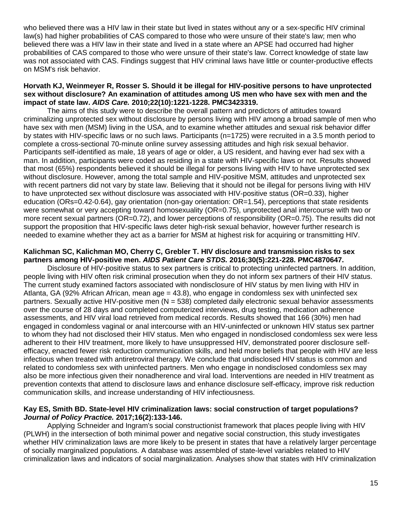who believed there was a HIV law in their state but lived in states without any or a sex-specific HIV criminal law(s) had higher probabilities of CAS compared to those who were unsure of their state's law; men who believed there was a HIV law in their state and lived in a state where an APSE had occurred had higher probabilities of CAS compared to those who were unsure of their state's law. Correct knowledge of state law was not associated with CAS. Findings suggest that HIV criminal laws have little or counter-productive effects on MSM's risk behavior.

## **Horvath KJ, Weinmeyer R, Rosser S. Should it be illegal for HIV-positive persons to have unprotected sex without disclosure? An examination of attitudes among US men who have sex with men and the impact of state law.** *AIDS Care.* **2010;22(10):1221-1228. PMC3423319.**

The aims of this study were to describe the overall pattern and predictors of attitudes toward criminalizing unprotected sex without disclosure by persons living with HIV among a broad sample of men who have sex with men (MSM) living in the USA, and to examine whether attitudes and sexual risk behavior differ by states with HIV-specific laws or no such laws. Participants (n=1725) were recruited in a 3.5 month period to complete a cross-sectional 70-minute online survey assessing attitudes and high risk sexual behavior. Participants self-identified as male, 18 years of age or older, a US resident, and having ever had sex with a man. In addition, participants were coded as residing in a state with HIV-specific laws or not. Results showed that most (65%) respondents believed it should be illegal for persons living with HIV to have unprotected sex without disclosure. However, among the total sample and HIV-positive MSM, attitudes and unprotected sex with recent partners did not vary by state law. Believing that it should not be illegal for persons living with HIV to have unprotected sex without disclosure was associated with HIV-positive status (OR=0.33), higher education (ORs=0.42-0.64), gay orientation (non-gay orientation: OR=1.54), perceptions that state residents were somewhat or very accepting toward homosexuality (OR=0.75), unprotected anal intercourse with two or more recent sexual partners (OR=0.72), and lower perceptions of responsibility (OR=0.75). The results did not support the proposition that HIV-specific laws deter high-risk sexual behavior, however further research is needed to examine whether they act as a barrier for MSM at highest risk for acquiring or transmitting HIV.

## **Kalichman SC, Kalichman MO, Cherry C, Grebler T. HIV disclosure and transmission risks to sex partners among HIV-positive men.** *AIDS Patient Care STDS.* **2016;30(5):221-228. PMC4870647.**

Disclosure of HIV-positive status to sex partners is critical to protecting uninfected partners. In addition, people living with HIV often risk criminal prosecution when they do not inform sex partners of their HIV status. The current study examined factors associated with nondisclosure of HIV status by men living with HIV in Atlanta, GA (92% African African, mean age = 43.8), who engage in condomless sex with uninfected sex partners. Sexually active HIV-positive men  $(N = 538)$  completed daily electronic sexual behavior assessments over the course of 28 days and completed computerized interviews, drug testing, medication adherence assessments, and HIV viral load retrieved from medical records. Results showed that 166 (30%) men had engaged in condomless vaginal or anal intercourse with an HIV-uninfected or unknown HIV status sex partner to whom they had not disclosed their HIV status. Men who engaged in nondisclosed condomless sex were less adherent to their HIV treatment, more likely to have unsuppressed HIV, demonstrated poorer disclosure selfefficacy, enacted fewer risk reduction communication skills, and held more beliefs that people with HIV are less infectious when treated with antiretroviral therapy. We conclude that undisclosed HIV status is common and related to condomless sex with uninfected partners. Men who engage in nondisclosed condomless sex may also be more infectious given their nonadherence and viral load. Interventions are needed in HIV treatment as prevention contexts that attend to disclosure laws and enhance disclosure self-efficacy, improve risk reduction communication skills, and increase understanding of HIV infectiousness.

## **Kay ES, Smith BD. State-level HIV criminalization laws: social construction of target populations?**  *Journal of Policy Practice.* **2017;16(2):133-146.**

Applying Schneider and Ingram's social constructionist framework that places people living with HIV (PLWH) in the intersection of both minimal power and negative social construction, this study investigates whether HIV criminalization laws are more likely to be present in states that have a relatively larger percentage of socially marginalized populations. A database was assembled of state-level variables related to HIV criminalization laws and indicators of social marginalization. Analyses show that states with HIV criminalization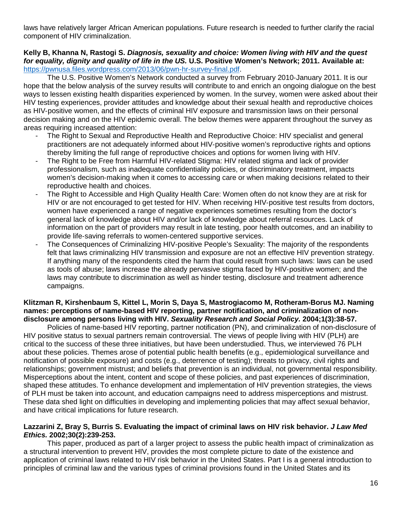laws have relatively larger African American populations. Future research is needed to further clarify the racial component of HIV criminalization.

## **Kelly B, Khanna N, Rastogi S.** *Diagnosis, sexuality and choice: Women living with HIV and the quest for equality, dignity and quality of life in the US.* **U.S. Positive Women's Network; 2011. Available at:**  [https://pwnusa.files.wordpress.com/2013/06/pwn-hr-survey-final.pdf.](https://pwnusa.files.wordpress.com/2013/06/pwn-hr-survey-final.pdf)

The U.S. Positive Women's Network conducted a survey from February 2010‐January 2011. It is our hope that the below analysis of the survey results will contribute to and enrich an ongoing dialogue on the best ways to lessen existing health disparities experienced by women. In the survey, women were asked about their HIV testing experiences, provider attitudes and knowledge about their sexual health and reproductive choices as HIV‐positive women, and the effects of criminal HIV exposure and transmission laws on their personal decision making and on the HIV epidemic overall. The below themes were apparent throughout the survey as areas requiring increased attention:

- The Right to Sexual and Reproductive Health and Reproductive Choice: HIV specialist and general practitioners are not adequately informed about HIV‐positive women's reproductive rights and options thereby limiting the full range of reproductive choices and options for women living with HIV.
- The Right to be Free from Harmful HIV-related Stigma: HIV related stigma and lack of provider professionalism, such as inadequate confidentiality policies, or discriminatory treatment, impacts women's decision-making when it comes to accessing care or when making decisions related to their reproductive health and choices.
- The Right to Accessible and High Quality Health Care: Women often do not know they are at risk for HIV or are not encouraged to get tested for HIV. When receiving HIV‐positive test results from doctors, women have experienced a range of negative experiences sometimes resulting from the doctor's general lack of knowledge about HIV and/or lack of knowledge about referral resources. Lack of information on the part of providers may result in late testing, poor health outcomes, and an inability to provide life‐saving referrals to women‐centered supportive services.
- The Consequences of Criminalizing HIV-positive People's Sexuality: The majority of the respondents felt that laws criminalizing HIV transmission and exposure are not an effective HIV prevention strategy. If anything many of the respondents cited the harm that could result from such laws: laws can be used as tools of abuse; laws increase the already pervasive stigma faced by HIV‐positive women; and the laws may contribute to discrimination as well as hinder testing, disclosure and treatment adherence campaigns.

## **Klitzman R, Kirshenbaum S, Kittel L, Morin S, Daya S, Mastrogiacomo M, Rotheram-Borus MJ. Naming names: perceptions of name-based HIV reporting, partner notification, and criminalization of nondisclosure among persons living with HIV.** *Sexuality Research and Social Policy.* **2004;1(3):38-57.**

Policies of name-based HIV reporting, partner notification (PN), and criminalization of non-disclosure of HIV positive status to sexual partners remain controversial. The views of people living with HIV (PLH) are critical to the success of these three initiatives, but have been understudied. Thus, we interviewed 76 PLH about these policies. Themes arose of potential public health benefits (e.g., epidemiological surveillance and notification of possible exposure) and costs (e.g., deterrence of testing); threats to privacy, civil rights and relationships; government mistrust; and beliefs that prevention is an individual, not governmental responsibility. Misperceptions about the intent, content and scope of these policies, and past experiences of discrimination, shaped these attitudes. To enhance development and implementation of HIV prevention strategies, the views of PLH must be taken into account, and education campaigns need to address misperceptions and mistrust. These data shed light on difficulties in developing and implementing policies that may affect sexual behavior, and have critical implications for future research.

## **Lazzarini Z, Bray S, Burris S. Evaluating the impact of criminal laws on HIV risk behavior.** *J Law Med Ethics.* **2002;30(2):239-253.**

This paper, produced as part of a larger project to assess the public health impact of criminalization as a structural intervention to prevent HIV, provides the most complete picture to date of the existence and application of criminal laws related to HIV risk behavior in the United States. Part I is a general introduction to principles of criminal law and the various types of criminal provisions found in the United States and its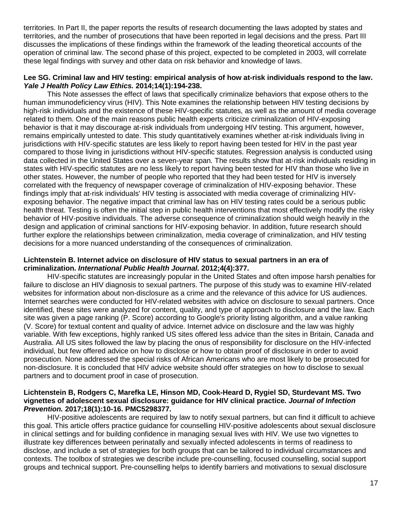territories. In Part II, the paper reports the results of research documenting the laws adopted by states and territories, and the number of prosecutions that have been reported in legal decisions and the press. Part III discusses the implications of these findings within the framework of the leading theoretical accounts of the operation of criminal law. The second phase of this project, expected to be completed in 2003, will correlate these legal findings with survey and other data on risk behavior and knowledge of laws.

## **Lee SG. Criminal law and HIV testing: empirical analysis of how at-risk individuals respond to the law.**  *Yale J Health Policy Law Ethics.* **2014;14(1):194-238.**

This Note assesses the effect of laws that specifically criminalize behaviors that expose others to the human immunodeficiency virus (HIV). This Note examines the relationship between HIV testing decisions by high-risk individuals and the existence of these HIV-specific statutes, as well as the amount of media coverage related to them. One of the main reasons public health experts criticize criminalization of HIV-exposing behavior is that it may discourage at-risk individuals from undergoing HIV testing. This argument, however, remains empirically untested to date. This study quantitatively examines whether at-risk individuals living in jurisdictions with HIV-specific statutes are less likely to report having been tested for HIV in the past year compared to those living in jurisdictions without HIV-specific statutes. Regression analysis is conducted using data collected in the United States over a seven-year span. The results show that at-risk individuals residing in states with HIV-specific statutes are no less likely to report having been tested for HIV than those who live in other states. However, the number of people who reported that they had been tested for HIV is inversely correlated with the frequency of newspaper coverage of criminalization of HIV-exposing behavior. These findings imply that at-risk individuals' HIV testing is associated with media coverage of criminalizing HIVexposing behavior. The negative impact that criminal law has on HIV testing rates could be a serious public health threat. Testing is often the initial step in public health interventions that most effectively modify the risky behavior of HIV-positive individuals. The adverse consequence of criminalization should weigh heavily in the design and application of criminal sanctions for HIV-exposing behavior. In addition, future research should further explore the relationships between criminalization, media coverage of criminalization, and HIV testing decisions for a more nuanced understanding of the consequences of criminalization.

## **Lichtenstein B. Internet advice on disclosure of HIV status to sexual partners in an era of criminalization.** *International Public Health Journal.* **2012;4(4):377.**

HIV-specific statutes are increasingly popular in the United States and often impose harsh penalties for failure to disclose an HIV diagnosis to sexual partners. The purpose of this study was to examine HIV-related websites for information about non-disclosure as a crime and the relevance of this advice for US audiences. Internet searches were conducted for HIV-related websites with advice on disclosure to sexual partners. Once identified, these sites were analyzed for content, quality, and type of approach to disclosure and the law. Each site was given a page ranking (P. Score) according to Google's priority listing algorithm, and a value ranking (V. Score) for textual content and quality of advice. Internet advice on disclosure and the law was highly variable. With few exceptions, highly ranked US sites offered less advice than the sites in Britain, Canada and Australia. All US sites followed the law by placing the onus of responsibility for disclosure on the HIV-infected individual, but few offered advice on how to disclose or how to obtain proof of disclosure in order to avoid prosecution. None addressed the special risks of African Americans who are most likely to be prosecuted for non-disclosure. It is concluded that HIV advice website should offer strategies on how to disclose to sexual partners and to document proof in case of prosecution.

### **Lichtenstein B, Rodgers C, Marefka LE, Hinson MD, Cook-Heard D, Rygiel SD, Sturdevant MS. Two vignettes of adolescent sexual disclosure: guidance for HIV clinical practice.** *Journal of Infection Prevention.* **2017;18(1):10-16. PMC5298377.**

HIV-positive adolescents are required by law to notify sexual partners, but can find it difficult to achieve this goal. This article offers practice guidance for counselling HIV-positive adolescents about sexual disclosure in clinical settings and for building confidence in managing sexual lives with HIV. We use two vignettes to illustrate key differences between perinatally and sexually infected adolescents in terms of readiness to disclose, and include a set of strategies for both groups that can be tailored to individual circumstances and contexts. The toolbox of strategies we describe include pre-counselling, focused counselling, social support groups and technical support. Pre-counselling helps to identify barriers and motivations to sexual disclosure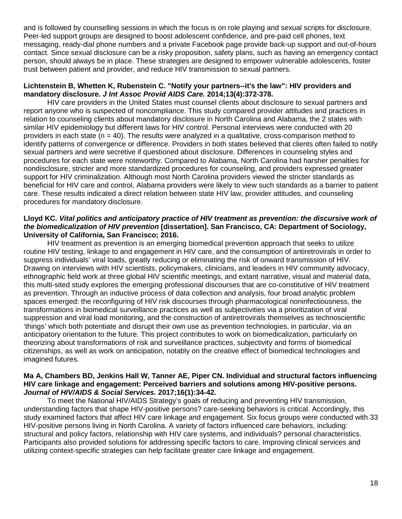and is followed by counselling sessions in which the focus is on role playing and sexual scripts for disclosure. Peer-led support groups are designed to boost adolescent confidence, and pre-paid cell phones, text messaging, ready-dial phone numbers and a private Facebook page provide back-up support and out-of-hours contact. Since sexual disclosure can be a risky proposition, safety plans, such as having an emergency contact person, should always be in place. These strategies are designed to empower vulnerable adolescents, foster trust between patient and provider, and reduce HIV transmission to sexual partners.

## **Lichtenstein B, Whetten K, Rubenstein C. "Notify your partners--it's the law": HIV providers and mandatory disclosure.** *J Int Assoc Provid AIDS Care.* **2014;13(4):372-378.**

HIV care providers in the United States must counsel clients about disclosure to sexual partners and report anyone who is suspected of noncompliance. This study compared provider attitudes and practices in relation to counseling clients about mandatory disclosure in North Carolina and Alabama, the 2 states with similar HIV epidemiology but different laws for HIV control. Personal interviews were conducted with 20 providers in each state ( $n = 40$ ). The results were analyzed in a qualitative, cross-comparison method to identify patterns of convergence or difference. Providers in both states believed that clients often failed to notify sexual partners and were secretive if questioned about disclosure. Differences in counseling styles and procedures for each state were noteworthy. Compared to Alabama, North Carolina had harsher penalties for nondisclosure, stricter and more standardized procedures for counseling, and providers expressed greater support for HIV criminalization. Although most North Carolina providers viewed the stricter standards as beneficial for HIV care and control, Alabama providers were likely to view such standards as a barrier to patient care. These results indicated a direct relation between state HIV law, provider attitudes, and counseling procedures for mandatory disclosure.

## **Lloyd KC.** *Vital politics and anticipatory practice of HIV treatment as prevention: the discursive work of the biomedicalization of HIV prevention* **[dissertation]. San Francisco, CA: Department of Sociology, University of California, San Francisco; 2016.**

HIV treatment as prevention is an emerging biomedical prevention approach that seeks to utilize routine HIV testing, linkage to and engagement in HIV care, and the consumption of antiretrovirals in order to suppress individuals' viral loads, greatly reducing or eliminating the risk of onward transmission of HIV. Drawing on interviews with HIV scientists, policymakers, clinicians, and leaders in HIV community advocacy, ethnographic field work at three global HIV scientific meetings, and extant narrative, visual and material data, this multi-sited study explores the emerging professional discourses that are co-constitutive of HIV treatment as prevention. Through an inductive process of data collection and analysis, four broad analytic problem spaces emerged: the reconfiguring of HIV risk discourses through pharmacological noninfectiousness, the transformations in biomedical surveillance practices as well as subjectivities via a prioritization of viral suppression and viral load monitoring, and the construction of antiretrovirals themselves as technoscientific 'things' which both potentiate and disrupt their own use as prevention technologies, in particular, via an anticipatory orientation to the future. This project contributes to work on biomedicalization, particularly on theorizing about transformations of risk and surveillance practices, subjectivity and forms of biomedical citizenships, as well as work on anticipation, notably on the creative effect of biomedical technologies and imagined futures.

#### **Ma A, Chambers BD, Jenkins Hall W, Tanner AE, Piper CN. Individual and structural factors influencing HIV care linkage and engagement: Perceived barriers and solutions among HIV-positive persons.**  *Journal of HIV/AIDS & Social Services.* **2017;16(1):34-42.**

To meet the National HIV/AIDS Strategy's goals of reducing and preventing HIV transmission, understanding factors that shape HIV-positive persons? care-seeking behaviors is critical. Accordingly, this study examined factors that affect HIV care linkage and engagement. Six focus groups were conducted with 33 HIV-positive persons living in North Carolina. A variety of factors influenced care behaviors, including: structural and policy factors, relationship with HIV care systems, and individuals? personal characteristics. Participants also provided solutions for addressing specific factors to care. Improving clinical services and utilizing context-specific strategies can help facilitate greater care linkage and engagement.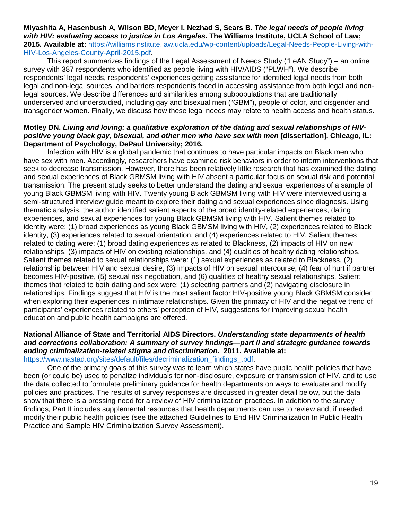#### **Miyashita A, Hasenbush A, Wilson BD, Meyer I, Nezhad S, Sears B.** *The legal needs of people living with HIV: evaluating access to justice in Los Angeles.* **The Williams Institute, UCLA School of Law; 2015. Available at:** [https://williamsinstitute.law.ucla.edu/wp-content/uploads/Legal-Needs-People-Living-with-](https://williamsinstitute.law.ucla.edu/wp-content/uploads/Legal-Needs-People-Living-with-HIV-Los-Angeles-County-April-2015.pdf)[HIV-Los-Angeles-County-April-2015.pdf.](https://williamsinstitute.law.ucla.edu/wp-content/uploads/Legal-Needs-People-Living-with-HIV-Los-Angeles-County-April-2015.pdf)

This report summarizes findings of the Legal Assessment of Needs Study ("LeAN Study") – an online survey with 387 respondents who identified as people living with HIV/AIDS ("PLWH"). We describe respondents' legal needs, respondents' experiences getting assistance for identified legal needs from both legal and non-legal sources, and barriers respondents faced in accessing assistance from both legal and nonlegal sources. We describe differences and similarities among subpopulations that are traditionally underserved and understudied, including gay and bisexual men ("GBM"), people of color, and cisgender and transgender women. Finally, we discuss how these legal needs may relate to health access and health status.

## **Motley DN.** *Living and loving: a qualitative exploration of the dating and sexual relationships of HIVpositive young black gay, bisexual, and other men who have sex with men* **[dissertation]. Chicago, IL: Department of Psychology, DePaul University; 2016.**

Infection with HIV is a global pandemic that continues to have particular impacts on Black men who have sex with men. Accordingly, researchers have examined risk behaviors in order to inform interventions that seek to decrease transmission. However, there has been relatively little research that has examined the dating and sexual experiences of Black GBMSM living with HIV absent a particular focus on sexual risk and potential transmission. The present study seeks to better understand the dating and sexual experiences of a sample of young Black GBMSM living with HIV. Twenty young Black GBMSM living with HIV were interviewed using a semi-structured interview guide meant to explore their dating and sexual experiences since diagnosis. Using thematic analysis, the author identified salient aspects of the broad identity-related experiences, dating experiences, and sexual experiences for young Black GBMSM living with HIV. Salient themes related to identity were: (1) broad experiences as young Black GBMSM living with HIV, (2) experiences related to Black identity, (3) experiences related to sexual orientation, and (4) experiences related to HIV. Salient themes related to dating were: (1) broad dating experiences as related to Blackness, (2) impacts of HIV on new relationships, (3) impacts of HIV on existing relationships, and (4) qualities of healthy dating relationships. Salient themes related to sexual relationships were: (1) sexual experiences as related to Blackness, (2) relationship between HIV and sexual desire, (3) impacts of HIV on sexual intercourse, (4) fear of hurt if partner becomes HIV-positive, (5) sexual risk negotiation, and (6) qualities of healthy sexual relationships. Salient themes that related to both dating and sex were: (1) selecting partners and (2) navigating disclosure in relationships. Findings suggest that HIV is the most salient factor HIV-positive young Black GBMSM consider when exploring their experiences in intimate relationships. Given the primacy of HIV and the negative trend of participants' experiences related to others' perception of HIV, suggestions for improving sexual health education and public health campaigns are offered.

#### **National Alliance of State and Territorial AIDS Directors.** *Understanding state departments of health and corrections collaboration: A summary of survey findings—part II and strategic guidance towards ending criminalization-related stigma and discrimination.* **2011. Available at:**  [https://www.nastad.org/sites/default/files/decriminalization\\_findings\\_.pdf.](https://www.nastad.org/sites/default/files/decriminalization_findings_.pdf)

One of the primary goals of this survey was to learn which states have public health policies that have been (or could be) used to penalize individuals for non-disclosure, exposure or transmission of HIV, and to use the data collected to formulate preliminary guidance for health departments on ways to evaluate and modify policies and practices. The results of survey responses are discussed in greater detail below, but the data show that there is a pressing need for a review of HIV criminalization practices. In addition to the survey findings, Part II includes supplemental resources that health departments can use to review and, if needed, modify their public health policies (see the attached Guidelines to End HIV Criminalization In Public Health Practice and Sample HIV Criminalization Survey Assessment).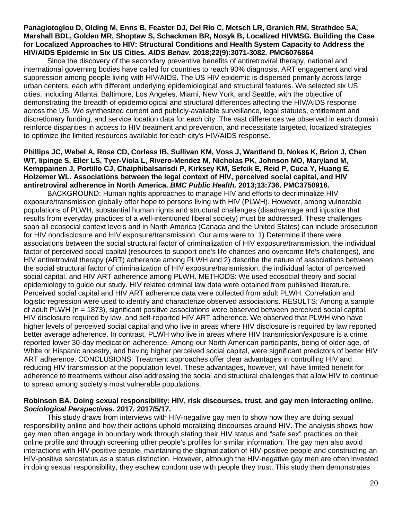**Panagiotoglou D, Olding M, Enns B, Feaster DJ, Del Rio C, Metsch LR, Granich RM, Strathdee SA, Marshall BDL, Golden MR, Shoptaw S, Schackman BR, Nosyk B, Localized HIVMSG. Building the Case for Localized Approaches to HIV: Structural Conditions and Health System Capacity to Address the HIV/AIDS Epidemic in Six US Cities.** *AIDS Behav.* **2018;22(9):3071-3082. PMC6076864**

Since the discovery of the secondary preventive benefits of antiretroviral therapy, national and international governing bodies have called for countries to reach 90% diagnosis, ART engagement and viral suppression among people living with HIV/AIDS. The US HIV epidemic is dispersed primarily across large urban centers, each with different underlying epidemiological and structural features. We selected six US cities, including Atlanta, Baltimore, Los Angeles, Miami, New York, and Seattle, with the objective of demonstrating the breadth of epidemiological and structural differences affecting the HIV/AIDS response across the US. We synthesized current and publicly-available surveillance, legal statutes, entitlement and discretionary funding, and service location data for each city. The vast differences we observed in each domain reinforce disparities in access to HIV treatment and prevention, and necessitate targeted, localized strategies to optimize the limited resources available for each city's HIV/AIDS response.

## **Phillips JC, Webel A, Rose CD, Corless IB, Sullivan KM, Voss J, Wantland D, Nokes K, Brion J, Chen WT, Iipinge S, Eller LS, Tyer-Viola L, Rivero-Mendez M, Nicholas PK, Johnson MO, Maryland M, Kemppainen J, Portillo CJ, Chaiphibalsarisdi P, Kirksey KM, Sefcik E, Reid P, Cuca Y, Huang E, Holzemer WL. Associations between the legal context of HIV, perceived social capital, and HIV antiretroviral adherence in North America.** *BMC Public Health.* **2013;13:736. PMC3750916.**

BACKGROUND: Human rights approaches to manage HIV and efforts to decriminalize HIV exposure/transmission globally offer hope to persons living with HIV (PLWH). However, among vulnerable populations of PLWH, substantial human rights and structural challenges (disadvantage and injustice that results from everyday practices of a well-intentioned liberal society) must be addressed. These challenges span all ecosocial context levels and in North America (Canada and the United States) can include prosecution for HIV nondisclosure and HIV exposure/transmission. Our aims were to: 1) Determine if there were associations between the social structural factor of criminalization of HIV exposure/transmission, the individual factor of perceived social capital (resources to support one's life chances and overcome life's challenges), and HIV antiretroviral therapy (ART) adherence among PLWH and 2) describe the nature of associations between the social structural factor of criminalization of HIV exposure/transmission, the individual factor of perceived social capital, and HIV ART adherence among PLWH. METHODS: We used ecosocial theory and social epidemiology to guide our study. HIV related criminal law data were obtained from published literature. Perceived social capital and HIV ART adherence data were collected from adult PLWH. Correlation and logistic regression were used to identify and characterize observed associations. RESULTS: Among a sample of adult PLWH (n = 1873), significant positive associations were observed between perceived social capital, HIV disclosure required by law, and self-reported HIV ART adherence. We observed that PLWH who have higher levels of perceived social capital and who live in areas where HIV disclosure is required by law reported better average adherence. In contrast, PLWH who live in areas where HIV transmission/exposure is a crime reported lower 30-day medication adherence. Among our North American participants, being of older age, of White or Hispanic ancestry, and having higher perceived social capital, were significant predictors of better HIV ART adherence. CONCLUSIONS: Treatment approaches offer clear advantages in controlling HIV and reducing HIV transmission at the population level. These advantages, however, will have limited benefit for adherence to treatments without also addressing the social and structural challenges that allow HIV to continue to spread among society's most vulnerable populations.

## **Robinson BA. Doing sexual responsibility: HIV, risk discourses, trust, and gay men interacting online.**  *Sociological Perspectives.* **2017. 2017/5/17.**

This study draws from interviews with HIV-negative gay men to show how they are doing sexual responsibility online and how their actions uphold moralizing discourses around HIV. The analysis shows how gay men often engage in boundary work through stating their HIV status and "safe sex" practices on their online profile and through screening other people's profiles for similar information. The gay men also avoid interactions with HIV-positive people, maintaining the stigmatization of HIV-positive people and constructing an HIV-positive serostatus as a status distinction. However, although the HIV-negative gay men are often invested in doing sexual responsibility, they eschew condom use with people they trust. This study then demonstrates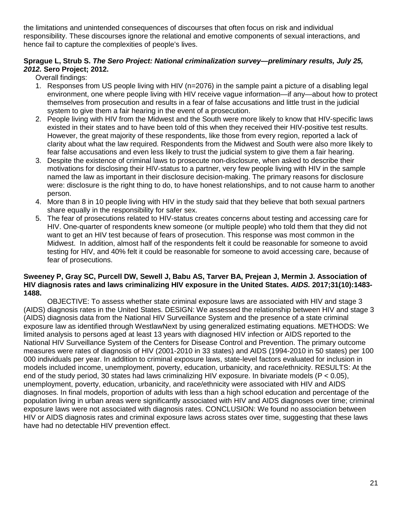the limitations and unintended consequences of discourses that often focus on risk and individual responsibility. These discourses ignore the relational and emotive components of sexual interactions, and hence fail to capture the complexities of people's lives.

# **Sprague L, Strub S.** *The Sero Project: National criminalization survey—preliminary results, July 25, 2012.* **Sero Project; 2012.**

Overall findings:

- 1. Responses from US people living with HIV (n=2076) in the sample paint a picture of a disabling legal environment, one where people living with HIV receive vague information—if any—about how to protect themselves from prosecution and results in a fear of false accusations and little trust in the judicial system to give them a fair hearing in the event of a prosecution.
- 2. People living with HIV from the Midwest and the South were more likely to know that HIV-specific laws existed in their states and to have been told of this when they received their HIV-positive test results. However, the great majority of these respondents, like those from every region, reported a lack of clarity about what the law required. Respondents from the Midwest and South were also more likely to fear false accusations and even less likely to trust the judicial system to give them a fair hearing.
- 3. Despite the existence of criminal laws to prosecute non-disclosure, when asked to describe their motivations for disclosing their HIV-status to a partner, very few people living with HIV in the sample named the law as important in their disclosure decision-making. The primary reasons for disclosure were: disclosure is the right thing to do, to have honest relationships, and to not cause harm to another person.
- 4. More than 8 in 10 people living with HIV in the study said that they believe that both sexual partners share equally in the responsibility for safer sex.
- 5. The fear of prosecutions related to HIV-status creates concerns about testing and accessing care for HIV. One-quarter of respondents knew someone (or multiple people) who told them that they did not want to get an HIV test because of fears of prosecution. This response was most common in the Midwest. In addition, almost half of the respondents felt it could be reasonable for someone to avoid testing for HIV, and 40% felt it could be reasonable for someone to avoid accessing care, because of fear of prosecutions.

## **Sweeney P, Gray SC, Purcell DW, Sewell J, Babu AS, Tarver BA, Prejean J, Mermin J. Association of HIV diagnosis rates and laws criminalizing HIV exposure in the United States.** *AIDS.* **2017;31(10):1483- 1488.**

OBJECTIVE: To assess whether state criminal exposure laws are associated with HIV and stage 3 (AIDS) diagnosis rates in the United States. DESIGN: We assessed the relationship between HIV and stage 3 (AIDS) diagnosis data from the National HIV Surveillance System and the presence of a state criminal exposure law as identified through WestlawNext by using generalized estimating equations. METHODS: We limited analysis to persons aged at least 13 years with diagnosed HIV infection or AIDS reported to the National HIV Surveillance System of the Centers for Disease Control and Prevention. The primary outcome measures were rates of diagnosis of HIV (2001-2010 in 33 states) and AIDS (1994-2010 in 50 states) per 100 000 individuals per year. In addition to criminal exposure laws, state-level factors evaluated for inclusion in models included income, unemployment, poverty, education, urbanicity, and race/ethnicity. RESULTS: At the end of the study period, 30 states had laws criminalizing HIV exposure. In bivariate models (P < 0.05), unemployment, poverty, education, urbanicity, and race/ethnicity were associated with HIV and AIDS diagnoses. In final models, proportion of adults with less than a high school education and percentage of the population living in urban areas were significantly associated with HIV and AIDS diagnoses over time; criminal exposure laws were not associated with diagnosis rates. CONCLUSION: We found no association between HIV or AIDS diagnosis rates and criminal exposure laws across states over time, suggesting that these laws have had no detectable HIV prevention effect.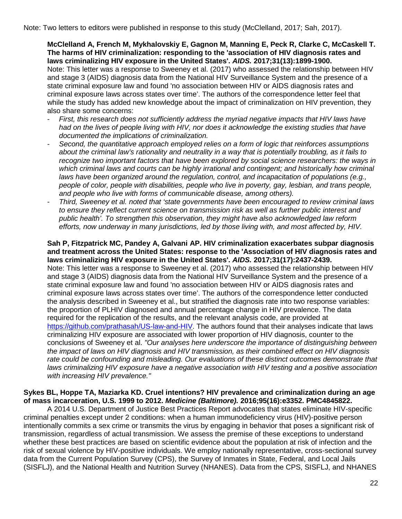Note: Two letters to editors were published in response to this study (McClelland, 2017; Sah, 2017).

**McClelland A, French M, Mykhalovskiy E, Gagnon M, Manning E, Peck R, Clarke C, McCaskell T. The harms of HIV criminalization: responding to the 'association of HIV diagnosis rates and laws criminalizing HIV exposure in the United States'.** *AIDS.* **2017;31(13):1899-1900.** Note: This letter was a response to Sweeney et al. (2017) who assessed the relationship between HIV and stage 3 (AIDS) diagnosis data from the National HIV Surveillance System and the presence of a state criminal exposure law and found 'no association between HIV or AIDS diagnosis rates and criminal exposure laws across states over time'. The authors of the correspondence letter feel that while the study has added new knowledge about the impact of criminalization on HIV prevention, they also share some concerns:

- *First, this research does not sufficiently address the myriad negative impacts that HIV laws have had on the lives of people living with HIV, nor does it acknowledge the existing studies that have documented the implications of criminalization.*
- *Second, the quantitative approach employed relies on a form of logic that reinforces assumptions about the criminal law's rationality and neutrality in a way that is potentially troubling, as it fails to recognize two important factors that have been explored by social science researchers: the ways in which criminal laws and courts can be highly irrational and contingent; and historically how criminal laws have been organized around the regulation, control, and incapacitation of populations (e.g., people of color, people with disabilities, people who live in poverty, gay, lesbian, and trans people, and people who live with forms of communicable disease, among others).*
- *Third, Sweeney et al. noted that 'state governments have been encouraged to review criminal laws to ensure they reflect current science on transmission risk as well as further public interest and public health'. To strengthen this observation, they might have also acknowledged law reform efforts, now underway in many jurisdictions, led by those living with, and most affected by, HIV.*

### **Sah P, Fitzpatrick MC, Pandey A, Galvani AP. HIV criminalization exacerbates subpar diagnosis and treatment across the United States: response to the 'Association of HIV diagnosis rates and laws criminalizing HIV exposure in the United States'.** *AIDS.* **2017;31(17):2437-2439.** Note: This letter was a response to Sweeney et al. (2017) who assessed the relationship between HIV and stage 3 (AIDS) diagnosis data from the National HIV Surveillance System and the presence of a state criminal exposure law and found 'no association between HIV or AIDS diagnosis rates and criminal exposure laws across states over time'. The authors of the correspondence letter conducted the analysis described in Sweeney et al., but stratified the diagnosis rate into two response variables: the proportion of PLHIV diagnosed and annual percentage change in HIV prevalence. The data required for the replication of the results, and the relevant analysis code, are provided at [https://github.com/prathasah/US-law-and-HIV.](https://github.com/prathasah/US-law-and-HIV) The authors found that their analyses indicate that laws criminalizing HIV exposure are associated with lower proportion of HIV diagnosis, counter to the conclusions of Sweeney et al. *"Our analyses here underscore the importance of distinguishing between the impact of laws on HIV diagnosis and HIV transmission, as their combined effect on HIV diagnosis rate could be confounding and misleading. Our evaluations of these distinct outcomes demonstrate that laws criminalizing HIV exposure have a negative association with HIV testing and a positive association with increasing HIV prevalence."*

## **Sykes BL, Hoppe TA, Maziarka KD. Cruel intentions? HIV prevalence and criminalization during an age of mass incarceration, U.S. 1999 to 2012.** *Medicine (Baltimore).* **2016;95(16):e3352. PMC4845822.**

A 2014 U.S. Department of Justice Best Practices Report advocates that states eliminate HIV-specific criminal penalties except under 2 conditions: when a human immunodeficiency virus (HIV)-positive person intentionally commits a sex crime or transmits the virus by engaging in behavior that poses a significant risk of transmission, regardless of actual transmission. We assess the premise of these exceptions to understand whether these best practices are based on scientific evidence about the population at risk of infection and the risk of sexual violence by HIV-positive individuals. We employ nationally representative, cross-sectional survey data from the Current Population Survey (CPS), the Survey of Inmates in State, Federal, and Local Jails (SISFLJ), and the National Health and Nutrition Survey (NHANES). Data from the CPS, SISFLJ, and NHANES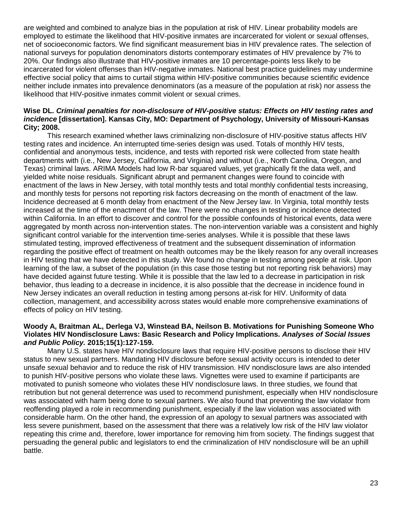are weighted and combined to analyze bias in the population at risk of HIV. Linear probability models are employed to estimate the likelihood that HIV-positive inmates are incarcerated for violent or sexual offenses, net of socioeconomic factors. We find significant measurement bias in HIV prevalence rates. The selection of national surveys for population denominators distorts contemporary estimates of HIV prevalence by 7% to 20%. Our findings also illustrate that HIV-positive inmates are 10 percentage-points less likely to be incarcerated for violent offenses than HIV-negative inmates. National best practice guidelines may undermine effective social policy that aims to curtail stigma within HIV-positive communities because scientific evidence neither include inmates into prevalence denominators (as a measure of the population at risk) nor assess the likelihood that HIV-positive inmates commit violent or sexual crimes.

## **Wise DL.** *Criminal penalties for non-disclosure of HIV-positive status: Effects on HIV testing rates and incidence* **[dissertation]. Kansas City, MO: Department of Psychology, University of Missouri-Kansas City; 2008.**

This research examined whether laws criminalizing non-disclosure of HIV-positive status affects HIV testing rates and incidence. An interrupted time-series design was used. Totals of monthly HIV tests, confidential and anonymous tests, incidence, and tests with reported risk were collected from state health departments with (i.e., New Jersey, California, and Virginia) and without (i.e., North Carolina, Oregon, and Texas) criminal laws. ARIMA Models had low R-bar squared values, yet graphically fit the data well, and yielded white noise residuals. Significant abrupt and permanent changes were found to coincide with enactment of the laws in New Jersey, with total monthly tests and total monthly confidential tests increasing, and monthly tests for persons not reporting risk factors decreasing on the month of enactment of the law. Incidence decreased at 6 month delay from enactment of the New Jersey law. In Virginia, total monthly tests increased at the time of the enactment of the law. There were no changes in testing or incidence detected within California. In an effort to discover and control for the possible confounds of historical events, data were aggregated by month across non-intervention states. The non-intervention variable was a consistent and highly significant control variable for the intervention time-series analyses. While it is possible that these laws stimulated testing, improved effectiveness of treatment and the subsequent dissemination of information regarding the positive effect of treatment on health outcomes may be the likely reason for any overall increases in HIV testing that we have detected in this study. We found no change in testing among people at risk. Upon learning of the law, a subset of the population (in this case those testing but not reporting risk behaviors) may have decided against future testing. While it is possible that the law led to a decrease in participation in risk behavior, thus leading to a decrease in incidence, it is also possible that the decrease in incidence found in New Jersey indicates an overall reduction in testing among persons at-risk for HIV. Uniformity of data collection, management, and accessibility across states would enable more comprehensive examinations of effects of policy on HIV testing.

### **Woody A, Braitman AL, Derlega VJ, Winstead BA, Neilson B. Motivations for Punishing Someone Who Violates HIV Nondisclosure Laws: Basic Research and Policy Implications.** *Analyses of Social Issues and Public Policy.* **2015;15(1):127-159.**

Many U.S. states have HIV nondisclosure laws that require HIV-positive persons to disclose their HIV status to new sexual partners. Mandating HIV disclosure before sexual activity occurs is intended to deter unsafe sexual behavior and to reduce the risk of HIV transmission. HIV nondisclosure laws are also intended to punish HIV-positive persons who violate these laws. Vignettes were used to examine if participants are motivated to punish someone who violates these HIV nondisclosure laws. In three studies, we found that retribution but not general deterrence was used to recommend punishment, especially when HIV nondisclosure was associated with harm being done to sexual partners. We also found that preventing the law violator from reoffending played a role in recommending punishment, especially if the law violation was associated with considerable harm. On the other hand, the expression of an apology to sexual partners was associated with less severe punishment, based on the assessment that there was a relatively low risk of the HIV law violator repeating this crime and, therefore, lower importance for removing him from society. The findings suggest that persuading the general public and legislators to end the criminalization of HIV nondisclosure will be an uphill battle.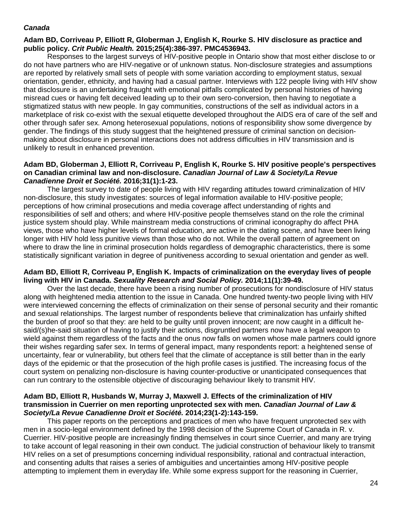## <span id="page-24-0"></span>*Canada*

## **Adam BD, Corriveau P, Elliott R, Globerman J, English K, Rourke S. HIV disclosure as practice and public policy.** *Crit Public Health.* **2015;25(4):386-397. PMC4536943.**

Responses to the largest surveys of HIV-positive people in Ontario show that most either disclose to or do not have partners who are HIV-negative or of unknown status. Non-disclosure strategies and assumptions are reported by relatively small sets of people with some variation according to employment status, sexual orientation, gender, ethnicity, and having had a casual partner. Interviews with 122 people living with HIV show that disclosure is an undertaking fraught with emotional pitfalls complicated by personal histories of having misread cues or having felt deceived leading up to their own sero-conversion, then having to negotiate a stigmatized status with new people. In gay communities, constructions of the self as individual actors in a marketplace of risk co-exist with the sexual etiquette developed throughout the AIDS era of care of the self and other through safer sex. Among heterosexual populations, notions of responsibility show some divergence by gender. The findings of this study suggest that the heightened pressure of criminal sanction on decisionmaking about disclosure in personal interactions does not address difficulties in HIV transmission and is unlikely to result in enhanced prevention.

### **Adam BD, Globerman J, Elliott R, Corriveau P, English K, Rourke S. HIV positive people's perspectives on Canadian criminal law and non-disclosure.** *Canadian Journal of Law & Society/La Revue Canadienne Droit et Société.* **2016;31(1):1-23.**

The largest survey to date of people living with HIV regarding attitudes toward criminalization of HIV non-disclosure, this study investigates: sources of legal information available to HIV-positive people; perceptions of how criminal prosecutions and media coverage affect understanding of rights and responsibilities of self and others; and where HIV-positive people themselves stand on the role the criminal justice system should play. While mainstream media constructions of criminal iconography do affect PHA views, those who have higher levels of formal education, are active in the dating scene, and have been living longer with HIV hold less punitive views than those who do not. While the overall pattern of agreement on where to draw the line in criminal prosecution holds regardless of demographic characteristics, there is some statistically significant variation in degree of punitiveness according to sexual orientation and gender as well.

## **Adam BD, Elliott R, Corriveau P, English K. Impacts of criminalization on the everyday lives of people living with HIV in Canada.** *Sexuality Research and Social Policy.* **2014;11(1):39-49.**

Over the last decade, there have been a rising number of prosecutions for nondisclosure of HIV status along with heightened media attention to the issue in Canada. One hundred twenty-two people living with HIV were interviewed concerning the effects of criminalization on their sense of personal security and their romantic and sexual relationships. The largest number of respondents believe that criminalization has unfairly shifted the burden of proof so that they: are held to be guilty until proven innocent; are now caught in a difficult hesaid/(s)he-said situation of having to justify their actions, disgruntled partners now have a legal weapon to wield against them regardless of the facts and the onus now falls on women whose male partners could ignore their wishes regarding safer sex. In terms of general impact, many respondents report: a heightened sense of uncertainty, fear or vulnerability, but others feel that the climate of acceptance is still better than in the early days of the epidemic or that the prosecution of the high profile cases is justified. The increasing focus of the court system on penalizing non-disclosure is having counter-productive or unanticipated consequences that can run contrary to the ostensible objective of discouraging behaviour likely to transmit HIV.

## **Adam BD, Elliott R, Husbands W, Murray J, Maxwell J. Effects of the criminalization of HIV transmission in Cuerrier on men reporting unprotected sex with men.** *Canadian Journal of Law & Society/La Revue Canadienne Droit et Société.* **2014;23(1-2):143-159.**

This paper reports on the perceptions and practices of men who have frequent unprotected sex with men in a socio-legal environment defined by the 1998 decision of the Supreme Court of Canada in R. v. Cuerrier. HIV-positive people are increasingly finding themselves in court since Cuerrier, and many are trying to take account of legal reasoning in their own conduct. The judicial construction of behaviour likely to transmit HIV relies on a set of presumptions concerning individual responsibility, rational and contractual interaction, and consenting adults that raises a series of ambiguities and uncertainties among HIV-positive people attempting to implement them in everyday life. While some express support for the reasoning in Cuerrier,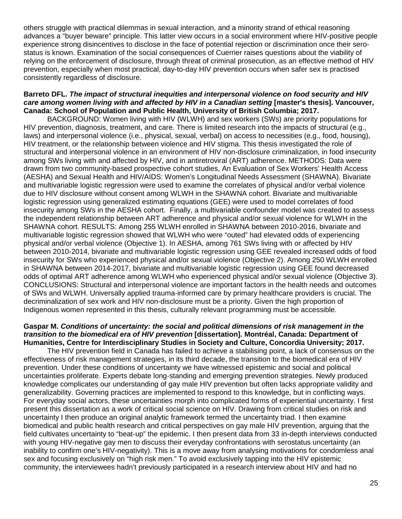others struggle with practical dilemmas in sexual interaction, and a minority strand of ethical reasoning advances a "buyer beware" principle. This latter view occurs in a social environment where HIV-positive people experience strong disincentives to disclose in the face of potential rejection or discrimination once their serostatus is known. Examination of the social consequences of Cuerrier raises questions about the viability of relying on the enforcement of disclosure, through threat of criminal prosecution, as an effective method of HIV prevention, especially when most practical, day-to-day HIV prevention occurs when safer sex is practised consistently regardless of disclosure.

## **Barreto DFL.** *The impact of structural inequities and interpersonal violence on food security and HIV care among women living with and affected by HIV in a Canadian setting* **[master's thesis]. Vancouver, Canada: School of Population and Public Health, University of British Columbia; 2017.**

BACKGROUND: Women living with HIV (WLWH) and sex workers (SWs) are priority populations for HIV prevention, diagnosis, treatment, and care. There is limited research into the impacts of structural (e.g., laws) and interpersonal violence (i.e., physical, sexual, verbal) on access to necessities (e.g., food, housing), HIV treatment, or the relationship between violence and HIV stigma. This thesis investigated the role of structural and interpersonal violence in an environment of HIV non-disclosure criminalization, in food insecurity among SWs living with and affected by HIV, and in antiretroviral (ART) adherence. METHODS: Data were drawn from two community-based prospective cohort studies, An Evaluation of Sex Workers' Health Access (AESHA) and Sexual Health and HIV/AIDS: Women's Longitudinal Needs Assessment (SHAWNA). Bivariate and multivariable logistic regression were used to examine the correlates of physical and/or verbal violence due to HIV disclosure without consent among WLWH in the SHAWNA cohort. Bivariate and multivariable logistic regression using generalized estimating equations (GEE) were used to model correlates of food insecurity among SWs in the AESHA cohort. Finally, a multivariable confounder model was created to assess the independent relationship between ART adherence and physical and/or sexual violence for WLWH in the SHAWNA cohort. RESULTS: Among 255 WLWH enrolled in SHAWNA between 2010-2016, bivariate and multivariable logistic regression showed that WLWH who were "outed" had elevated odds of experiencing physical and/or verbal violence (Objective 1). In AESHA, among 761 SWs living with or affected by HIV between 2010-2014, bivariate and multivariable logistic regression using GEE revealed increased odds of food insecurity for SWs who experienced physical and/or sexual violence (Objective 2). Among 250 WLWH enrolled in SHAWNA between 2014-2017, bivariate and multivariable logistic regression using GEE found decreased odds of optimal ART adherence among WLWH who experienced physical and/or sexual violence (Objective 3). CONCLUSIONS: Structural and interpersonal violence are important factors in the health needs and outcomes of SWs and WLWH. Universally applied trauma-informed care by primary healthcare providers is crucial. The decriminalization of sex work and HIV non-disclosure must be a priority. Given the high proportion of Indigenous women represented in this thesis, culturally relevant programming must be accessible.

## **Gaspar M.** *Conditions of uncertainty: the social and political dimensions of risk management in the transition to the biomedical era of HIV prevention* **[dissertation]. Montréal, Canada: Department of Humanities, Centre for Interdisciplinary Studies in Society and Culture, Concordia University; 2017.**

The HIV prevention field in Canada has failed to achieve a stabilising point, a lack of consensus on the effectiveness of risk management strategies, in its third decade, the transition to the biomedical era of HIV prevention. Under these conditions of uncertainty we have witnessed epistemic and social and political uncertainties proliferate. Experts debate long-standing and emerging prevention strategies. Newly produced knowledge complicates our understanding of gay male HIV prevention but often lacks appropriate validity and generalizability. Governing practices are implemented to respond to this knowledge, but in conflicting ways. For everyday social actors, these uncertainties morph into complicated forms of experiential uncertainty. I first present this dissertation as a work of critical social science on HIV. Drawing from critical studies on risk and uncertainty I then produce an original analytic framework termed the uncertainty triad. I then examine biomedical and public health research and critical perspectives on gay male HIV prevention, arguing that the field cultivates uncertainty to "beat-up" the epidemic. I then present data from 33 in-depth interviews conducted with young HIV-negative gay men to discuss their everyday confrontations with serostatus uncertainty (an inability to confirm one's HIV-negativity). This is a move away from analysing motivations for condomless anal sex and focusing exclusively on "high risk men." To avoid exclusively tapping into the HIV epistemic community, the interviewees hadn't previously participated in a research interview about HIV and had no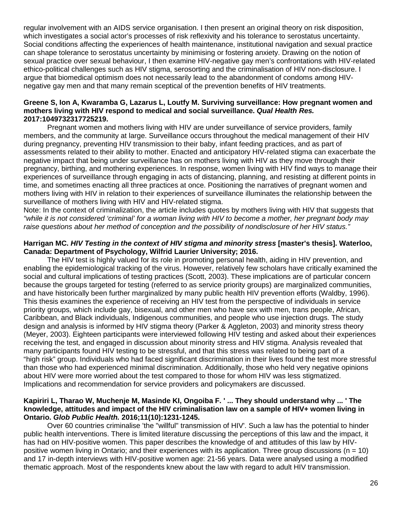regular involvement with an AIDS service organisation. I then present an original theory on risk disposition, which investigates a social actor's processes of risk reflexivity and his tolerance to serostatus uncertainty. Social conditions affecting the experiences of health maintenance, institutional navigation and sexual practice can shape tolerance to serostatus uncertainty by minimising or fostering anxiety. Drawing on the notion of sexual practice over sexual behaviour, I then examine HIV-negative gay men's confrontations with HIV-related ethico-political challenges such as HIV stigma, serosorting and the criminalisation of HIV non-disclosure. I argue that biomedical optimism does not necessarily lead to the abandonment of condoms among HIVnegative gay men and that many remain sceptical of the prevention benefits of HIV treatments.

#### **Greene S, Ion A, Kwaramba G, Lazarus L, Loutfy M. Surviving surveillance: How pregnant women and mothers living with HIV respond to medical and social surveillance.** *Qual Health Res.*  **2017:1049732317725219.**

Pregnant women and mothers living with HIV are under surveillance of service providers, family members, and the community at large. Surveillance occurs throughout the medical management of their HIV during pregnancy, preventing HIV transmission to their baby, infant feeding practices, and as part of assessments related to their ability to mother. Enacted and anticipatory HIV-related stigma can exacerbate the negative impact that being under surveillance has on mothers living with HIV as they move through their pregnancy, birthing, and mothering experiences. In response, women living with HIV find ways to manage their experiences of surveillance through engaging in acts of distancing, planning, and resisting at different points in time, and sometimes enacting all three practices at once. Positioning the narratives of pregnant women and mothers living with HIV in relation to their experiences of surveillance illuminates the relationship between the surveillance of mothers living with HIV and HIV-related stigma.

Note: In the context of criminalization, the article includes quotes by mothers living with HIV that suggests that *"while it is not considered 'criminal' for a woman living with HIV to become a mother, her pregnant body may raise questions about her method of conception and the possibility of nondisclosure of her HIV status."*

## **Harrigan MC.** *HIV Testing in the context of HIV stigma and minority stress* **[master's thesis]. Waterloo, Canada: Department of Psychology, Wilfrid Laurier University; 2016.**

The HIV test is highly valued for its role in promoting personal health, aiding in HIV prevention, and enabling the epidemiological tracking of the virus. However, relatively few scholars have critically examined the social and cultural implications of testing practices (Scott, 2003). These implications are of particular concern because the groups targeted for testing (referred to as service priority groups) are marginalized communities, and have historically been further marginalized by many public health HIV prevention efforts (Waldby, 1996). This thesis examines the experience of receiving an HIV test from the perspective of individuals in service priority groups, which include gay, bisexual, and other men who have sex with men, trans people, African, Caribbean, and Black individuals, Indigenous communities, and people who use injection drugs. The study design and analysis is informed by HIV stigma theory (Parker & Aggleton, 2003) and minority stress theory (Meyer, 2003). Eighteen participants were interviewed following HIV testing and asked about their experiences receiving the test, and engaged in discussion about minority stress and HIV stigma. Analysis revealed that many participants found HIV testing to be stressful, and that this stress was related to being part of a "high risk" group. Individuals who had faced significant discrimination in their lives found the test more stressful than those who had experienced minimal discrimination. Additionally, those who held very negative opinions about HIV were more worried about the test compared to those for whom HIV was less stigmatized. Implications and recommendation for service providers and policymakers are discussed.

## **Kapiriri L, Tharao W, Muchenje M, Masinde KI, Ongoiba F. ' ... They should understand why ... ' The knowledge, attitudes and impact of the HIV criminalisation law on a sample of HIV+ women living in Ontario.** *Glob Public Health.* **2016;11(10):1231-1245.**

Over 60 countries criminalise 'the "willful" transmission of HIV'. Such a law has the potential to hinder public health interventions. There is limited literature discussing the perceptions of this law and the impact, it has had on HIV-positive women. This paper describes the knowledge of and attitudes of this law by HIVpositive women living in Ontario; and their experiences with its application. Three group discussions ( $n = 10$ ) and 17 in-depth interviews with HIV-positive women age: 21-56 years. Data were analysed using a modified thematic approach. Most of the respondents knew about the law with regard to adult HIV transmission.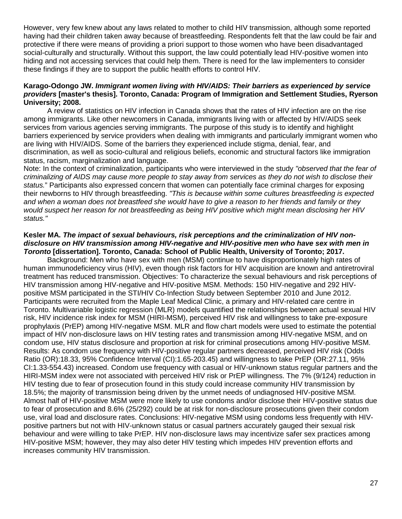However, very few knew about any laws related to mother to child HIV transmission, although some reported having had their children taken away because of breastfeeding. Respondents felt that the law could be fair and protective if there were means of providing a priori support to those women who have been disadvantaged social-culturally and structurally. Without this support, the law could potentially lead HIV-positive women into hiding and not accessing services that could help them. There is need for the law implementers to consider these findings if they are to support the public health efforts to control HIV.

## **Karago-Odongo JW.** *Immigrant women living with HIV/AIDS: Their barriers as experienced by service providers* **[master's thesis]. Toronto, Canada: Program of Immigration and Settlement Studies, Ryerson University; 2008.**

A review of statistics on HIV infection in Canada shows that the rates of HIV infection are on the rise among immigrants. Like other newcomers in Canada, immigrants living with or affected by HIV/AIDS seek services from various agencies serving immigrants. The purpose of this study is to identify and highlight barriers experienced by service providers when dealing with immigrants and particularly immigrant women who are living with HIV/AIDS. Some of the barriers they experienced include stigma, denial, fear, and discrimination, as well as socio-cultural and religious beliefs, economic and structural factors like immigration status, racism, marginalization and language.

Note: In the context of criminalization, participants who were interviewed in the study *"observed that the fear of criminalizing of AIDS may cause more people to stay away from services as they do not wish to disclose their status.*" Participants also expressed concern that women can potentially face criminal charges for exposing their newborns to HIV through breastfeeding. *"This is because within some cultures breastfeeding is expected and when a woman does not breastfeed she would have to give a reason to her friends and family or they would suspect her reason for not breastfeeding as being HIV positive which might mean disclosing her HIV status."*

## **Kesler MA.** *The impact of sexual behaviours, risk perceptions and the criminalization of HIV nondisclosure on HIV transmission among HIV-negative and HIV-positive men who have sex with men in Toronto* **[dissertation]. Toronto, Canada: School of Public Health, University of Toronto; 2017.**

Background: Men who have sex with men (MSM) continue to have disproportionately high rates of human immunodeficiency virus (HIV), even though risk factors for HIV acquisition are known and antiretroviral treatment has reduced transmission. Objectives: To characterize the sexual behaviours and risk perceptions of HIV transmission among HIV-negative and HIV-positive MSM. Methods: 150 HIV-negative and 292 HIVpositive MSM participated in the STI/HIV Co-Infection Study between September 2010 and June 2012. Participants were recruited from the Maple Leaf Medical Clinic, a primary and HIV-related care centre in Toronto. Multivariable logistic regression (MLR) models quantified the relationships between actual sexual HIV risk, HIV incidence risk index for MSM (HIRI-MSM), perceived HIV risk and willingness to take pre-exposure prophylaxis (PrEP) among HIV-negative MSM. MLR and flow chart models were used to estimate the potential impact of HIV non-disclosure laws on HIV testing rates and transmission among HIV-negative MSM, and on condom use, HIV status disclosure and proportion at risk for criminal prosecutions among HIV-positive MSM. Results: As condom use frequency with HIV-positive regular partners decreased, perceived HIV risk (Odds Ratio (OR):18.33, 95% Confidence Interval (CI):1.65-203.45) and willingness to take PrEP (OR:27.11, 95% CI:1.33-554.43) increased. Condom use frequency with casual or HIV-unknown status regular partners and the HIRI-MSM index were not associated with perceived HIV risk or PrEP willingness. The 7% (9/124) reduction in HIV testing due to fear of prosecution found in this study could increase community HIV transmission by 18.5%; the majority of transmission being driven by the unmet needs of undiagnosed HIV-positive MSM. Almost half of HIV-positive MSM were more likely to use condoms and/or disclose their HIV-positive status due to fear of prosecution and 8.6% (25/292) could be at risk for non-disclosure prosecutions given their condom use, viral load and disclosure rates. Conclusions: HIV-negative MSM using condoms less frequently with HIVpositive partners but not with HIV-unknown status or casual partners accurately gauged their sexual risk behaviour and were willing to take PrEP. HIV non-disclosure laws may incentivize safer sex practices among HIV-positive MSM; however, they may also deter HIV testing which impedes HIV prevention efforts and increases community HIV transmission.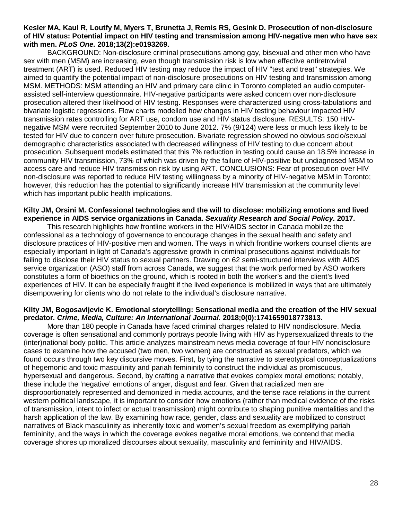## **Kesler MA, Kaul R, Loutfy M, Myers T, Brunetta J, Remis RS, Gesink D. Prosecution of non-disclosure of HIV status: Potential impact on HIV testing and transmission among HIV-negative men who have sex with men.** *PLoS One.* **2018;13(2):e0193269.**

BACKGROUND: Non-disclosure criminal prosecutions among gay, bisexual and other men who have sex with men (MSM) are increasing, even though transmission risk is low when effective antiretroviral treatment (ART) is used. Reduced HIV testing may reduce the impact of HIV "test and treat" strategies. We aimed to quantify the potential impact of non-disclosure prosecutions on HIV testing and transmission among MSM. METHODS: MSM attending an HIV and primary care clinic in Toronto completed an audio computerassisted self-interview questionnaire. HIV-negative participants were asked concern over non-disclosure prosecution altered their likelihood of HIV testing. Responses were characterized using cross-tabulations and bivariate logistic regressions. Flow charts modelled how changes in HIV testing behaviour impacted HIV transmission rates controlling for ART use, condom use and HIV status disclosure. RESULTS: 150 HIVnegative MSM were recruited September 2010 to June 2012. 7% (9/124) were less or much less likely to be tested for HIV due to concern over future prosecution. Bivariate regression showed no obvious socio/sexual demographic characteristics associated with decreased willingness of HIV testing to due concern about prosecution. Subsequent models estimated that this 7% reduction in testing could cause an 18.5% increase in community HIV transmission, 73% of which was driven by the failure of HIV-positive but undiagnosed MSM to access care and reduce HIV transmission risk by using ART. CONCLUSIONS: Fear of prosecution over HIV non-disclosure was reported to reduce HIV testing willingness by a minority of HIV-negative MSM in Toronto; however, this reduction has the potential to significantly increase HIV transmission at the community level which has important public health implications.

## **Kilty JM, Orsini M. Confessional technologies and the will to disclose: mobilizing emotions and lived experience in AIDS service organizations in Canada.** *Sexuality Research and Social Policy.* **2017.**

This research highlights how frontline workers in the HIV/AIDS sector in Canada mobilize the confessional as a technology of governance to encourage changes in the sexual health and safety and disclosure practices of HIV-positive men and women. The ways in which frontline workers counsel clients are especially important in light of Canada's aggressive growth in criminal prosecutions against individuals for failing to disclose their HIV status to sexual partners. Drawing on 62 semi-structured interviews with AIDS service organization (ASO) staff from across Canada, we suggest that the work performed by ASO workers constitutes a form of bioethics on the ground, which is rooted in both the worker's and the client's lived experiences of HIV. It can be especially fraught if the lived experience is mobilized in ways that are ultimately disempowering for clients who do not relate to the individual's disclosure narrative.

## **Kilty JM, Bogosavljevic K. Emotional storytelling: Sensational media and the creation of the HIV sexual predator.** *Crime, Media, Culture: An International Journal.* **2018;0(0):1741659018773813.**

More than 180 people in Canada have faced criminal charges related to HIV nondisclosure. Media coverage is often sensational and commonly portrays people living with HIV as hypersexualized threats to the (inter)national body politic. This article analyzes mainstream news media coverage of four HIV nondisclosure cases to examine how the accused (two men, two women) are constructed as sexual predators, which we found occurs through two key discursive moves. First, by tying the narrative to stereotypical conceptualizations of hegemonic and toxic masculinity and pariah femininity to construct the individual as promiscuous, hypersexual and dangerous. Second, by crafting a narrative that evokes complex moral emotions; notably, these include the 'negative' emotions of anger, disgust and fear. Given that racialized men are disproportionately represented and demonized in media accounts, and the tense race relations in the current western political landscape, it is important to consider how emotions (rather than medical evidence of the risks of transmission, intent to infect or actual transmission) might contribute to shaping punitive mentalities and the harsh application of the law. By examining how race, gender, class and sexuality are mobilized to construct narratives of Black masculinity as inherently toxic and women's sexual freedom as exemplifying pariah femininity, and the ways in which the coverage evokes negative moral emotions, we contend that media coverage shores up moralized discourses about sexuality, masculinity and femininity and HIV/AIDS.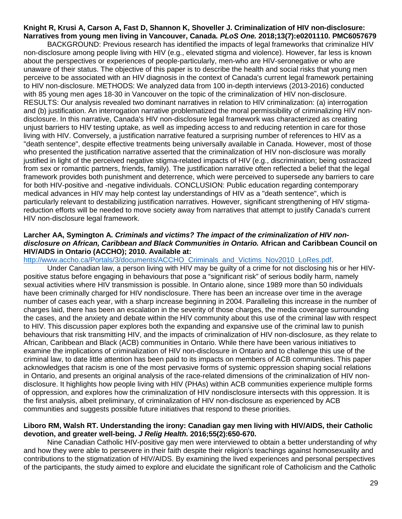# **Knight R, Krusi A, Carson A, Fast D, Shannon K, Shoveller J. Criminalization of HIV non-disclosure: Narratives from young men living in Vancouver, Canada.** *PLoS One.* **2018;13(7):e0201110. PMC6057679**

BACKGROUND: Previous research has identified the impacts of legal frameworks that criminalize HIV non-disclosure among people living with HIV (e.g., elevated stigma and violence). However, far less is known about the perspectives or experiences of people-particularly, men-who are HIV-seronegative or who are unaware of their status. The objective of this paper is to describe the health and social risks that young men perceive to be associated with an HIV diagnosis in the context of Canada's current legal framework pertaining to HIV non-disclosure. METHODS: We analyzed data from 100 in-depth interviews (2013-2016) conducted with 85 young men ages 18-30 in Vancouver on the topic of the criminalization of HIV non-disclosure. RESULTS: Our analysis revealed two dominant narratives in relation to HIV criminalization: (a) interrogation and (b) justification. An interrogation narrative problematized the moral permissibility of criminalizing HIV nondisclosure. In this narrative, Canada's HIV non-disclosure legal framework was characterized as creating unjust barriers to HIV testing uptake, as well as impeding access to and reducing retention in care for those living with HIV. Conversely, a justification narrative featured a surprising number of references to HIV as a "death sentence", despite effective treatments being universally available in Canada. However, most of those who presented the justification narrative asserted that the criminalization of HIV non-disclosure was morally justified in light of the perceived negative stigma-related impacts of HIV (e.g., discrimination; being ostracized from sex or romantic partners, friends, family). The justification narrative often reflected a belief that the legal framework provides both punishment and deterrence, which were perceived to supersede any barriers to care for both HIV-positive and -negative individuals. CONCLUSION: Public education regarding contemporary medical advances in HIV may help contest lay understandings of HIV as a "death sentence", which is particularly relevant to destabilizing justification narratives. However, significant strengthening of HIV stigmareduction efforts will be needed to move society away from narratives that attempt to justify Canada's current HIV non-disclosure legal framework.

## **Larcher AA, Symington A.** *Criminals and victims? The impact of the criminalization of HIV nondisclosure on African, Caribbean and Black Communities in Ontario.* **African and Caribbean Council on HIV/AIDS in Ontario (ACCHO); 2010. Available at:**

[http://www.accho.ca/Portals/3/documents/ACCHO\\_Criminals\\_and\\_Victims\\_Nov2010\\_LoRes.pdf.](http://www.accho.ca/Portals/3/documents/ACCHO_Criminals_and_Victims_Nov2010_LoRes.pdf)

Under Canadian law, a person living with HIV may be guilty of a crime for not disclosing his or her HIVpositive status before engaging in behaviours that pose a "significant risk" of serious bodily harm, namely sexual activities where HIV transmission is possible. In Ontario alone, since 1989 more than 50 individuals have been criminally charged for HIV nondisclosure. There has been an increase over time in the average number of cases each year, with a sharp increase beginning in 2004. Paralleling this increase in the number of charges laid, there has been an escalation in the severity of those charges, the media coverage surrounding the cases, and the anxiety and debate within the HIV community about this use of the criminal law with respect to HIV. This discussion paper explores both the expanding and expansive use of the criminal law to punish behaviours that risk transmitting HIV, and the impacts of criminalization of HIV non-disclosure, as they relate to African, Caribbean and Black (ACB) communities in Ontario. While there have been various initiatives to examine the implications of criminalization of HIV non-disclosure in Ontario and to challenge this use of the criminal law, to date little attention has been paid to its impacts on members of ACB communities. This paper acknowledges that racism is one of the most pervasive forms of systemic oppression shaping social relations in Ontario, and presents an original analysis of the race-related dimensions of the criminalization of HIV nondisclosure. It highlights how people living with HIV (PHAs) within ACB communities experience multiple forms of oppression, and explores how the criminalization of HIV nondisclosure intersects with this oppression. It is the first analysis, albeit preliminary, of criminalization of HIV non-disclosure as experienced by ACB communities and suggests possible future initiatives that respond to these priorities.

## **Liboro RM, Walsh RT. Understanding the irony: Canadian gay men living with HIV/AIDS, their Catholic devotion, and greater well-being.** *J Relig Health.* **2016;55(2):650-670.**

Nine Canadian Catholic HIV-positive gay men were interviewed to obtain a better understanding of why and how they were able to persevere in their faith despite their religion's teachings against homosexuality and contributions to the stigmatization of HIV/AIDS. By examining the lived experiences and personal perspectives of the participants, the study aimed to explore and elucidate the significant role of Catholicism and the Catholic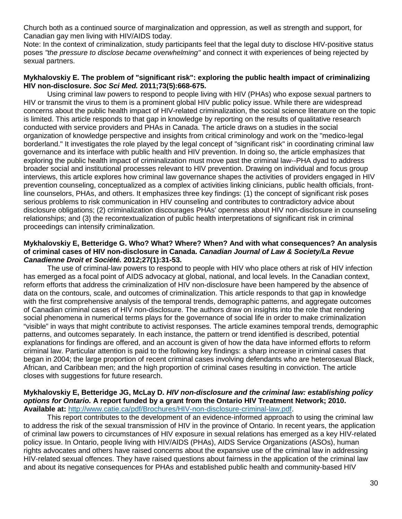Church both as a continued source of marginalization and oppression, as well as strength and support, for Canadian gay men living with HIV/AIDS today.

Note: In the context of criminalization, study participants feel that the legal duty to disclose HIV-positive status poses *"the pressure to disclose became overwhelming"* and connect it with experiences of being rejected by sexual partners.

## **Mykhalovskiy E. The problem of "significant risk": exploring the public health impact of criminalizing HIV non-disclosure.** *Soc Sci Med.* **2011;73(5):668-675.**

Using criminal law powers to respond to people living with HIV (PHAs) who expose sexual partners to HIV or transmit the virus to them is a prominent global HIV public policy issue. While there are widespread concerns about the public health impact of HIV-related criminalization, the social science literature on the topic is limited. This article responds to that gap in knowledge by reporting on the results of qualitative research conducted with service providers and PHAs in Canada. The article draws on a studies in the social organization of knowledge perspective and insights from critical criminology and work on the "medico-legal borderland." It investigates the role played by the legal concept of "significant risk" in coordinating criminal law governance and its interface with public health and HIV prevention. In doing so, the article emphasizes that exploring the public health impact of criminalization must move past the criminal law--PHA dyad to address broader social and institutional processes relevant to HIV prevention. Drawing on individual and focus group interviews, this article explores how criminal law governance shapes the activities of providers engaged in HIV prevention counseling, conceptualized as a complex of activities linking clinicians, public health officials, frontline counselors, PHAs, and others. It emphasizes three key findings: (1) the concept of significant risk poses serious problems to risk communication in HIV counseling and contributes to contradictory advice about disclosure obligations; (2) criminalization discourages PHAs' openness about HIV non-disclosure in counseling relationships; and (3) the recontextualization of public health interpretations of significant risk in criminal proceedings can intensify criminalization.

## **Mykhalovskiy E, Betteridge G. Who? What? Where? When? And with what consequences? An analysis of criminal cases of HIV non-disclosure in Canada.** *Canadian Journal of Law & Society/La Revue Canadienne Droit et Société.* **2012;27(1):31-53.**

The use of criminal-law powers to respond to people with HIV who place others at risk of HIV infection has emerged as a focal point of AIDS advocacy at global, national, and local levels. In the Canadian context, reform efforts that address the criminalization of HIV non-disclosure have been hampered by the absence of data on the contours, scale, and outcomes of criminalization. This article responds to that gap in knowledge with the first comprehensive analysis of the temporal trends, demographic patterns, and aggregate outcomes of Canadian criminal cases of HIV non-disclosure. The authors draw on insights into the role that rendering social phenomena in numerical terms plays for the governance of social life in order to make criminalization "visible" in ways that might contribute to activist responses. The article examines temporal trends, demographic patterns, and outcomes separately. In each instance, the pattern or trend identified is described, potential explanations for findings are offered, and an account is given of how the data have informed efforts to reform criminal law. Particular attention is paid to the following key findings: a sharp increase in criminal cases that began in 2004; the large proportion of recent criminal cases involving defendants who are heterosexual Black, African, and Caribbean men; and the high proportion of criminal cases resulting in conviction. The article closes with suggestions for future research.

#### **Mykhalovskiy E, Betteridge JG, McLay D.** *HIV non-disclosure and the criminal law: establishing policy options for Ontario.* **A report funded by a grant from the Ontario HIV Treatment Network; 2010. Available at:** [http://www.catie.ca/pdf/Brochures/HIV-non-disclosure-criminal-law.pdf.](http://www.catie.ca/pdf/Brochures/HIV-non-disclosure-criminal-law.pdf)

This report contributes to the development of an evidence-informed approach to using the criminal law to address the risk of the sexual transmission of HIV in the province of Ontario. In recent years, the application of criminal law powers to circumstances of HIV exposure in sexual relations has emerged as a key HIV-related policy issue. In Ontario, people living with HIV/AIDS (PHAs), AIDS Service Organizations (ASOs), human rights advocates and others have raised concerns about the expansive use of the criminal law in addressing HIV-related sexual offences. They have raised questions about fairness in the application of the criminal law and about its negative consequences for PHAs and established public health and community-based HIV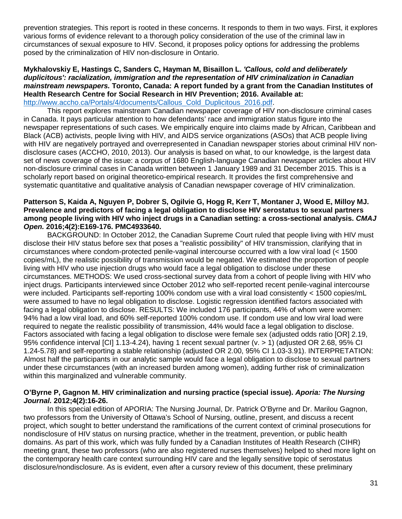prevention strategies. This report is rooted in these concerns. It responds to them in two ways. First, it explores various forms of evidence relevant to a thorough policy consideration of the use of the criminal law in circumstances of sexual exposure to HIV. Second, it proposes policy options for addressing the problems posed by the criminalization of HIV non-disclosure in Ontario.

#### **Mykhalovskiy E, Hastings C, Sanders C, Hayman M, Bisaillon L.** *'Callous, cold and deliberately duplicitous': racialization, immigration and the representation of HIV criminalization in Canadian mainstream newspapers.* **Toronto, Canada: A report funded by a grant from the Canadian Institutes of Health Research Centre for Social Research in HIV Prevention; 2016. Available at:**  [http://www.accho.ca/Portals/4/documents/Callous\\_Cold\\_Duplicitous\\_2016.pdf.](http://www.accho.ca/Portals/4/documents/Callous_Cold_Duplicitous_2016.pdf)

This report explores mainstream Canadian newspaper coverage of HIV non-disclosure criminal cases in Canada. It pays particular attention to how defendants' race and immigration status figure into the newspaper representations of such cases. We empirically enquire into claims made by African, Caribbean and Black (ACB) activists, people living with HIV, and AIDS service organizations (ASOs) that ACB people living with HIV are negatively portrayed and overrepresented in Canadian newspaper stories about criminal HIV nondisclosure cases (ACCHO, 2010, 2013). Our analysis is based on what, to our knowledge, is the largest data set of news coverage of the issue: a corpus of 1680 English-language Canadian newspaper articles about HIV non-disclosure criminal cases in Canada written between 1 January 1989 and 31 December 2015. This is a scholarly report based on original theoretico-empirical research. It provides the first comprehensive and systematic quantitative and qualitative analysis of Canadian newspaper coverage of HIV criminalization.

## **Patterson S, Kaida A, Nguyen P, Dobrer S, Ogilvie G, Hogg R, Kerr T, Montaner J, Wood E, Milloy MJ. Prevalence and predictors of facing a legal obligation to disclose HIV serostatus to sexual partners among people living with HIV who inject drugs in a Canadian setting: a cross-sectional analysis.** *CMAJ Open.* **2016;4(2):E169-176. PMC4933640.**

BACKGROUND: In October 2012, the Canadian Supreme Court ruled that people living with HIV must disclose their HIV status before sex that poses a "realistic possibility" of HIV transmission, clarifying that in circumstances where condom-protected penile-vaginal intercourse occurred with a low viral load (< 1500 copies/mL), the realistic possibility of transmission would be negated. We estimated the proportion of people living with HIV who use injection drugs who would face a legal obligation to disclose under these circumstances. METHODS: We used cross-sectional survey data from a cohort of people living with HIV who inject drugs. Participants interviewed since October 2012 who self-reported recent penile-vaginal intercourse were included. Participants self-reporting 100% condom use with a viral load consistently < 1500 copies/mL were assumed to have no legal obligation to disclose. Logistic regression identified factors associated with facing a legal obligation to disclose. RESULTS: We included 176 participants, 44% of whom were women: 94% had a low viral load, and 60% self-reported 100% condom use. If condom use and low viral load were required to negate the realistic possibility of transmission, 44% would face a legal obligation to disclose. Factors associated with facing a legal obligation to disclose were female sex (adjusted odds ratio [OR] 2.19, 95% confidence interval [CI] 1.13-4.24), having 1 recent sexual partner (v. > 1) (adjusted OR 2.68, 95% CI 1.24-5.78) and self-reporting a stable relationship (adjusted OR 2.00, 95% CI 1.03-3.91). INTERPRETATION: Almost half the participants in our analytic sample would face a legal obligation to disclose to sexual partners under these circumstances (with an increased burden among women), adding further risk of criminalization within this marginalized and vulnerable community.

## **O'Byrne P, Gagnon M. HIV criminalization and nursing practice (special issue).** *Aporia: The Nursing Journal.* **2012;4(2):16-26.**

In this special edition of APORIA: The Nursing Journal, Dr. Patrick O'Byrne and Dr. Marilou Gagnon, two professors from the University of Ottawa's School of Nursing, outline, present, and discuss a recent project, which sought to better understand the ramifications of the current context of criminal prosecutions for nondisclosure of HIV status on nursing practice, whether in the treatment, prevention, or public health domains. As part of this work, which was fully funded by a Canadian Institutes of Health Research (CIHR) meeting grant, these two professors (who are also registered nurses themselves) helped to shed more light on the contemporary health care context surrounding HIV care and the legally sensitive topic of serostatus disclosure/nondisclosure. As is evident, even after a cursory review of this document, these preliminary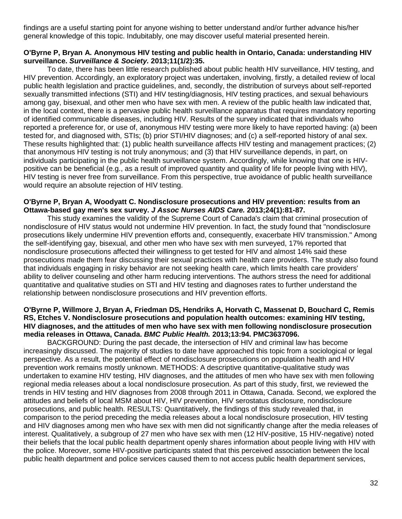findings are a useful starting point for anyone wishing to better understand and/or further advance his/her general knowledge of this topic. Indubitably, one may discover useful material presented herein.

## **O'Byrne P, Bryan A. Anonymous HIV testing and public health in Ontario, Canada: understanding HIV surveillance.** *Surveillance & Society.* **2013;11(1/2):35.**

To date, there has been little research published about public health HIV surveillance, HIV testing, and HIV prevention. Accordingly, an exploratory project was undertaken, involving, firstly, a detailed review of local public health legislation and practice guidelines, and, secondly, the distribution of surveys about self-reported sexually transmitted infections (STI) and HIV testing/diagnosis, HIV testing practices, and sexual behaviours among gay, bisexual, and other men who have sex with men. A review of the public health law indicated that, in the local context, there is a pervasive public health surveillance apparatus that requires mandatory reporting of identified communicable diseases, including HIV. Results of the survey indicated that individuals who reported a preference for, or use of, anonymous HIV testing were more likely to have reported having: (a) been tested for, and diagnosed with, STIs; (b) prior STI/HIV diagnoses; and (c) a self-reported history of anal sex. These results highlighted that: (1) public health surveillance affects HIV testing and management practices; (2) that anonymous HIV testing is not truly anonymous; and (3) that HIV surveillance depends, in part, on individuals participating in the public health surveillance system. Accordingly, while knowing that one is HIVpositive can be beneficial (e.g., as a result of improved quantity and quality of life for people living with HIV), HIV testing is never free from surveillance. From this perspective, true avoidance of public health surveillance would require an absolute rejection of HIV testing.

## **O'Byrne P, Bryan A, Woodyatt C. Nondisclosure prosecutions and HIV prevention: results from an Ottawa-based gay men's sex survey.** *J Assoc Nurses AIDS Care.* **2013;24(1):81-87.**

This study examines the validity of the Supreme Court of Canada's claim that criminal prosecution of nondisclosure of HIV status would not undermine HIV prevention. In fact, the study found that "nondisclosure prosecutions likely undermine HIV prevention efforts and, consequently, exacerbate HIV transmission." Among the self-identifying gay, bisexual, and other men who have sex with men surveyed, 17% reported that nondisclosure prosecutions affected their willingness to get tested for HIV and almost 14% said these prosecutions made them fear discussing their sexual practices with health care providers. The study also found that individuals engaging in risky behavior are not seeking health care, which limits health care providers' ability to deliver counseling and other harm reducing interventions. The authors stress the need for additional quantitative and qualitative studies on STI and HIV testing and diagnoses rates to further understand the relationship between nondisclosure prosecutions and HIV prevention efforts.

## **O'Byrne P, Willmore J, Bryan A, Friedman DS, Hendriks A, Horvath C, Massenat D, Bouchard C, Remis RS, Etches V. Nondisclosure prosecutions and population health outcomes: examining HIV testing, HIV diagnoses, and the attitudes of men who have sex with men following nondisclosure prosecution media releases in Ottawa, Canada.** *BMC Public Health.* **2013;13:94. PMC3637096.**

BACKGROUND: During the past decade, the intersection of HIV and criminal law has become increasingly discussed. The majority of studies to date have approached this topic from a sociological or legal perspective. As a result, the potential effect of nondisclosure prosecutions on population health and HIV prevention work remains mostly unknown. METHODS: A descriptive quantitative-qualitative study was undertaken to examine HIV testing, HIV diagnoses, and the attitudes of men who have sex with men following regional media releases about a local nondisclosure prosecution. As part of this study, first, we reviewed the trends in HIV testing and HIV diagnoses from 2008 through 2011 in Ottawa, Canada. Second, we explored the attitudes and beliefs of local MSM about HIV, HIV prevention, HIV serostatus disclosure, nondisclosure prosecutions, and public health. RESULTS: Quantitatively, the findings of this study revealed that, in comparison to the period preceding the media releases about a local nondisclosure prosecution, HIV testing and HIV diagnoses among men who have sex with men did not significantly change after the media releases of interest. Qualitatively, a subgroup of 27 men who have sex with men (12 HIV-positive, 15 HIV-negative) noted their beliefs that the local public health department openly shares information about people living with HIV with the police. Moreover, some HIV-positive participants stated that this perceived association between the local public health department and police services caused them to not access public health department services,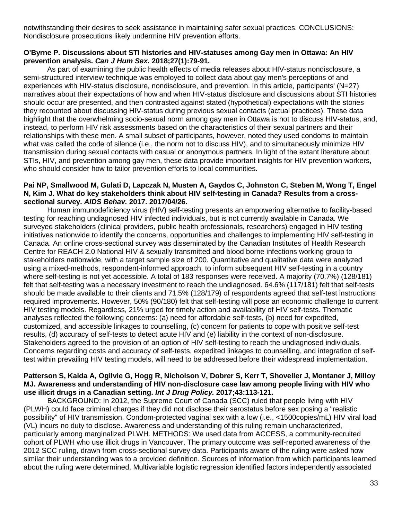notwithstanding their desires to seek assistance in maintaining safer sexual practices. CONCLUSIONS: Nondisclosure prosecutions likely undermine HIV prevention efforts.

## **O'Byrne P. Discussions about STI histories and HIV-statuses among Gay men in Ottawa: An HIV prevention analysis.** *Can J Hum Sex.* **2018;27(1):79-91.**

As part of examining the public health effects of media releases about HIV-status nondisclosure, a semi-structured interview technique was employed to collect data about gay men's perceptions of and experiences with HIV-status disclosure, nondisclosure, and prevention. In this article, participants' (N=27) narratives about their expectations of how and when HIV-status disclosure and discussions about STI histories should occur are presented, and then contrasted against stated (hypothetical) expectations with the stories they recounted about discussing HIV-status during previous sexual contacts (actual practices). These data highlight that the overwhelming socio-sexual norm among gay men in Ottawa is not to discuss HIV-status, and, instead, to perform HIV risk assessments based on the characteristics of their sexual partners and their relationships with these men. A small subset of participants, however, noted they used condoms to maintain what was called the code of silence (i.e., the norm not to discuss HIV), and to simultaneously minimize HIV transmission during sexual contacts with casual or anonymous partners. In light of the extant literature about STIs, HIV, and prevention among gay men, these data provide important insights for HIV prevention workers, who should consider how to tailor prevention efforts to local communities.

## **Pai NP, Smallwood M, Gulati D, Lapczak N, Musten A, Gaydos C, Johnston C, Steben M, Wong T, Engel N, Kim J. What do key stakeholders think about HIV self-testing in Canada? Results from a crosssectional survey.** *AIDS Behav.* **2017. 2017/04/26.**

Human immunodeficiency virus (HIV) self-testing presents an empowering alternative to facility-based testing for reaching undiagnosed HIV infected individuals, but is not currently available in Canada. We surveyed stakeholders (clinical providers, public health professionals, researchers) engaged in HIV testing initiatives nationwide to identify the concerns, opportunities and challenges to implementing HIV self-testing in Canada. An online cross-sectional survey was disseminated by the Canadian Institutes of Health Research Centre for REACH 2.0 National HIV & sexually transmitted and blood borne infections working group to stakeholders nationwide, with a target sample size of 200. Quantitative and qualitative data were analyzed using a mixed-methods, respondent-informed approach, to inform subsequent HIV self-testing in a country where self-testing is not yet accessible. A total of 183 responses were received. A majority (70.7%) (128/181) felt that self-testing was a necessary investment to reach the undiagnosed. 64.6% (117/181) felt that self-tests should be made available to their clients and 71.5% (128/179) of respondents agreed that self-test instructions required improvements. However, 50% (90/180) felt that self-testing will pose an economic challenge to current HIV testing models. Regardless, 21% urged for timely action and availability of HIV self-tests. Thematic analyses reflected the following concerns: (a) need for affordable self-tests, (b) need for expedited, customized, and accessible linkages to counselling, (c) concern for patients to cope with positive self-test results, (d) accuracy of self-tests to detect acute HIV and (e) liability in the context of non-disclosure. Stakeholders agreed to the provision of an option of HIV self-testing to reach the undiagnosed individuals. Concerns regarding costs and accuracy of self-tests, expedited linkages to counselling, and integration of selftest within prevailing HIV testing models, will need to be addressed before their widespread implementation.

#### **Patterson S, Kaida A, Ogilvie G, Hogg R, Nicholson V, Dobrer S, Kerr T, Shoveller J, Montaner J, Milloy MJ. Awareness and understanding of HIV non-disclosure case law among people living with HIV who use illicit drugs in a Canadian setting.** *Int J Drug Policy.* **2017;43:113-121.**

BACKGROUND: In 2012, the Supreme Court of Canada (SCC) ruled that people living with HIV (PLWH) could face criminal charges if they did not disclose their serostatus before sex posing a "realistic possibility" of HIV transmission. Condom-protected vaginal sex with a low (i.e., <1500copies/mL) HIV viral load (VL) incurs no duty to disclose. Awareness and understanding of this ruling remain uncharacterized, particularly among marginalized PLWH. METHODS: We used data from ACCESS, a community-recruited cohort of PLWH who use illicit drugs in Vancouver. The primary outcome was self-reported awareness of the 2012 SCC ruling, drawn from cross-sectional survey data. Participants aware of the ruling were asked how similar their understanding was to a provided definition. Sources of information from which participants learned about the ruling were determined. Multivariable logistic regression identified factors independently associated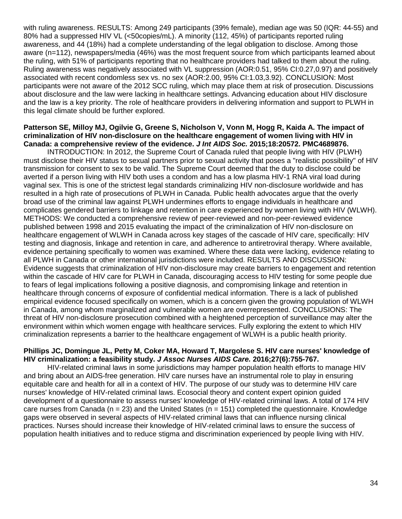with ruling awareness. RESULTS: Among 249 participants (39% female), median age was 50 (IQR: 44-55) and 80% had a suppressed HIV VL (<50copies/mL). A minority (112, 45%) of participants reported ruling awareness, and 44 (18%) had a complete understanding of the legal obligation to disclose. Among those aware (n=112), newspapers/media (46%) was the most frequent source from which participants learned about the ruling, with 51% of participants reporting that no healthcare providers had talked to them about the ruling. Ruling awareness was negatively associated with VL suppression (AOR:0.51, 95% CI:0.27,0.97) and positively associated with recent condomless sex vs. no sex (AOR:2.00, 95% CI:1.03,3.92). CONCLUSION: Most participants were not aware of the 2012 SCC ruling, which may place them at risk of prosecution. Discussions about disclosure and the law were lacking in healthcare settings. Advancing education about HIV disclosure and the law is a key priority. The role of healthcare providers in delivering information and support to PLWH in this legal climate should be further explored.

## **Patterson SE, Milloy MJ, Ogilvie G, Greene S, Nicholson V, Vonn M, Hogg R, Kaida A. The impact of criminalization of HIV non-disclosure on the healthcare engagement of women living with HIV in Canada: a comprehensive review of the evidence.** *J Int AIDS Soc.* **2015;18:20572. PMC4689876.**

INTRODUCTION: In 2012, the Supreme Court of Canada ruled that people living with HIV (PLWH) must disclose their HIV status to sexual partners prior to sexual activity that poses a "realistic possibility" of HIV transmission for consent to sex to be valid. The Supreme Court deemed that the duty to disclose could be averted if a person living with HIV both uses a condom and has a low plasma HIV-1 RNA viral load during vaginal sex. This is one of the strictest legal standards criminalizing HIV non-disclosure worldwide and has resulted in a high rate of prosecutions of PLWH in Canada. Public health advocates argue that the overly broad use of the criminal law against PLWH undermines efforts to engage individuals in healthcare and complicates gendered barriers to linkage and retention in care experienced by women living with HIV (WLWH). METHODS: We conducted a comprehensive review of peer-reviewed and non-peer-reviewed evidence published between 1998 and 2015 evaluating the impact of the criminalization of HIV non-disclosure on healthcare engagement of WLWH in Canada across key stages of the cascade of HIV care, specifically: HIV testing and diagnosis, linkage and retention in care, and adherence to antiretroviral therapy. Where available, evidence pertaining specifically to women was examined. Where these data were lacking, evidence relating to all PLWH in Canada or other international jurisdictions were included. RESULTS AND DISCUSSION: Evidence suggests that criminalization of HIV non-disclosure may create barriers to engagement and retention within the cascade of HIV care for PLWH in Canada, discouraging access to HIV testing for some people due to fears of legal implications following a positive diagnosis, and compromising linkage and retention in healthcare through concerns of exposure of confidential medical information. There is a lack of published empirical evidence focused specifically on women, which is a concern given the growing population of WLWH in Canada, among whom marginalized and vulnerable women are overrepresented. CONCLUSIONS: The threat of HIV non-disclosure prosecution combined with a heightened perception of surveillance may alter the environment within which women engage with healthcare services. Fully exploring the extent to which HIV criminalization represents a barrier to the healthcare engagement of WLWH is a public health priority.

## **Phillips JC, Domingue JL, Petty M, Coker MA, Howard T, Margolese S. HIV care nurses' knowledge of HIV criminalization: a feasibility study.** *J Assoc Nurses AIDS Care.* **2016;27(6):755-767.**

HIV-related criminal laws in some jurisdictions may hamper population health efforts to manage HIV and bring about an AIDS-free generation. HIV care nurses have an instrumental role to play in ensuring equitable care and health for all in a context of HIV. The purpose of our study was to determine HIV care nurses' knowledge of HIV-related criminal laws. Ecosocial theory and content expert opinion guided development of a questionnaire to assess nurses' knowledge of HIV-related criminal laws. A total of 174 HIV care nurses from Canada ( $n = 23$ ) and the United States ( $n = 151$ ) completed the questionnaire. Knowledge gaps were observed in several aspects of HIV-related criminal laws that can influence nursing clinical practices. Nurses should increase their knowledge of HIV-related criminal laws to ensure the success of population health initiatives and to reduce stigma and discrimination experienced by people living with HIV.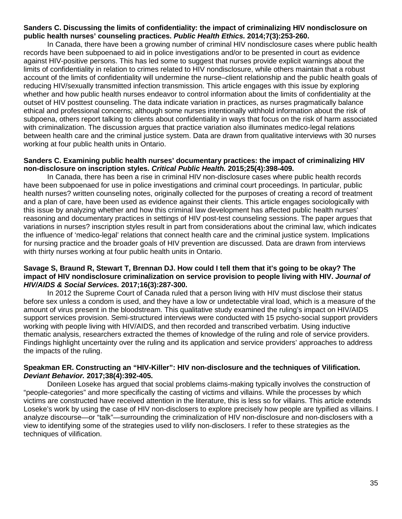## **Sanders C. Discussing the limits of confidentiality: the impact of criminalizing HIV nondisclosure on public health nurses' counseling practices.** *Public Health Ethics.* **2014;7(3):253-260.**

In Canada, there have been a growing number of criminal HIV nondisclosure cases where public health records have been subpoenaed to aid in police investigations and/or to be presented in court as evidence against HIV-positive persons. This has led some to suggest that nurses provide explicit warnings about the limits of confidentiality in relation to crimes related to HIV nondisclosure, while others maintain that a robust account of the limits of confidentiality will undermine the nurse–client relationship and the public health goals of reducing HIV/sexually transmitted infection transmission. This article engages with this issue by exploring whether and how public health nurses endeavor to control information about the limits of confidentiality at the outset of HIV posttest counseling. The data indicate variation in practices, as nurses pragmatically balance ethical and professional concerns; although some nurses intentionally withhold information about the risk of subpoena, others report talking to clients about confidentiality in ways that focus on the risk of harm associated with criminalization. The discussion argues that practice variation also illuminates medico-legal relations between health care and the criminal justice system. Data are drawn from qualitative interviews with 30 nurses working at four public health units in Ontario.

#### **Sanders C. Examining public health nurses' documentary practices: the impact of criminalizing HIV non-disclosure on inscription styles.** *Critical Public Health.* **2015;25(4):398-409.**

In Canada, there has been a rise in criminal HIV non-disclosure cases where public health records have been subpoenaed for use in police investigations and criminal court proceedings. In particular, public health nurses? written counseling notes, originally collected for the purposes of creating a record of treatment and a plan of care, have been used as evidence against their clients. This article engages sociologically with this issue by analyzing whether and how this criminal law development has affected public health nurses' reasoning and documentary practices in settings of HIV post-test counseling sessions. The paper argues that variations in nurses? inscription styles result in part from considerations about the criminal law, which indicates the influence of 'medico-legal' relations that connect health care and the criminal justice system. Implications for nursing practice and the broader goals of HIV prevention are discussed. Data are drawn from interviews with thirty nurses working at four public health units in Ontario.

## **Savage S, Braund R, Stewart T, Brennan DJ. How could I tell them that it's going to be okay? The impact of HIV nondisclosure criminalization on service provision to people living with HIV.** *Journal of HIV/AIDS & Social Services.* **2017;16(3):287-300.**

In 2012 the Supreme Court of Canada ruled that a person living with HIV must disclose their status before sex unless a condom is used, and they have a low or undetectable viral load, which is a measure of the amount of virus present in the bloodstream. This qualitative study examined the ruling's impact on HIV/AIDS support services provision. Semi-structured interviews were conducted with 15 psycho-social support providers working with people living with HIV/AIDS, and then recorded and transcribed verbatim. Using inductive thematic analysis, researchers extracted the themes of knowledge of the ruling and role of service providers. Findings highlight uncertainty over the ruling and its application and service providers' approaches to address the impacts of the ruling.

## **Speakman ER. Constructing an "HIV-Killer": HIV non-disclosure and the techniques of Vilification.**  *Deviant Behavior.* **2017;38(4):392-405.**

Donileen Loseke has argued that social problems claims-making typically involves the construction of "people-categories" and more specifically the casting of victims and villains. While the processes by which victims are constructed have received attention in the literature, this is less so for villains. This article extends Loseke's work by using the case of HIV non-disclosers to explore precisely how people are typified as villains. I analyze discourse—or "talk"—surrounding the criminalization of HIV non-disclosure and non-disclosers with a view to identifying some of the strategies used to vilify non-disclosers. I refer to these strategies as the techniques of vilification.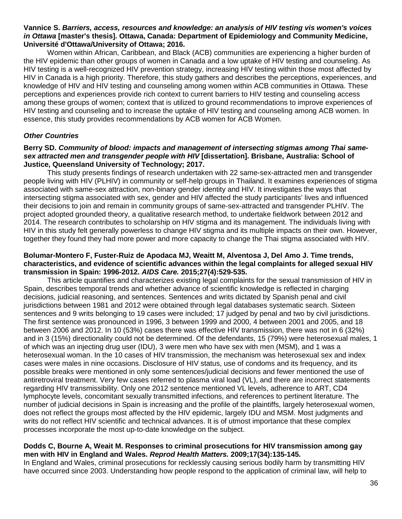# **Vannice S.** *Barriers, access, resources and knowledge: an analysis of HIV testing vis women's voices in Ottawa* **[master's thesis]. Ottawa, Canada: Department of Epidemiology and Community Medicine, Université d'Ottawa/University of Ottawa; 2016.**

Women within African, Caribbean, and Black (ACB) communities are experiencing a higher burden of the HIV epidemic than other groups of women in Canada and a low uptake of HIV testing and counseling. As HIV testing is a well-recognized HIV prevention strategy, increasing HIV testing within those most affected by HIV in Canada is a high priority. Therefore, this study gathers and describes the perceptions, experiences, and knowledge of HIV and HIV testing and counseling among women within ACB communities in Ottawa. These perceptions and experiences provide rich context to current barriers to HIV testing and counseling access among these groups of women; context that is utilized to ground recommendations to improve experiences of HIV testing and counseling and to increase the uptake of HIV testing and counseling among ACB women. In essence, this study provides recommendations by ACB women for ACB Women.

# *Other Countries*

### **Berry SD.** *Community of blood: impacts and management of intersecting stigmas among Thai samesex attracted men and transgender people with HIV* **[dissertation]. Brisbane, Australia: School of Justice, Queensland University of Technology; 2017.**

This study presents findings of research undertaken with 22 same-sex-attracted men and transgender people living with HIV (PLHIV) in community or self-help groups in Thailand. It examines experiences of stigma associated with same-sex attraction, non-binary gender identity and HIV. It investigates the ways that intersecting stigma associated with sex, gender and HIV affected the study participants' lives and influenced their decisions to join and remain in community groups of same-sex-attracted and transgender PLHIV. The project adopted grounded theory, a qualitative research method, to undertake fieldwork between 2012 and 2014. The research contributes to scholarship on HIV stigma and its management. The individuals living with HIV in this study felt generally powerless to change HIV stigma and its multiple impacts on their own. However, together they found they had more power and more capacity to change the Thai stigma associated with HIV.

### **Bolumar-Montero F, Fuster-Ruiz de Apodaca MJ, Weaitt M, Alventosa J, Del Amo J. Time trends, characteristics, and evidence of scientific advances within the legal complaints for alleged sexual HIV transmission in Spain: 1996-2012.** *AIDS Care.* **2015;27(4):529-535.**

This article quantifies and characterizes existing legal complaints for the sexual transmission of HIV in Spain, describes temporal trends and whether advance of scientific knowledge is reflected in charging decisions, judicial reasoning, and sentences. Sentences and writs dictated by Spanish penal and civil jurisdictions between 1981 and 2012 were obtained through legal databases systematic search. Sixteen sentences and 9 writs belonging to 19 cases were included; 17 judged by penal and two by civil jurisdictions. The first sentence was pronounced in 1996, 3 between 1999 and 2000, 4 between 2001 and 2005, and 18 between 2006 and 2012. In 10 (53%) cases there was effective HIV transmission, there was not in 6 (32%) and in 3 (15%) directionality could not be determined. Of the defendants, 15 (79%) were heterosexual males, 1 of which was an injecting drug user (IDU), 3 were men who have sex with men (MSM), and 1 was a heterosexual woman. In the 10 cases of HIV transmission, the mechanism was heterosexual sex and index cases were males in nine occasions. Disclosure of HIV status, use of condoms and its frequency, and its possible breaks were mentioned in only some sentences/judicial decisions and fewer mentioned the use of antiretroviral treatment. Very few cases referred to plasma viral load (VL), and there are incorrect statements regarding HIV transmissibility. Only one 2012 sentence mentioned VL levels, adherence to ART, CD4 lymphocyte levels, concomitant sexually transmitted infections, and references to pertinent literature. The number of judicial decisions in Spain is increasing and the profile of the plaintiffs, largely heterosexual women, does not reflect the groups most affected by the HIV epidemic, largely IDU and MSM. Most judgments and writs do not reflect HIV scientific and technical advances. It is of utmost importance that these complex processes incorporate the most up-to-date knowledge on the subject.

### **Dodds C, Bourne A, Weait M. Responses to criminal prosecutions for HIV transmission among gay men with HIV in England and Wales.** *Reprod Health Matters.* **2009;17(34):135-145.**

In England and Wales, criminal prosecutions for recklessly causing serious bodily harm by transmitting HIV have occurred since 2003. Understanding how people respond to the application of criminal law, will help to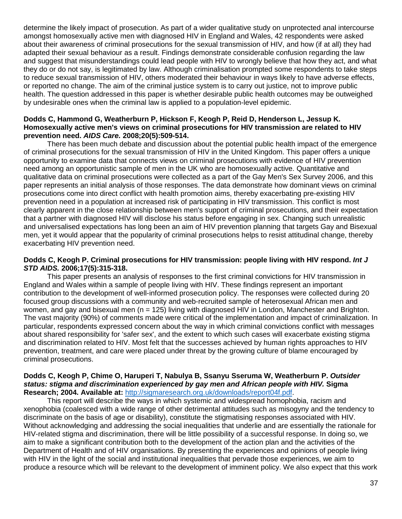determine the likely impact of prosecution. As part of a wider qualitative study on unprotected anal intercourse amongst homosexually active men with diagnosed HIV in England and Wales, 42 respondents were asked about their awareness of criminal prosecutions for the sexual transmission of HIV, and how (if at all) they had adapted their sexual behaviour as a result. Findings demonstrate considerable confusion regarding the law and suggest that misunderstandings could lead people with HIV to wrongly believe that how they act, and what they do or do not say, is legitimated by law. Although criminalisation prompted some respondents to take steps to reduce sexual transmission of HIV, others moderated their behaviour in ways likely to have adverse effects, or reported no change. The aim of the criminal justice system is to carry out justice, not to improve public health. The question addressed in this paper is whether desirable public health outcomes may be outweighed by undesirable ones when the criminal law is applied to a population-level epidemic.

# **Dodds C, Hammond G, Weatherburn P, Hickson F, Keogh P, Reid D, Henderson L, Jessup K. Homosexually active men's views on criminal prosecutions for HIV transmission are related to HIV prevention need.** *AIDS Care.* **2008;20(5):509-514.**

There has been much debate and discussion about the potential public health impact of the emergence of criminal prosecutions for the sexual transmission of HIV in the United Kingdom. This paper offers a unique opportunity to examine data that connects views on criminal prosecutions with evidence of HIV prevention need among an opportunistic sample of men in the UK who are homosexually active. Quantitative and qualitative data on criminal prosecutions were collected as a part of the Gay Men's Sex Survey 2006, and this paper represents an initial analysis of those responses. The data demonstrate how dominant views on criminal prosecutions come into direct conflict with health promotion aims, thereby exacerbating pre-existing HIV prevention need in a population at increased risk of participating in HIV transmission. This conflict is most clearly apparent in the close relationship between men's support of criminal prosecutions, and their expectation that a partner with diagnosed HIV will disclose his status before engaging in sex. Changing such unrealistic and universalised expectations has long been an aim of HIV prevention planning that targets Gay and Bisexual men, yet it would appear that the popularity of criminal prosecutions helps to resist attitudinal change, thereby exacerbating HIV prevention need.

# **Dodds C, Keogh P. Criminal prosecutions for HIV transmission: people living with HIV respond.** *Int J STD AIDS.* **2006;17(5):315-318.**

This paper presents an analysis of responses to the first criminal convictions for HIV transmission in England and Wales within a sample of people living with HIV. These findings represent an important contribution to the development of well-informed prosecution policy. The responses were collected during 20 focused group discussions with a community and web-recruited sample of heterosexual African men and women, and gay and bisexual men (n = 125) living with diagnosed HIV in London, Manchester and Brighton. The vast majority (90%) of comments made were critical of the implementation and impact of criminalization. In particular, respondents expressed concern about the way in which criminal convictions conflict with messages about shared responsibility for 'safer sex', and the extent to which such cases will exacerbate existing stigma and discrimination related to HIV. Most felt that the successes achieved by human rights approaches to HIV prevention, treatment, and care were placed under threat by the growing culture of blame encouraged by criminal prosecutions.

#### **Dodds C, Keogh P, Chime O, Haruperi T, Nabulya B, Ssanyu Sseruma W, Weatherburn P.** *Outsider status: stigma and discrimination experienced by gay men and African people with HIV.* **Sigma Research; 2004. Available at:** [http://sigmaresearch.org.uk/downloads/report04f.pdf.](http://sigmaresearch.org.uk/downloads/report04f.pdf)

This report will describe the ways in which systemic and widespread homophobia, racism and xenophobia (coalesced with a wide range of other detrimental attitudes such as misogyny and the tendency to discriminate on the basis of age or disability), constitute the stigmatising responses associated with HIV. Without acknowledging and addressing the social inequalities that underlie and are essentially the rationale for HIV-related stigma and discrimination, there will be little possibility of a successful response. In doing so, we aim to make a significant contribution both to the development of the action plan and the activities of the Department of Health and of HIV organisations. By presenting the experiences and opinions of people living with HIV in the light of the social and institutional inequalities that pervade those experiences, we aim to produce a resource which will be relevant to the development of imminent policy. We also expect that this work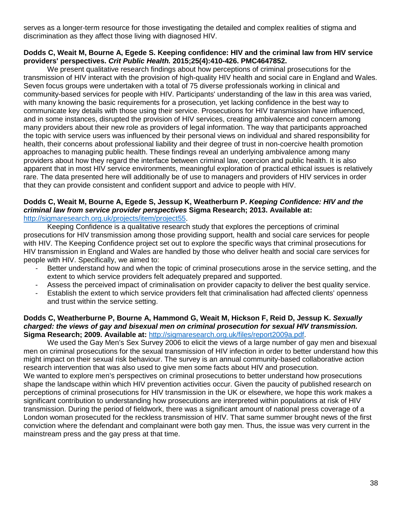serves as a longer-term resource for those investigating the detailed and complex realities of stigma and discrimination as they affect those living with diagnosed HIV.

# **Dodds C, Weait M, Bourne A, Egede S. Keeping confidence: HIV and the criminal law from HIV service providers' perspectives.** *Crit Public Health.* **2015;25(4):410-426. PMC4647852.**

We present qualitative research findings about how perceptions of criminal prosecutions for the transmission of HIV interact with the provision of high-quality HIV health and social care in England and Wales. Seven focus groups were undertaken with a total of 75 diverse professionals working in clinical and community-based services for people with HIV. Participants' understanding of the law in this area was varied, with many knowing the basic requirements for a prosecution, yet lacking confidence in the best way to communicate key details with those using their service. Prosecutions for HIV transmission have influenced, and in some instances, disrupted the provision of HIV services, creating ambivalence and concern among many providers about their new role as providers of legal information. The way that participants approached the topic with service users was influenced by their personal views on individual and shared responsibility for health, their concerns about professional liability and their degree of trust in non-coercive health promotion approaches to managing public health. These findings reveal an underlying ambivalence among many providers about how they regard the interface between criminal law, coercion and public health. It is also apparent that in most HIV service environments, meaningful exploration of practical ethical issues is relatively rare. The data presented here will additionally be of use to managers and providers of HIV services in order that they can provide consistent and confident support and advice to people with HIV.

#### **Dodds C, Weait M, Bourne A, Egede S, Jessup K, Weatherburn P.** *Keeping Confidence: HIV and the criminal law from service provider perspectives* **Sigma Research; 2013. Available at:**  [http://sigmaresearch.org.uk/projects/item/project55.](http://sigmaresearch.org.uk/projects/item/project55)

Keeping Confidence is a qualitative research study that explores the perceptions of criminal prosecutions for HIV transmission among those providing support, health and social care services for people with HIV. The Keeping Confidence project set out to explore the specific ways that criminal prosecutions for HIV transmission in England and Wales are handled by those who deliver health and social care services for people with HIV. Specifically, we aimed to:

- Better understand how and when the topic of criminal prosecutions arose in the service setting, and the extent to which service providers felt adequately prepared and supported.
- Assess the perceived impact of criminalisation on provider capacity to deliver the best quality service.
- Establish the extent to which service providers felt that criminalisation had affected clients' openness and trust within the service setting.

### **Dodds C, Weatherburne P, Bourne A, Hammond G, Weait M, Hickson F, Reid D, Jessup K.** *Sexually charged: the views of gay and bisexual men on criminal prosecution for sexual HIV transmission.* **Sigma Research; 2009. Available at:** [http://sigmaresearch.org.uk/files/report2009a.pdf.](http://sigmaresearch.org.uk/files/report2009a.pdf)

We used the Gay Men's Sex Survey 2006 to elicit the views of a large number of gay men and bisexual men on criminal prosecutions for the sexual transmission of HIV infection in order to better understand how this might impact on their sexual risk behaviour. The survey is an annual community-based collaborative action research intervention that was also used to give men some facts about HIV and prosecution.

We wanted to explore men's perspectives on criminal prosecutions to better understand how prosecutions shape the landscape within which HIV prevention activities occur. Given the paucity of published research on perceptions of criminal prosecutions for HIV transmission in the UK or elsewhere, we hope this work makes a significant contribution to understanding how prosecutions are interpreted within populations at risk of HIV transmission. During the period of fieldwork, there was a significant amount of national press coverage of a London woman prosecuted for the reckless transmission of HIV. That same summer brought news of the first conviction where the defendant and complainant were both gay men. Thus, the issue was very current in the mainstream press and the gay press at that time.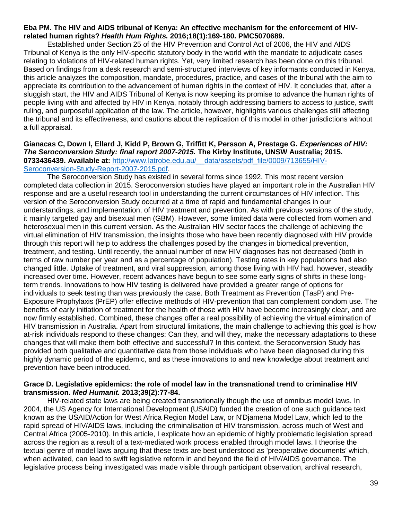# **Eba PM. The HIV and AIDS tribunal of Kenya: An effective mechanism for the enforcement of HIVrelated human rights?** *Health Hum Rights.* **2016;18(1):169-180. PMC5070689.**

Established under Section 25 of the HIV Prevention and Control Act of 2006, the HIV and AIDS Tribunal of Kenya is the only HIV-specific statutory body in the world with the mandate to adjudicate cases relating to violations of HIV-related human rights. Yet, very limited research has been done on this tribunal. Based on findings from a desk research and semi-structured interviews of key informants conducted in Kenya, this article analyzes the composition, mandate, procedures, practice, and cases of the tribunal with the aim to appreciate its contribution to the advancement of human rights in the context of HIV. It concludes that, after a sluggish start, the HIV and AIDS Tribunal of Kenya is now keeping its promise to advance the human rights of people living with and affected by HIV in Kenya, notably through addressing barriers to access to justice, swift ruling, and purposeful application of the law. The article, however, highlights various challenges still affecting the tribunal and its effectiveness, and cautions about the replication of this model in other jurisdictions without a full appraisal.

# Gianacas C, Down I, Ellard J, Kidd P, Brown G, Triffitt K, Persson A, Prestage G. *Experiences of HIV: The Seroconversion Study: final report 2007-2015.* **The Kirby Institute, UNSW Australia; 2015. 0733436439. Available at:** [http://www.latrobe.edu.au/\\_\\_data/assets/pdf\\_file/0009/713655/HIV-](http://www.latrobe.edu.au/__data/assets/pdf_file/0009/713655/HIV-Seroconversion-Study-Report-2007-2015.pdf)[Seroconversion-Study-Report-2007-2015.pdf.](http://www.latrobe.edu.au/__data/assets/pdf_file/0009/713655/HIV-Seroconversion-Study-Report-2007-2015.pdf)

The Seroconversion Study has existed in several forms since 1992. This most recent version completed data collection in 2015. Seroconversion studies have played an important role in the Australian HIV response and are a useful research tool in understanding the current circumstances of HIV infection. This version of the Seroconversion Study occurred at a time of rapid and fundamental changes in our understandings, and implementation, of HIV treatment and prevention. As with previous versions of the study, it mainly targeted gay and bisexual men (GBM). However, some limited data were collected from women and heterosexual men in this current version. As the Australian HIV sector faces the challenge of achieving the virtual elimination of HIV transmission, the insights those who have been recently diagnosed with HIV provide through this report will help to address the challenges posed by the changes in biomedical prevention, treatment, and testing. Until recently, the annual number of new HIV diagnoses has not decreased (both in terms of raw number per year and as a percentage of population). Testing rates in key populations had also changed little. Uptake of treatment, and viral suppression, among those living with HIV had, however, steadily increased over time. However, recent advances have begun to see some early signs of shifts in these longterm trends. Innovations to how HIV testing is delivered have provided a greater range of options for individuals to seek testing than was previously the case. Both Treatment as Prevention (TasP) and Pre-Exposure Prophylaxis (PrEP) offer effective methods of HIV-prevention that can complement condom use. The benefits of early initiation of treatment for the health of those with HIV have become increasingly clear, and are now firmly established. Combined, these changes offer a real possibility of achieving the virtual elimination of HIV transmission in Australia. Apart from structural limitations, the main challenge to achieving this goal is how at-risk individuals respond to these changes: Can they, and will they, make the necessary adaptations to these changes that will make them both effective and successful? In this context, the Seroconversion Study has provided both qualitative and quantitative data from those individuals who have been diagnosed during this highly dynamic period of the epidemic, and as these innovations to and new knowledge about treatment and prevention have been introduced.

### **Grace D. Legislative epidemics: the role of model law in the transnational trend to criminalise HIV transmission.** *Med Humanit.* **2013;39(2):77-84.**

HIV-related state laws are being created transnationally though the use of omnibus model laws. In 2004, the US Agency for International Development (USAID) funded the creation of one such guidance text known as the USAID/Action for West Africa Region Model Law, or N'Djamena Model Law, which led to the rapid spread of HIV/AIDS laws, including the criminalisation of HIV transmission, across much of West and Central Africa (2005-2010). In this article, I explicate how an epidemic of highly problematic legislation spread across the region as a result of a text-mediated work process enabled through model laws. I theorise the textual genre of model laws arguing that these texts are best understood as 'preoperative documents' which, when activated, can lead to swift legislative reform in and beyond the field of HIV/AIDS governance. The legislative process being investigated was made visible through participant observation, archival research,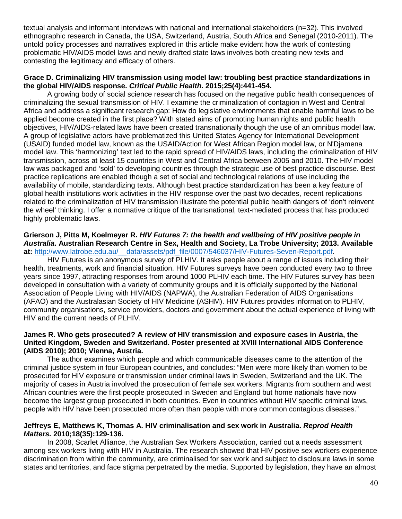textual analysis and informant interviews with national and international stakeholders (n=32). This involved ethnographic research in Canada, the USA, Switzerland, Austria, South Africa and Senegal (2010-2011). The untold policy processes and narratives explored in this article make evident how the work of contesting problematic HIV/AIDS model laws and newly drafted state laws involves both creating new texts and contesting the legitimacy and efficacy of others.

# **Grace D. Criminalizing HIV transmission using model law: troubling best practice standardizations in the global HIV/AIDS response.** *Critical Public Health.* **2015;25(4):441-454.**

A growing body of social science research has focused on the negative public health consequences of criminalizing the sexual transmission of HIV. I examine the criminalization of contagion in West and Central Africa and address a significant research gap: How do legislative environments that enable harmful laws to be applied become created in the first place? With stated aims of promoting human rights and public health objectives, HIV/AIDS-related laws have been created transnationally though the use of an omnibus model law. A group of legislative actors have problematized this United States Agency for International Development (USAID) funded model law, known as the USAID/Action for West African Region model law, or N'Djamena model law. This 'harmonizing' text led to the rapid spread of HIV/AIDS laws, including the criminalization of HIV transmission, across at least 15 countries in West and Central Africa between 2005 and 2010. The HIV model law was packaged and 'sold' to developing countries through the strategic use of best practice discourse. Best practice replications are enabled though a set of social and technological relations of use including the availability of mobile, standardizing texts. Although best practice standardization has been a key feature of global health institutions work activities in the HIV response over the past two decades, recent replications related to the criminalization of HIV transmission illustrate the potential public health dangers of 'don't reinvent the wheel' thinking. I offer a normative critique of the transnational, text-mediated process that has produced highly problematic laws.

### **Grierson J, Pitts M, Koelmeyer R.** *HIV Futures 7: the health and wellbeing of HIV positive people in Australia.* **Australian Research Centre in Sex, Health and Society, La Trobe University; 2013. Available at:** [http://www.latrobe.edu.au/\\_\\_data/assets/pdf\\_file/0007/546037/HIV-Futures-Seven-Report.pdf.](http://www.latrobe.edu.au/__data/assets/pdf_file/0007/546037/HIV-Futures-Seven-Report.pdf)

HIV Futures is an anonymous survey of PLHIV. It asks people about a range of issues including their health, treatments, work and financial situation. HIV Futures surveys have been conducted every two to three years since 1997, attracting responses from around 1000 PLHIV each time. The HIV Futures survey has been developed in consultation with a variety of community groups and it is officially supported by the National Association of People Living with HIV/AIDS (NAPWA), the Australian Federation of AIDS Organisations (AFAO) and the Australasian Society of HIV Medicine (ASHM). HIV Futures provides information to PLHIV, community organisations, service providers, doctors and government about the actual experience of living with HIV and the current needs of PLHIV.

### **James R. Who gets prosecuted? A review of HIV transmission and exposure cases in Austria, the United Kingdom, Sweden and Switzerland. Poster presented at XVIII International AIDS Conference (AIDS 2010); 2010; Vienna, Austria.**

The author examines which people and which communicable diseases came to the attention of the criminal justice system in four European countries, and concludes: "Men were more likely than women to be prosecuted for HIV exposure or transmission under criminal laws in Sweden, Switzerland and the UK. The majority of cases in Austria involved the prosecution of female sex workers. Migrants from southern and west African countries were the first people prosecuted in Sweden and England but home nationals have now become the largest group prosecuted in both countries. Even in countries without HIV specific criminal laws, people with HIV have been prosecuted more often than people with more common contagious diseases."

# **Jeffreys E, Matthews K, Thomas A. HIV criminalisation and sex work in Australia.** *Reprod Health Matters.* **2010;18(35):129-136.**

In 2008, Scarlet Alliance, the Australian Sex Workers Association, carried out a needs assessment among sex workers living with HIV in Australia. The research showed that HIV positive sex workers experience discrimination from within the community, are criminalised for sex work and subject to disclosure laws in some states and territories, and face stigma perpetrated by the media. Supported by legislation, they have an almost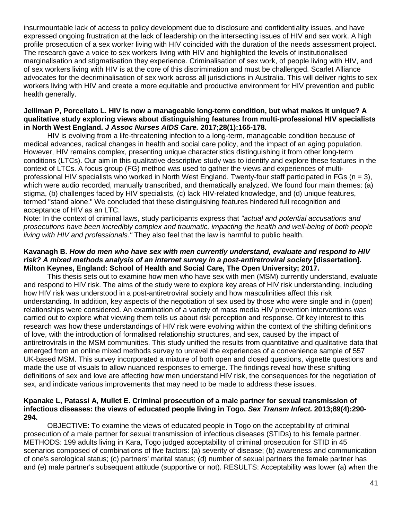insurmountable lack of access to policy development due to disclosure and confidentiality issues, and have expressed ongoing frustration at the lack of leadership on the intersecting issues of HIV and sex work. A high profile prosecution of a sex worker living with HIV coincided with the duration of the needs assessment project. The research gave a voice to sex workers living with HIV and highlighted the levels of institutionalised marginalisation and stigmatisation they experience. Criminalisation of sex work, of people living with HIV, and of sex workers living with HIV is at the core of this discrimination and must be challenged. Scarlet Alliance advocates for the decriminalisation of sex work across all jurisdictions in Australia. This will deliver rights to sex workers living with HIV and create a more equitable and productive environment for HIV prevention and public health generally.

# **Jelliman P, Porcellato L. HIV is now a manageable long-term condition, but what makes it unique? A qualitative study exploring views about distinguishing features from multi-professional HIV specialists in North West England.** *J Assoc Nurses AIDS Care.* **2017;28(1):165-178.**

HIV is evolving from a life-threatening infection to a long-term, manageable condition because of medical advances, radical changes in health and social care policy, and the impact of an aging population. However, HIV remains complex, presenting unique characteristics distinguishing it from other long-term conditions (LTCs). Our aim in this qualitative descriptive study was to identify and explore these features in the context of LTCs. A focus group (FG) method was used to gather the views and experiences of multiprofessional HIV specialists who worked in North West England. Twenty-four staff participated in FGs (n = 3), which were audio recorded, manually transcribed, and thematically analyzed. We found four main themes: (a) stigma, (b) challenges faced by HIV specialists, (c) lack HIV-related knowledge, and (d) unique features, termed "stand alone." We concluded that these distinguishing features hindered full recognition and acceptance of HIV as an LTC.

Note: In the context of criminal laws, study participants express that *"actual and potential accusations and prosecutions have been incredibly complex and traumatic, impacting the health and well-being of both people living with HIV and professionals."* They also feel that the law is harmful to public health.

### **Kavanagh B.** *How do men who have sex with men currently understand, evaluate and respond to HIV risk? A mixed methods analysis of an internet survey in a post-antiretroviral society [dissertation].* **Milton Keynes, England: School of Health and Social Care, The Open University; 2017.**

This thesis sets out to examine how men who have sex with men (MSM) currently understand, evaluate and respond to HIV risk. The aims of the study were to explore key areas of HIV risk understanding, including how HIV risk was understood in a post-antiretroviral society and how masculinities affect this risk understanding. In addition, key aspects of the negotiation of sex used by those who were single and in (open) relationships were considered. An examination of a variety of mass media HIV prevention interventions was carried out to explore what viewing them tells us about risk perception and response. Of key interest to this research was how these understandings of HIV risk were evolving within the context of the shifting definitions of love, with the introduction of formalised relationship structures, and sex, caused by the impact of antiretrovirals in the MSM communities. This study unified the results from quantitative and qualitative data that emerged from an online mixed methods survey to unravel the experiences of a convenience sample of 557 UK-based MSM. This survey incorporated a mixture of both open and closed questions, vignette questions and made the use of visuals to allow nuanced responses to emerge. The findings reveal how these shifting definitions of sex and love are affecting how men understand HIV risk, the consequences for the negotiation of sex, and indicate various improvements that may need to be made to address these issues.

### **Kpanake L, Patassi A, Mullet E. Criminal prosecution of a male partner for sexual transmission of infectious diseases: the views of educated people living in Togo.** *Sex Transm Infect.* **2013;89(4):290- 294.**

OBJECTIVE: To examine the views of educated people in Togo on the acceptability of criminal prosecution of a male partner for sexual transmission of infectious diseases (STIDs) to his female partner. METHODS: 199 adults living in Kara, Togo judged acceptability of criminal prosecution for STID in 45 scenarios composed of combinations of five factors: (a) severity of disease; (b) awareness and communication of one's serological status; (c) partners' marital status; (d) number of sexual partners the female partner has and (e) male partner's subsequent attitude (supportive or not). RESULTS: Acceptability was lower (a) when the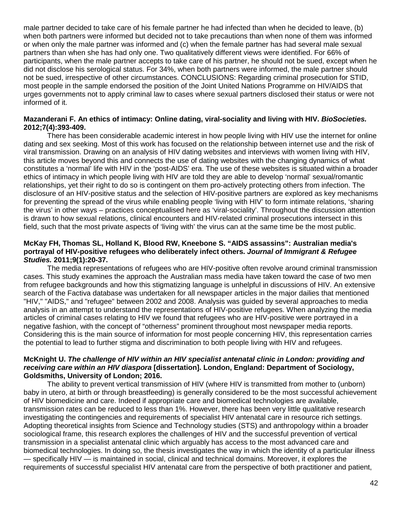male partner decided to take care of his female partner he had infected than when he decided to leave, (b) when both partners were informed but decided not to take precautions than when none of them was informed or when only the male partner was informed and (c) when the female partner has had several male sexual partners than when she has had only one. Two qualitatively different views were identified. For 66% of participants, when the male partner accepts to take care of his partner, he should not be sued, except when he did not disclose his serological status. For 34%, when both partners were informed, the male partner should not be sued, irrespective of other circumstances. CONCLUSIONS: Regarding criminal prosecution for STID, most people in the sample endorsed the position of the Joint United Nations Programme on HIV/AIDS that urges governments not to apply criminal law to cases where sexual partners disclosed their status or were not informed of it.

# **Mazanderani F. An ethics of intimacy: Online dating, viral-sociality and living with HIV.** *BioSocieties.*  **2012;7(4):393-409.**

There has been considerable academic interest in how people living with HIV use the internet for online dating and sex seeking. Most of this work has focused on the relationship between internet use and the risk of viral transmission. Drawing on an analysis of HIV dating websites and interviews with women living with HIV, this article moves beyond this and connects the use of dating websites with the changing dynamics of what constitutes a 'normal' life with HIV in the 'post-AIDS' era. The use of these websites is situated within a broader ethics of intimacy in which people living with HIV are told they are able to develop 'normal' sexual/romantic relationships, yet their right to do so is contingent on them pro-actively protecting others from infection. The disclosure of an HIV-positive status and the selection of HIV-positive partners are explored as key mechanisms for preventing the spread of the virus while enabling people 'living with HIV' to form intimate relations, 'sharing the virus' in other ways – practices conceptualised here as 'viral-sociality'. Throughout the discussion attention is drawn to how sexual relations, clinical encounters and HIV-related criminal prosecutions intersect in this field, such that the most private aspects of 'living with' the virus can at the same time be the most public.

# **McKay FH, Thomas SL, Holland K, Blood RW, Kneebone S. "AIDS assassins": Australian media's portrayal of HIV-positive refugees who deliberately infect others.** *Journal of Immigrant & Refugee Studies.* **2011;9(1):20-37.**

The media representations of refugees who are HIV-positive often revolve around criminal transmission cases. This study examines the approach the Australian mass media have taken toward the case of two men from refugee backgrounds and how this stigmatizing language is unhelpful in discussions of HIV. An extensive search of the Factiva database was undertaken for all newspaper articles in the major dailies that mentioned "HIV," "AIDS," and "refugee" between 2002 and 2008. Analysis was guided by several approaches to media analysis in an attempt to understand the representations of HIV-positive refugees. When analyzing the media articles of criminal cases relating to HIV we found that refugees who are HIV-positive were portrayed in a negative fashion, with the concept of "otherness" prominent throughout most newspaper media reports. Considering this is the main source of information for most people concerning HIV, this representation carries the potential to lead to further stigma and discrimination to both people living with HIV and refugees.

# **McKnight U.** *The challenge of HIV within an HIV specialist antenatal clinic in London: providing and receiving care within an HIV diaspora* **[dissertation]. London, England: Department of Sociology, Goldsmiths, University of London; 2016.**

The ability to prevent vertical transmission of HIV (where HIV is transmitted from mother to (unborn) baby in utero, at birth or through breastfeeding) is generally considered to be the most successful achievement of HIV biomedicine and care. Indeed if appropriate care and biomedical technologies are available, transmission rates can be reduced to less than 1%. However, there has been very little qualitative research investigating the contingencies and requirements of specialist HIV antenatal care in resource rich settings. Adopting theoretical insights from Science and Technology studies (STS) and anthropology within a broader sociological frame, this research explores the challenges of HIV and the successful prevention of vertical transmission in a specialist antenatal clinic which arguably has access to the most advanced care and biomedical technologies. In doing so, the thesis investigates the way in which the identity of a particular illness — specifically HIV — is maintained in social, clinical and technical domains. Moreover, it explores the requirements of successful specialist HIV antenatal care from the perspective of both practitioner and patient,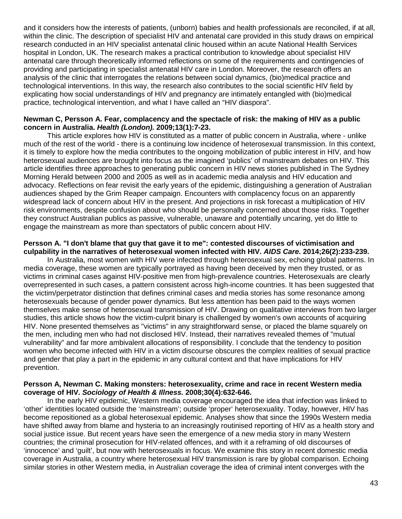and it considers how the interests of patients, (unborn) babies and health professionals are reconciled, if at all, within the clinic. The description of specialist HIV and antenatal care provided in this study draws on empirical research conducted in an HIV specialist antenatal clinic housed within an acute National Health Services hospital in London, UK. The research makes a practical contribution to knowledge about specialist HIV antenatal care through theoretically informed reflections on some of the requirements and contingencies of providing and participating in specialist antenatal HIV care in London. Moreover, the research offers an analysis of the clinic that interrogates the relations between social dynamics, (bio)medical practice and technological interventions. In this way, the research also contributes to the social scientific HIV field by explicating how social understandings of HIV and pregnancy are intimately entangled with (bio)medical practice, technological intervention, and what I have called an "HIV diaspora".

## **Newman C, Persson A. Fear, complacency and the spectacle of risk: the making of HIV as a public concern in Australia.** *Health (London).* **2009;13(1):7-23.**

This article explores how HIV is constituted as a matter of public concern in Australia, where - unlike much of the rest of the world - there is a continuing low incidence of heterosexual transmission. In this context, it is timely to explore how the media contributes to the ongoing mobilization of public interest in HIV, and how heterosexual audiences are brought into focus as the imagined 'publics' of mainstream debates on HIV. This article identifies three approaches to generating public concern in HIV news stories published in The Sydney Morning Herald between 2000 and 2005 as well as in academic media analysis and HIV education and advocacy. Reflections on fear revisit the early years of the epidemic, distinguishing a generation of Australian audiences shaped by the Grim Reaper campaign. Encounters with complacency focus on an apparently widespread lack of concern about HIV in the present. And projections in risk forecast a multiplication of HIV risk environments, despite confusion about who should be personally concerned about those risks. Together they construct Australian publics as passive, vulnerable, unaware and potentially uncaring, yet do little to engage the mainstream as more than spectators of public concern about HIV.

# **Persson A. "I don't blame that guy that gave it to me": contested discourses of victimisation and culpability in the narratives of heterosexual women infected with HIV.** *AIDS Care.* **2014;26(2):233-239.**

In Australia, most women with HIV were infected through heterosexual sex, echoing global patterns. In media coverage, these women are typically portrayed as having been deceived by men they trusted, or as victims in criminal cases against HIV-positive men from high-prevalence countries. Heterosexuals are clearly overrepresented in such cases, a pattern consistent across high-income countries. It has been suggested that the victim/perpetrator distinction that defines criminal cases and media stories has some resonance among heterosexuals because of gender power dynamics. But less attention has been paid to the ways women themselves make sense of heterosexual transmission of HIV. Drawing on qualitative interviews from two larger studies, this article shows how the victim-culprit binary is challenged by women's own accounts of acquiring HIV. None presented themselves as "victims" in any straightforward sense, or placed the blame squarely on the men, including men who had not disclosed HIV. Instead, their narratives revealed themes of "mutual vulnerability" and far more ambivalent allocations of responsibility. I conclude that the tendency to position women who become infected with HIV in a victim discourse obscures the complex realities of sexual practice and gender that play a part in the epidemic in any cultural context and that have implications for HIV prevention.

#### **Persson A, Newman C. Making monsters: heterosexuality, crime and race in recent Western media coverage of HIV.** *Sociology of Health & Illness.* **2008;30(4):632-646.**

In the early HIV epidemic, Western media coverage encouraged the idea that infection was linked to 'other' identities located outside the 'mainstream'; outside 'proper' heterosexuality. Today, however, HIV has become repositioned as a global heterosexual epidemic. Analyses show that since the 1990s Western media have shifted away from blame and hysteria to an increasingly routinised reporting of HIV as a health story and social justice issue. But recent years have seen the emergence of a new media story in many Western countries; the criminal prosecution for HIV-related offences, and with it a reframing of old discourses of 'innocence' and 'guilt', but now with heterosexuals in focus. We examine this story in recent domestic media coverage in Australia, a country where heterosexual HIV transmission is rare by global comparison. Echoing similar stories in other Western media, in Australian coverage the idea of criminal intent converges with the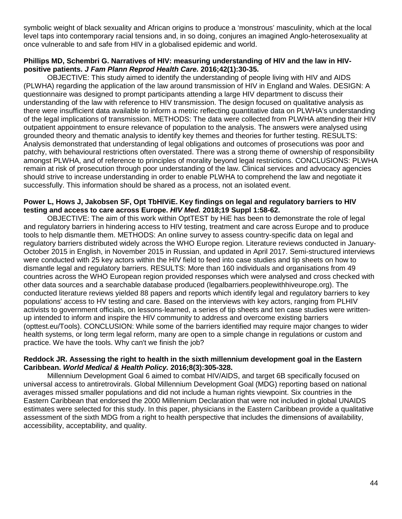symbolic weight of black sexuality and African origins to produce a 'monstrous' masculinity, which at the local level taps into contemporary racial tensions and, in so doing, conjures an imagined Anglo-heterosexuality at once vulnerable to and safe from HIV in a globalised epidemic and world.

# **Phillips MD, Schembri G. Narratives of HIV: measuring understanding of HIV and the law in HIVpositive patients.** *J Fam Plann Reprod Health Care.* **2016;42(1):30-35.**

OBJECTIVE: This study aimed to identify the understanding of people living with HIV and AIDS (PLWHA) regarding the application of the law around transmission of HIV in England and Wales. DESIGN: A questionnaire was designed to prompt participants attending a large HIV department to discuss their understanding of the law with reference to HIV transmission. The design focused on qualitative analysis as there were insufficient data available to inform a metric reflecting quantitative data on PLWHA's understanding of the legal implications of transmission. METHODS: The data were collected from PLWHA attending their HIV outpatient appointment to ensure relevance of population to the analysis. The answers were analysed using grounded theory and thematic analysis to identify key themes and theories for further testing. RESULTS: Analysis demonstrated that understanding of legal obligations and outcomes of prosecutions was poor and patchy, with behavioural restrictions often overstated. There was a strong theme of ownership of responsibility amongst PLWHA, and of reference to principles of morality beyond legal restrictions. CONCLUSIONS: PLWHA remain at risk of prosecution through poor understanding of the law. Clinical services and advocacy agencies should strive to increase understanding in order to enable PLWHA to comprehend the law and negotiate it successfully. This information should be shared as a process, not an isolated event.

# **Power L, Hows J, Jakobsen SF, Opt TbHIViE. Key findings on legal and regulatory barriers to HIV testing and access to care across Europe.** *HIV Med.* **2018;19 Suppl 1:58-62.**

OBJECTIVE: The aim of this work within OptTEST by HiE has been to demonstrate the role of legal and regulatory barriers in hindering access to HIV testing, treatment and care across Europe and to produce tools to help dismantle them. METHODS: An online survey to assess country-specific data on legal and regulatory barriers distributed widely across the WHO Europe region. Literature reviews conducted in January-October 2015 in English, in November 2015 in Russian, and updated in April 2017. Semi-structured interviews were conducted with 25 key actors within the HIV field to feed into case studies and tip sheets on how to dismantle legal and regulatory barriers. RESULTS: More than 160 individuals and organisations from 49 countries across the WHO European region provided responses which were analysed and cross checked with other data sources and a searchable database produced (legalbarriers.peoplewithhiveurope.org). The conducted literature reviews yielded 88 papers and reports which identify legal and regulatory barriers to key populations' access to HV testing and care. Based on the interviews with key actors, ranging from PLHIV activists to government officials, on lessons-learned, a series of tip sheets and ten case studies were writtenup intended to inform and inspire the HIV community to address and overcome existing barriers (opttest.eu/Tools). CONCLUSION: While some of the barriers identified may require major changes to wider health systems, or long term legal reform, many are open to a simple change in regulations or custom and practice. We have the tools. Why can't we finish the job?

### **Reddock JR. Assessing the right to health in the sixth millennium development goal in the Eastern Caribbean.** *World Medical & Health Policy.* **2016;8(3):305-328.**

Millennium Development Goal 6 aimed to combat HIV/AIDS, and target 6B specifically focused on universal access to antiretrovirals. Global Millennium Development Goal (MDG) reporting based on national averages missed smaller populations and did not include a human rights viewpoint. Six countries in the Eastern Caribbean that endorsed the 2000 Millennium Declaration that were not included in global UNAIDS estimates were selected for this study. In this paper, physicians in the Eastern Caribbean provide a qualitative assessment of the sixth MDG from a right to health perspective that includes the dimensions of availability, accessibility, acceptability, and quality.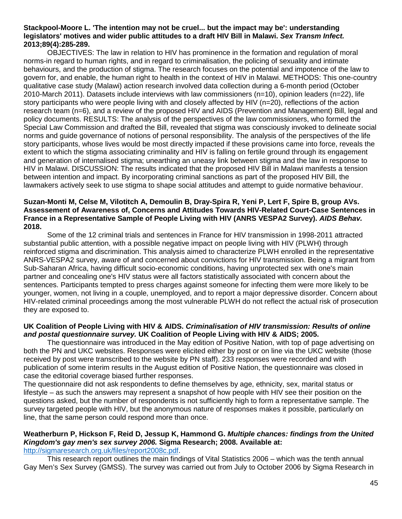# **Stackpool-Moore L. 'The intention may not be cruel... but the impact may be': understanding legislators' motives and wider public attitudes to a draft HIV Bill in Malawi.** *Sex Transm Infect.*  **2013;89(4):285-289.**

OBJECTIVES: The law in relation to HIV has prominence in the formation and regulation of moral norms-in regard to human rights, and in regard to criminalisation, the policing of sexuality and intimate behaviours, and the production of stigma. The research focuses on the potential and impotence of the law to govern for, and enable, the human right to health in the context of HIV in Malawi. METHODS: This one-country qualitative case study (Malawi) action research involved data collection during a 6-month period (October 2010-March 2011). Datasets include interviews with law commissioners (n=10), opinion leaders (n=22), life story participants who were people living with and closely affected by HIV (n=20), reflections of the action research team (n=6), and a review of the proposed HIV and AIDS (Prevention and Management) Bill, legal and policy documents. RESULTS: The analysis of the perspectives of the law commissioners, who formed the Special Law Commission and drafted the Bill, revealed that stigma was consciously invoked to delineate social norms and guide governance of notions of personal responsibility. The analysis of the perspectives of the life story participants, whose lives would be most directly impacted if these provisions came into force, reveals the extent to which the stigma associating criminality and HIV is falling on fertile ground through its engagement and generation of internalised stigma; unearthing an uneasy link between stigma and the law in response to HIV in Malawi. DISCUSSION: The results indicated that the proposed HIV Bill in Malawi manifests a tension between intention and impact. By incorporating criminal sanctions as part of the proposed HIV Bill, the lawmakers actively seek to use stigma to shape social attitudes and attempt to guide normative behaviour.

#### **Suzan-Monti M, Celse M, Vilotitch A, Demoulin B, Dray-Spira R, Yeni P, Lert F, Spire B, group AVs. Assessement of Awareness of, Concerns and Attitudes Towards HIV-Related Court-Case Sentences in France in a Representative Sample of People Living with HIV (ANRS VESPA2 Survey).** *AIDS Behav.*  **2018.**

Some of the 12 criminal trials and sentences in France for HIV transmission in 1998-2011 attracted substantial public attention, with a possible negative impact on people living with HIV (PLWH) through reinforced stigma and discrimination. This analysis aimed to characterize PLWH enrolled in the representative ANRS-VESPA2 survey, aware of and concerned about convictions for HIV transmission. Being a migrant from Sub-Saharan Africa, having difficult socio-economic conditions, having unprotected sex with one's main partner and concealing one's HIV status were all factors statistically associated with concern about the sentences. Participants tempted to press charges against someone for infecting them were more likely to be younger, women, not living in a couple, unemployed, and to report a major depressive disorder. Concern about HIV-related criminal proceedings among the most vulnerable PLWH do not reflect the actual risk of prosecution they are exposed to.

# **UK Coalition of People Living with HIV & AIDS.** *Criminalisation of HIV transmission: Results of online and postal questionnaire survey.* **UK Coalition of People Living with HIV & AIDS; 2005.**

The questionnaire was introduced in the May edition of Positive Nation, with top of page advertising on both the PN and UKC websites. Responses were elicited either by post or on line via the UKC website (those received by post were transcribed to the website by PN staff). 233 responses were recorded and with publication of some interim results in the August edition of Positive Nation, the questionnaire was closed in case the editorial coverage biased further responses.

The questionnaire did not ask respondents to define themselves by age, ethnicity, sex, marital status or lifestyle – as such the answers may represent a snapshot of how people with HIV see their position on the questions asked, but the number of respondents is not sufficiently high to form a representative sample. The survey targeted people with HIV, but the anonymous nature of responses makes it possible, particularly on line, that the same person could respond more than once.

#### **Weatherburn P, Hickson F, Reid D, Jessup K, Hammond G.** *Multiple chances: findings from the United Kingdom's gay men's sex survey 2006.* **Sigma Research; 2008. Available at:**  [http://sigmaresearch.org.uk/files/report2008c.pdf.](http://sigmaresearch.org.uk/files/report2008c.pdf)

This research report outlines the main findings of Vital Statistics 2006 – which was the tenth annual Gay Men's Sex Survey (GMSS). The survey was carried out from July to October 2006 by Sigma Research in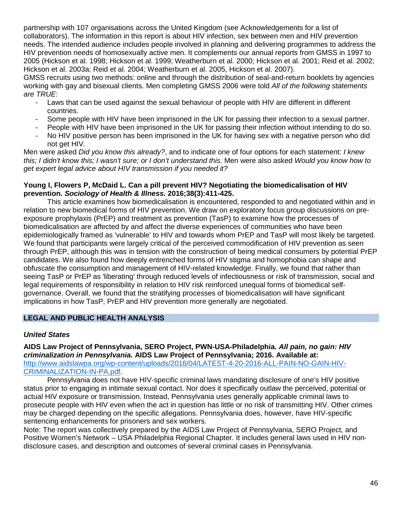partnership with 107 organisations across the United Kingdom (see Acknowledgements for a list of collaborators). The information in this report is about HIV infection, sex between men and HIV prevention needs. The intended audience includes people involved in planning and delivering programmes to address the HIV prevention needs of homosexually active men. It complements our annual reports from GMSS in 1997 to 2005 (Hickson et al. 1998; Hickson et al. 1999; Weatherburn et al. 2000; Hickson et al. 2001; Reid et al. 2002; Hickson et al. 2003a; Reid et al. 2004; Weatherburn et al. 2005, Hickson et al. 2007).

GMSS recruits using two methods: online and through the distribution of seal-and-return booklets by agencies working with gay and bisexual clients. Men completing GMSS 2006 were told *All of the following statements are TRUE*:

- Laws that can be used against the sexual behaviour of people with HIV are different in different countries.
- Some people with HIV have been imprisoned in the UK for passing their infection to a sexual partner.
- People with HIV have been imprisoned in the UK for passing their infection without intending to do so.
- No HIV positive person has been imprisoned in the UK for having sex with a negative person who did not get HIV.

Men were asked *Did you know this already?*, and to indicate one of four options for each statement: *I knew this; I didn't know this; I wasn't sure; or I don't understand this*. Men were also asked *Would you know how to get expert legal advice about HIV transmission if you needed it?*

# **Young I, Flowers P, McDaid L. Can a pill prevent HIV? Negotiating the biomedicalisation of HIV prevention.** *Sociology of Health & Illness.* **2016;38(3):411-425.**

This article examines how biomedicalisation is encountered, responded to and negotiated within and in relation to new biomedical forms of HIV prevention. We draw on exploratory focus group discussions on preexposure prophylaxis (PrEP) and treatment as prevention (TasP) to examine how the processes of biomedicalisation are affected by and affect the diverse experiences of communities who have been epidemiologically framed as 'vulnerable' to HIV and towards whom PrEP and TasP will most likely be targeted. We found that participants were largely critical of the perceived commodification of HIV prevention as seen through PrEP, although this was in tension with the construction of being medical consumers by potential PrEP candidates. We also found how deeply entrenched forms of HIV stigma and homophobia can shape and obfuscate the consumption and management of HIV-related knowledge. Finally, we found that rather than seeing TasP or PrEP as 'liberating' through reduced levels of infectiousness or risk of transmission, social and legal requirements of responsibility in relation to HIV risk reinforced unequal forms of biomedical selfgovernance. Overall, we found that the stratifying processes of biomedicalisation will have significant implications in how TasP, PrEP and HIV prevention more generally are negotiated.

# **LEGAL AND PUBLIC HEALTH ANALYSIS**

# *United States*

**AIDS Law Project of Pennsylvania, SERO Project, PWN-USA-Philadelphia.** *All pain, no gain: HIV criminalization in Pennsylvania.* **AIDS Law Project of Pennsylvania; 2016. Available at:**  [http://www.aidslawpa.org/wp-content/uploads/2016/04/LATEST-4-20-2016-ALL-PAIN-NO-GAIN-HIV-](http://www.aidslawpa.org/wp-content/uploads/2016/04/LATEST-4-20-2016-ALL-PAIN-NO-GAIN-HIV-CRIMINALIZATION-IN-PA.pdf)[CRIMINALIZATION-IN-PA.pdf.](http://www.aidslawpa.org/wp-content/uploads/2016/04/LATEST-4-20-2016-ALL-PAIN-NO-GAIN-HIV-CRIMINALIZATION-IN-PA.pdf)

Pennsylvania does not have HIV-specific criminal laws mandating disclosure of one's HIV positive status prior to engaging in intimate sexual contact. Nor does it specifically outlaw the perceived, potential or actual HIV exposure or transmission. Instead, Pennsylvania uses generally applicable criminal laws to prosecute people with HIV even when the act in question has little or no risk of transmitting HIV. Other crimes may be charged depending on the specific allegations. Pennsylvania does, however, have HIV-specific sentencing enhancements for prisoners and sex workers.

Note: The report was collectively prepared by the AIDS Law Project of Pennsylvania, SERO Project, and Positive Women's Network – USA Philadelphia Regional Chapter. It includes general laws used in HIV nondisclosure cases, and description and outcomes of several criminal cases in Pennsylvania.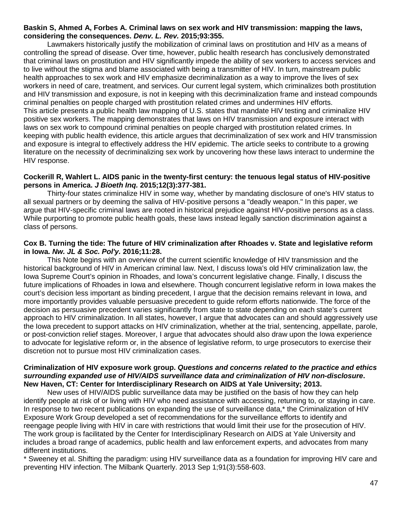# **Baskin S, Ahmed A, Forbes A. Criminal laws on sex work and HIV transmission: mapping the laws, considering the consequences.** *Denv. L. Rev.* **2015;93:355.**

Lawmakers historically justify the mobilization of criminal laws on prostitution and HIV as a means of controlling the spread of disease. Over time, however, public health research has conclusively demonstrated that criminal laws on prostitution and HIV significantly impede the ability of sex workers to access services and to live without the stigma and blame associated with being a transmitter of HIV. In turn, mainstream public health approaches to sex work and HIV emphasize decriminalization as a way to improve the lives of sex workers in need of care, treatment, and services. Our current legal system, which criminalizes both prostitution and HIV transmission and exposure, is not in keeping with this decriminalization frame and instead compounds criminal penalties on people charged with prostitution related crimes and undermines HIV efforts. This article presents a public health law mapping of U.S. states that mandate HIV testing and criminalize HIV positive sex workers. The mapping demonstrates that laws on HIV transmission and exposure interact with laws on sex work to compound criminal penalties on people charged with prostitution related crimes. In keeping with public health evidence, this article argues that decriminalization of sex work and HIV transmission and exposure is integral to effectively address the HIV epidemic. The article seeks to contribute to a growing literature on the necessity of decriminalizing sex work by uncovering how these laws interact to undermine the HIV response.

### **Cockerill R, Wahlert L. AIDS panic in the twenty-first century: the tenuous legal status of HIV-positive persons in America.** *J Bioeth Inq.* **2015;12(3):377-381.**

Thirty-four states criminalize HIV in some way, whether by mandating disclosure of one's HIV status to all sexual partners or by deeming the saliva of HIV-positive persons a "deadly weapon." In this paper, we argue that HIV-specific criminal laws are rooted in historical prejudice against HIV-positive persons as a class. While purporting to promote public health goals, these laws instead legally sanction discrimination against a class of persons.

# **Cox B. Turning the tide: The future of HIV criminalization after Rhoades v. State and legislative reform in Iowa.** *Nw. JL & Soc. Pol'y.* **2016;11:28.**

This Note begins with an overview of the current scientific knowledge of HIV transmission and the historical background of HIV in American criminal law. Next, I discuss Iowa's old HIV criminalization law, the Iowa Supreme Court's opinion in Rhoades, and Iowa's concurrent legislative change. Finally, I discuss the future implications of Rhoades in Iowa and elsewhere. Though concurrent legislative reform in Iowa makes the court's decision less important as binding precedent, I argue that the decision remains relevant in Iowa, and more importantly provides valuable persuasive precedent to guide reform efforts nationwide. The force of the decision as persuasive precedent varies significantly from state to state depending on each state's current approach to HIV criminalization. In all states, however, I argue that advocates can and should aggressively use the Iowa precedent to support attacks on HIV criminalization, whether at the trial, sentencing, appellate, parole, or post-conviction relief stages. Moreover, I argue that advocates should also draw upon the Iowa experience to advocate for legislative reform or, in the absence of legislative reform, to urge prosecutors to exercise their discretion not to pursue most HIV criminalization cases.

### **Criminalization of HIV exposure work group.** *Questions and concerns related to the practice and ethics surrounding expanded use of HIV/AIDS surveillance data and criminalization of HIV non-disclosure***. New Haven, CT: Center for Interdisciplinary Research on AIDS at Yale University; 2013.**

New uses of HIV/AIDS public surveillance data may be justified on the basis of how they can help identify people at risk of or living with HIV who need assistance with accessing, returning to, or staying in care. In response to two recent publications on expanding the use of surveillance data,\* the Criminalization of HIV Exposure Work Group developed a set of recommendations for the surveillance efforts to identify and reengage people living with HIV in care with restrictions that would limit their use for the prosecution of HIV. The work group is facilitated by the Center for Interdisciplinary Research on AIDS at Yale University and includes a broad range of academics, public health and law enforcement experts, and advocates from many different institutions.

\* Sweeney et al. Shifting the paradigm: using HIV surveillance data as a foundation for improving HIV care and preventing HIV infection. The Milbank Quarterly. 2013 Sep 1;91(3):558-603.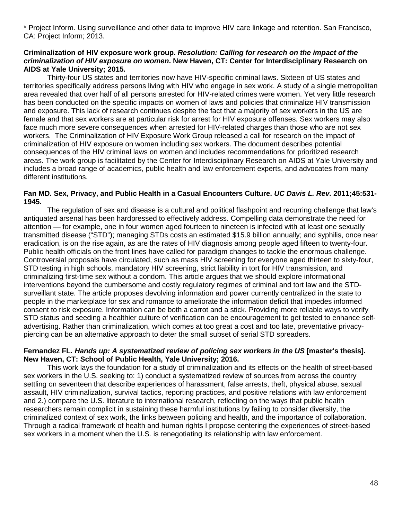\* Project Inform. Using surveillance and other data to improve HIV care linkage and retention. San Francisco, CA: Project Inform; 2013.

# **Criminalization of HIV exposure work group.** *Resolution: Calling for research on the impact of the criminalization of HIV exposure on women***. New Haven, CT: Center for Interdisciplinary Research on AIDS at Yale University; 2015.**

Thirty-four US states and territories now have HIV-specific criminal laws. Sixteen of US states and territories specifically address persons living with HIV who engage in sex work. A study of a single metropolitan area revealed that over half of all persons arrested for HIV-related crimes were women. Yet very little research has been conducted on the specific impacts on women of laws and policies that criminalize HIV transmission and exposure. This lack of research continues despite the fact that a majority of sex workers in the US are female and that sex workers are at particular risk for arrest for HIV exposure offenses. Sex workers may also face much more severe consequences when arrested for HIV-related charges than those who are not sex workers. The Criminalization of HIV Exposure Work Group released a call for research on the impact of criminalization of HIV exposure on women including sex workers. The document describes potential consequences of the HIV criminal laws on women and includes recommendations for prioritized research areas. The work group is facilitated by the Center for Interdisciplinary Research on AIDS at Yale University and includes a broad range of academics, public health and law enforcement experts, and advocates from many different institutions.

### **Fan MD. Sex, Privacy, and Public Health in a Casual Encounters Culture.** *UC Davis L. Rev.* **2011;45:531- 1945.**

The regulation of sex and disease is a cultural and political flashpoint and recurring challenge that law's antiquated arsenal has been hardpressed to effectively address. Compelling data demonstrate the need for attention — for example, one in four women aged fourteen to nineteen is infected with at least one sexually transmitted disease ("STD"); managing STDs costs an estimated \$15.9 billion annually; and syphilis, once near eradication, is on the rise again, as are the rates of HIV diagnosis among people aged fifteen to twenty-four. Public health officials on the front lines have called for paradigm changes to tackle the enormous challenge. Controversial proposals have circulated, such as mass HIV screening for everyone aged thirteen to sixty-four, STD testing in high schools, mandatory HIV screening, strict liability in tort for HIV transmission, and criminalizing first-time sex without a condom. This article argues that we should explore informational interventions beyond the cumbersome and costly regulatory regimes of criminal and tort law and the STDsurveillant state. The article proposes devolving information and power currently centralized in the state to people in the marketplace for sex and romance to ameliorate the information deficit that impedes informed consent to risk exposure. Information can be both a carrot and a stick. Providing more reliable ways to verify STD status and seeding a healthier culture of verification can be encouragement to get tested to enhance selfadvertising. Rather than criminalization, which comes at too great a cost and too late, preventative privacypiercing can be an alternative approach to deter the small subset of serial STD spreaders.

### **Fernandez FL.** *Hands up: A systematized review of policing sex workers in the US* **[master's thesis]. New Haven, CT: School of Public Health, Yale University; 2016.**

This work lays the foundation for a study of criminalization and its effects on the health of street-based sex workers in the U.S. seeking to: 1) conduct a systematized review of sources from across the country settling on seventeen that describe experiences of harassment, false arrests, theft, physical abuse, sexual assault, HIV criminalization, survival tactics, reporting practices, and positive relations with law enforcement and 2.) compare the U.S. literature to international research, reflecting on the ways that public health researchers remain complicit in sustaining these harmful institutions by failing to consider diversity, the criminalized context of sex work, the links between policing and health, and the importance of collaboration. Through a radical framework of health and human rights I propose centering the experiences of street-based sex workers in a moment when the U.S. is renegotiating its relationship with law enforcement.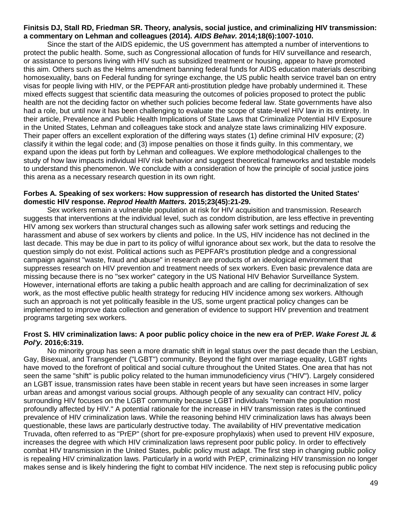# **Finitsis DJ, Stall RD, Friedman SR. Theory, analysis, social justice, and criminalizing HIV transmission: a commentary on Lehman and colleagues (2014).** *AIDS Behav.* **2014;18(6):1007-1010.**

Since the start of the AIDS epidemic, the US government has attempted a number of interventions to protect the public health. Some, such as Congressional allocation of funds for HIV surveillance and research, or assistance to persons living with HIV such as subsidized treatment or housing, appear to have promoted this aim. Others such as the Helms amendment banning federal funds for AIDS education materials describing homosexuality, bans on Federal funding for syringe exchange, the US public health service travel ban on entry visas for people living with HIV, or the PEPFAR anti-prostitution pledge have probably undermined it. These mixed effects suggest that scientific data measuring the outcomes of policies proposed to protect the public health are not the deciding factor on whether such policies become federal law. State governments have also had a role, but until now it has been challenging to evaluate the scope of state-level HIV law in its entirety. In their article, Prevalence and Public Health Implications of State Laws that Criminalize Potential HIV Exposure in the United States, Lehman and colleagues take stock and analyze state laws criminalizing HIV exposure. Their paper offers an excellent exploration of the differing ways states (1) define criminal HIV exposure; (2) classify it within the legal code; and (3) impose penalties on those it finds guilty. In this commentary, we expand upon the ideas put forth by Lehman and colleagues. We explore methodological challenges to the study of how law impacts individual HIV risk behavior and suggest theoretical frameworks and testable models to understand this phenomenon. We conclude with a consideration of how the principle of social justice joins this arena as a necessary research question in its own right.

### **Forbes A. Speaking of sex workers: How suppression of research has distorted the United States' domestic HIV response.** *Reprod Health Matters.* **2015;23(45):21-29.**

Sex workers remain a vulnerable population at risk for HIV acquisition and transmission. Research suggests that interventions at the individual level, such as condom distribution, are less effective in preventing HIV among sex workers than structural changes such as allowing safer work settings and reducing the harassment and abuse of sex workers by clients and police. In the US, HIV incidence has not declined in the last decade. This may be due in part to its policy of wilful ignorance about sex work, but the data to resolve the question simply do not exist. Political actions such as PEPFAR's prostitution pledge and a congressional campaign against "waste, fraud and abuse" in research are products of an ideological environment that suppresses research on HIV prevention and treatment needs of sex workers. Even basic prevalence data are missing because there is no "sex worker" category in the US National HIV Behavior Surveillance System. However, international efforts are taking a public health approach and are calling for decriminalization of sex work, as the most effective public health strategy for reducing HIV incidence among sex workers. Although such an approach is not yet politically feasible in the US, some urgent practical policy changes can be implemented to improve data collection and generation of evidence to support HIV prevention and treatment programs targeting sex workers.

#### **Frost S. HIV criminalization laws: A poor public policy choice in the new era of PrEP.** *Wake Forest JL & Pol'y.* **2016;6:319.**

No minority group has seen a more dramatic shift in legal status over the past decade than the Lesbian, Gay, Bisexual, and Transgender ("LGBT") community. Beyond the fight over marriage equality, LGBT rights have moved to the forefront of political and social culture throughout the United States. One area that has not seen the same "shift" is public policy related to the human immunodeficiency virus ("HIV"). Largely considered an LGBT issue, transmission rates have been stable in recent years but have seen increases in some larger urban areas and amongst various social groups. Although people of any sexuality can contract HIV, policy surrounding HIV focuses on the LGBT community because LGBT individuals "remain the population most profoundly affected by HIV." A potential rationale for the increase in HIV transmission rates is the continued prevalence of HIV criminalization laws. While the reasoning behind HIV criminalization laws has always been questionable, these laws are particularly destructive today. The availability of HIV preventative medication Truvada, often referred to as "PrEP" (short for pre-exposure prophylaxis) when used to prevent HIV exposure, increases the degree with which HIV criminalization laws represent poor public policy. In order to effectively combat HIV transmission in the United States, public policy must adapt. The first step in changing public policy is repealing HIV criminalization laws. Particularly in a world with PrEP, criminalizing HIV transmission no longer makes sense and is likely hindering the fight to combat HIV incidence. The next step is refocusing public policy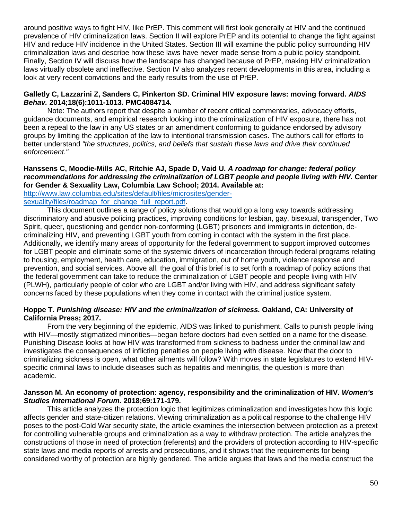around positive ways to fight HIV, like PrEP. This comment will first look generally at HIV and the continued prevalence of HIV criminalization laws. Section II will explore PrEP and its potential to change the fight against HIV and reduce HIV incidence in the United States. Section III will examine the public policy surrounding HIV criminalization laws and describe how these laws have never made sense from a public policy standpoint. Finally, Section IV will discuss how the landscape has changed because of PrEP, making HIV criminalization laws virtually obsolete and ineffective. Section IV also analyzes recent developments in this area, including a look at very recent convictions and the early results from the use of PrEP.

# **Galletly C, Lazzarini Z, Sanders C, Pinkerton SD. Criminal HIV exposure laws: moving forward.** *AIDS Behav.* **2014;18(6):1011-1013. PMC4084714.**

Note: The authors report that despite a number of recent critical commentaries, advocacy efforts, guidance documents, and empirical research looking into the criminalization of HIV exposure, there has not been a repeal to the law in any US states or an amendment conforming to guidance endorsed by advisory groups by limiting the application of the law to intentional transmission cases. The authors call for efforts to better understand *"the structures, politics, and beliefs that sustain these laws and drive their continued enforcement."*

# **Hanssens C, Moodie-Mills AC, Ritchie AJ, Spade D, Vaid U.** *A roadmap for change: federal policy recommendations for addressing the criminalization of LGBT people and people living with HIV.* **Center for Gender & Sexuality Law, Columbia Law School; 2014. Available at:**

[http://www.law.columbia.edu/sites/default/files/microsites/gender](http://www.law.columbia.edu/sites/default/files/microsites/gender-sexuality/files/roadmap_for_change_full_report.pdf)[sexuality/files/roadmap\\_for\\_change\\_full\\_report.pdf.](http://www.law.columbia.edu/sites/default/files/microsites/gender-sexuality/files/roadmap_for_change_full_report.pdf)

This document outlines a range of policy solutions that would go a long way towards addressing discriminatory and abusive policing practices, improving conditions for lesbian, gay, bisexual, transgender, Two Spirit, queer, questioning and gender non-conforming (LGBT) prisoners and immigrants in detention, decriminalizing HIV, and preventing LGBT youth from coming in contact with the system in the first place. Additionally, we identify many areas of opportunity for the federal government to support improved outcomes for LGBT people and eliminate some of the systemic drivers of incarceration through federal programs relating to housing, employment, health care, education, immigration, out of home youth, violence response and prevention, and social services. Above all, the goal of this brief is to set forth a roadmap of policy actions that the federal government can take to reduce the criminalization of LGBT people and people living with HIV (PLWH), particularly people of color who are LGBT and/or living with HIV, and address significant safety concerns faced by these populations when they come in contact with the criminal justice system.

# **Hoppe T.** *Punishing disease: HIV and the criminalization of sickness.* **Oakland, CA: University of California Press; 2017.**

From the very beginning of the epidemic, AIDS was linked to punishment. Calls to punish people living with HIV—mostly stigmatized minorities—began before doctors had even settled on a name for the disease. Punishing Disease looks at how HIV was transformed from sickness to badness under the criminal law and investigates the consequences of inflicting penalties on people living with disease. Now that the door to criminalizing sickness is open, what other ailments will follow? With moves in state legislatures to extend HIVspecific criminal laws to include diseases such as hepatitis and meningitis, the question is more than academic.

### **Jansson M. An economy of protection: agency, responsibility and the criminalization of HIV.** *Women's Studies International Forum.* **2018;69:171-179.**

This article analyzes the protection logic that legitimizes criminalization and investigates how this logic affects gender and state-citizen relations. Viewing criminalization as a political response to the challenge HIV poses to the post-Cold War security state, the article examines the intersection between protection as a pretext for controlling vulnerable groups and criminalization as a way to withdraw protection. The article analyzes the constructions of those in need of protection (referents) and the providers of protection according to HIV-specific state laws and media reports of arrests and prosecutions, and it shows that the requirements for being considered worthy of protection are highly gendered. The article argues that laws and the media construct the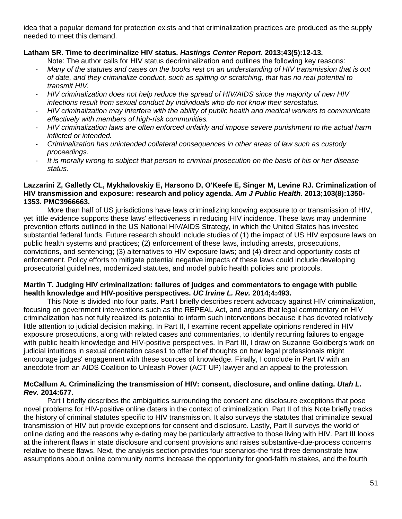idea that a popular demand for protection exists and that criminalization practices are produced as the supply needed to meet this demand.

# **Latham SR. Time to decriminalize HIV status.** *Hastings Center Report.* **2013;43(5):12-13.**

Note: The author calls for HIV status decriminalization and outlines the following key reasons:

- *Many of the statutes and cases on the books rest on an understanding of HIV transmission that is out of date, and they criminalize conduct, such as spitting or scratching, that has no real potential to transmit HIV.*
- *HIV criminalization does not help reduce the spread of HIV/AIDS since the majority of new HIV infections result from sexual conduct by individuals who do not know their serostatus.*
- *HIV criminalization may interfere with the ability of public health and medical workers to communicate effectively with members of high-risk communities.*
- *HIV criminalization laws are often enforced unfairly and impose severe punishment to the actual harm inflicted or intended.*
- *Criminalization has unintended collateral consequences in other areas of law such as custody proceedings.*
- *It is morally wrong to subject that person to criminal prosecution on the basis of his or her disease status.*

# **Lazzarini Z, Galletly CL, Mykhalovskiy E, Harsono D, O'Keefe E, Singer M, Levine RJ. Criminalization of HIV transmission and exposure: research and policy agenda.** *Am J Public Health.* **2013;103(8):1350- 1353. PMC3966663.**

More than half of US jurisdictions have laws criminalizing knowing exposure to or transmission of HIV, yet little evidence supports these laws' effectiveness in reducing HIV incidence. These laws may undermine prevention efforts outlined in the US National HIV/AIDS Strategy, in which the United States has invested substantial federal funds. Future research should include studies of (1) the impact of US HIV exposure laws on public health systems and practices; (2) enforcement of these laws, including arrests, prosecutions, convictions, and sentencing; (3) alternatives to HIV exposure laws; and (4) direct and opportunity costs of enforcement. Policy efforts to mitigate potential negative impacts of these laws could include developing prosecutorial guidelines, modernized statutes, and model public health policies and protocols.

### **Martin T. Judging HIV criminalization: failures of judges and commentators to engage with public health knowledge and HIV-positive perspectives.** *UC Irvine L. Rev.* **2014;4:493.**

This Note is divided into four parts. Part I briefly describes recent advocacy against HIV criminalization, focusing on government interventions such as the REPEAL Act, and argues that legal commentary on HIV criminalization has not fully realized its potential to inform such interventions because it has devoted relatively little attention to judicial decision making. In Part II, I examine recent appellate opinions rendered in HIV exposure prosecutions, along with related cases and commentaries, to identify recurring failures to engage with public health knowledge and HIV-positive perspectives. In Part III, I draw on Suzanne Goldberg's work on judicial intuitions in sexual orientation cases1 to offer brief thoughts on how legal professionals might encourage judges' engagement with these sources of knowledge. Finally, I conclude in Part IV with an anecdote from an AIDS Coalition to Unleash Power (ACT UP) lawyer and an appeal to the profession.

# **McCallum A. Criminalizing the transmission of HIV: consent, disclosure, and online dating.** *Utah L. Rev.* **2014:677.**

Part I briefly describes the ambiguities surrounding the consent and disclosure exceptions that pose novel problems for HIV-positive online daters in the context of criminalization. Part II of this Note briefly tracks the history of criminal statutes specific to HIV transmission. It also surveys the statutes that criminalize sexual transmission of HIV but provide exceptions for consent and disclosure. Lastly, Part II surveys the world of online dating and the reasons why e-dating may be particularly attractive to those living with HIV. Part III looks at the inherent flaws in state disclosure and consent provisions and raises substantive-due-process concerns relative to these flaws. Next, the analysis section provides four scenarios-the first three demonstrate how assumptions about online community norms increase the opportunity for good-faith mistakes, and the fourth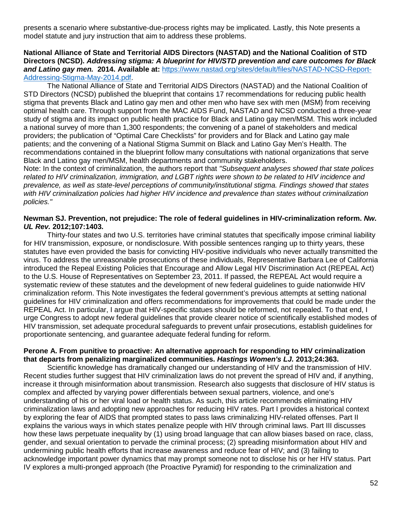presents a scenario where substantive-due-process rights may be implicated. Lastly, this Note presents a model statute and jury instruction that aim to address these problems.

### **National Alliance of State and Territorial AIDS Directors (NASTAD) and the National Coalition of STD Directors (NCSD).** *Addressing stigma: A blueprint for HIV/STD prevention and care outcomes for Black and Latino gay men.* **2014. Available at:** [https://www.nastad.org/sites/default/files/NASTAD-NCSD-Report-](https://www.nastad.org/sites/default/files/NASTAD-NCSD-Report-Addressing-Stigma-May-2014.pdf)[Addressing-Stigma-May-2014.pdf.](https://www.nastad.org/sites/default/files/NASTAD-NCSD-Report-Addressing-Stigma-May-2014.pdf)

The National Alliance of State and Territorial AIDS Directors (NASTAD) and the National Coalition of STD Directors (NCSD) published the blueprint that contains 17 recommendations for reducing public health stigma that prevents Black and Latino gay men and other men who have sex with men (MSM) from receiving optimal health care. Through support from the MAC AIDS Fund, NASTAD and NCSD conducted a three-year study of stigma and its impact on public health practice for Black and Latino gay men/MSM. This work included a national survey of more than 1,300 respondents; the convening of a panel of stakeholders and medical providers; the publication of "Optimal Care Checklists" for providers and for Black and Latino gay male patients; and the convening of a National Stigma Summit on Black and Latino Gay Men's Health. The recommendations contained in the blueprint follow many consultations with national organizations that serve Black and Latino gay men/MSM, health departments and community stakeholders.

Note: In the context of criminalization, the authors report that *"Subsequent analyses showed that state polices related to HIV criminalization, immigration, and LGBT rights were shown to be related to HIV incidence and prevalence, as well as state-level perceptions of community/institutional stigma. Findings showed that states*  with HIV criminalization policies had higher HIV incidence and prevalence than states without criminalization *policies."*

#### **Newman SJ. Prevention, not prejudice: The role of federal guidelines in HIV-criminalization reform.** *Nw. UL Rev.* **2012;107:1403.**

Thirty-four states and two U.S. territories have criminal statutes that specifically impose criminal liability for HIV transmission, exposure, or nondisclosure. With possible sentences ranging up to thirty years, these statutes have even provided the basis for convicting HIV-positive individuals who never actually transmitted the virus. To address the unreasonable prosecutions of these individuals, Representative Barbara Lee of California introduced the Repeal Existing Policies that Encourage and Allow Legal HIV Discrimination Act (REPEAL Act) to the U.S. House of Representatives on September 23, 2011. If passed, the REPEAL Act would require a systematic review of these statutes and the development of new federal guidelines to guide nationwide HIV criminalization reform. This Note investigates the federal government's previous attempts at setting national guidelines for HIV criminalization and offers recommendations for improvements that could be made under the REPEAL Act. In particular, I argue that HIV-specific statues should be reformed, not repealed. To that end, I urge Congress to adopt new federal guidelines that provide clearer notice of scientifically established modes of HIV transmission, set adequate procedural safeguards to prevent unfair prosecutions, establish guidelines for proportionate sentencing, and guarantee adequate federal funding for reform.

### **Perone A. From punitive to proactive: An alternative approach for responding to HIV criminalization that departs from penalizing marginalized communities.** *Hastings Women's LJ.* **2013;24:363.**

Scientific knowledge has dramatically changed our understanding of HIV and the transmission of HIV. Recent studies further suggest that HIV criminalization laws do not prevent the spread of HIV and, if anything, increase it through misinformation about transmission. Research also suggests that disclosure of HIV status is complex and affected by varying power differentials between sexual partners, violence, and one's understanding of his or her viral load or health status. As such, this article recommends eliminating HIV criminalization laws and adopting new approaches for reducing HIV rates. Part I provides a historical context by exploring the fear of AIDS that prompted states to pass laws criminalizing HIV-related offenses. Part II explains the various ways in which states penalize people with HIV through criminal laws. Part III discusses how these laws perpetuate inequality by (1) using broad language that can allow biases based on race, class, gender, and sexual orientation to pervade the criminal process; (2) spreading misinformation about HIV and undermining public health efforts that increase awareness and reduce fear of HIV; and (3) failing to acknowledge important power dynamics that may prompt someone not to disclose his or her HIV status. Part IV explores a multi-pronged approach (the Proactive Pyramid) for responding to the criminalization and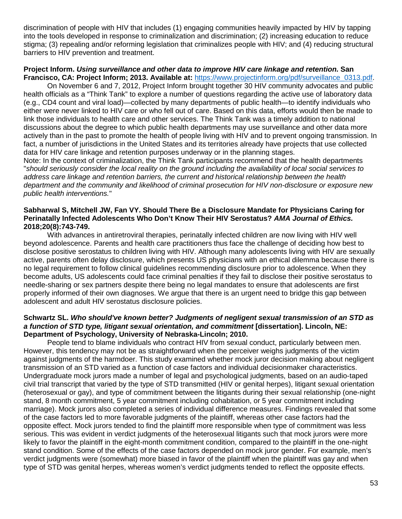discrimination of people with HIV that includes (1) engaging communities heavily impacted by HIV by tapping into the tools developed in response to criminalization and discrimination; (2) increasing education to reduce stigma; (3) repealing and/or reforming legislation that criminalizes people with HIV; and (4) reducing structural barriers to HIV prevention and treatment.

### **Project Inform.** *Using surveillance and other data to improve HIV care linkage and retention.* **San Francisco, CA: Project Inform; 2013. Available at:** [https://www.projectinform.org/pdf/surveillance\\_0313.pdf.](https://www.projectinform.org/pdf/surveillance_0313.pdf)

On November 6 and 7, 2012, Project Inform brought together 30 HIV community advocates and public health officials as a "Think Tank" to explore a number of questions regarding the active use of laboratory data (e.g., CD4 count and viral load)—collected by many departments of public health—to identify individuals who either were never linked to HIV care or who fell out of care. Based on this data, efforts would then be made to link those individuals to health care and other services. The Think Tank was a timely addition to national discussions about the degree to which public health departments may use surveillance and other data more actively than in the past to promote the health of people living with HIV and to prevent ongoing transmission. In fact, a number of jurisdictions in the United States and its territories already have projects that use collected data for HIV care linkage and retention purposes underway or in the planning stages.

Note: In the context of criminalization, the Think Tank participants recommend that the health departments "*should seriously consider the local reality on the ground including the availability of local social services to address care linkage and retention barriers, the current and historical relationship between the health department and the community and likelihood of criminal prosecution for HIV non-disclosure or exposure new public health interventions.*"

### **Sabharwal S, Mitchell JW, Fan VY. Should There Be a Disclosure Mandate for Physicians Caring for Perinatally Infected Adolescents Who Don't Know Their HIV Serostatus?** *AMA Journal of Ethics.*  **2018;20(8):743-749.**

With advances in antiretroviral therapies, perinatally infected children are now living with HIV well beyond adolescence. Parents and health care practitioners thus face the challenge of deciding how best to disclose positive serostatus to children living with HIV. Although many adolescents living with HIV are sexually active, parents often delay disclosure, which presents US physicians with an ethical dilemma because there is no legal requirement to follow clinical guidelines recommending disclosure prior to adolescence. When they become adults, US adolescents could face criminal penalties if they fail to disclose their positive serostatus to needle-sharing or sex partners despite there being no legal mandates to ensure that adolescents are first properly informed of their own diagnoses. We argue that there is an urgent need to bridge this gap between adolescent and adult HIV serostatus disclosure policies.

# **Schwartz SL.** *Who should've known better? Judgments of negligent sexual transmission of an STD as a function of STD type, litigant sexual orientation, and commitment* **[dissertation]. Lincoln, NE: Department of Psychology, University of Nebraska-Lincoln; 2010.**

People tend to blame individuals who contract HIV from sexual conduct, particularly between men. However, this tendency may not be as straightforward when the perceiver weighs judgments of the victim against judgments of the harmdoer. This study examined whether mock juror decision making about negligent transmission of an STD varied as a function of case factors and individual decisionmaker characteristics. Undergraduate mock jurors made a number of legal and psychological judgments, based on an audio-taped civil trial transcript that varied by the type of STD transmitted (HIV or genital herpes), litigant sexual orientation (heterosexual or gay), and type of commitment between the litigants during their sexual relationship (one-night stand, 8 month commitment, 5 year commitment including cohabitation, or 5 year commitment including marriage). Mock jurors also completed a series of individual difference measures. Findings revealed that some of the case factors led to more favorable judgments of the plaintiff, whereas other case factors had the opposite effect. Mock jurors tended to find the plaintiff more responsible when type of commitment was less serious. This was evident in verdict judgments of the heterosexual litigants such that mock jurors were more likely to favor the plaintiff in the eight-month commitment condition, compared to the plaintiff in the one-night stand condition. Some of the effects of the case factors depended on mock juror gender. For example, men's verdict judgments were (somewhat) more biased in favor of the plaintiff when the plaintiff was gay and when type of STD was genital herpes, whereas women's verdict judgments tended to reflect the opposite effects.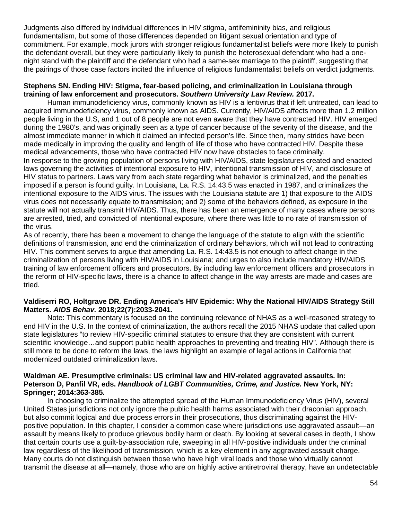Judgments also differed by individual differences in HIV stigma, antifemininity bias, and religious fundamentalism, but some of those differences depended on litigant sexual orientation and type of commitment. For example, mock jurors with stronger religious fundamentalist beliefs were more likely to punish the defendant overall, but they were particularly likely to punish the heterosexual defendant who had a onenight stand with the plaintiff and the defendant who had a same-sex marriage to the plaintiff, suggesting that the pairings of those case factors incited the influence of religious fundamentalist beliefs on verdict judgments.

### **Stephens SN. Ending HIV: Stigma, fear-based policing, and criminalization in Louisiana through training of law enforcement and prosecutors.** *Southern University Law Review.* **2017.**

Human immunodeficiency virus, commonly known as HIV is a lentivirus that if left untreated, can lead to acquired immunodeficiency virus, commonly known as AIDS. Currently, HIV/AIDS affects more than 1.2 million people living in the U.S, and 1 out of 8 people are not even aware that they have contracted HIV. HIV emerged during the 1980's, and was originally seen as a type of cancer because of the severity of the disease, and the almost immediate manner in which it claimed an infected person's life. Since then, many strides have been made medically in improving the quality and length of life of those who have contracted HIV. Despite these medical advancements, those who have contracted HIV now have obstacles to face criminally.

In response to the growing population of persons living with HIV/AIDS, state legislatures created and enacted laws governing the activities of intentional exposure to HIV, intentional transmission of HIV, and disclosure of HIV status to partners. Laws vary from each state regarding what behavior is criminalized, and the penalties imposed if a person is found guilty. In Louisiana, La. R.S. 14:43.5 was enacted in 1987, and criminalizes the intentional exposure to the AIDS virus. The issues with the Louisiana statute are 1) that exposure to the AIDS virus does not necessarily equate to transmission; and 2) some of the behaviors defined, as exposure in the statute will not actually transmit HIV/AIDS. Thus, there has been an emergence of many cases where persons are arrested, tried, and convicted of intentional exposure, where there was little to no rate of transmission of the virus.

As of recently, there has been a movement to change the language of the statute to align with the scientific definitions of transmission, and end the criminalization of ordinary behaviors, which will not lead to contracting HIV. This comment serves to argue that amending La. R.S. 14:43.5 is not enough to affect change in the criminalization of persons living with HIV/AIDS in Louisiana; and urges to also include mandatory HIV/AIDS training of law enforcement officers and prosecutors. By including law enforcement officers and prosecutors in the reform of HIV-specific laws, there is a chance to affect change in the way arrests are made and cases are tried.

### **Valdiserri RO, Holtgrave DR. Ending America's HIV Epidemic: Why the National HIV/AIDS Strategy Still Matters.** *AIDS Behav.* **2018;22(7):2033-2041.**

Note: This commentary is focused on the continuing relevance of NHAS as a well-reasoned strategy to end HIV in the U.S. In the context of criminalization, the authors recall the 2015 NHAS update that called upon state legislatures "to review HIV-specific criminal statutes to ensure that they are consistent with current scientific knowledge...and support public health approaches to preventing and treating HIV". Although there is still more to be done to reform the laws, the laws highlight an example of legal actions in California that modernized outdated criminalization laws.

### **Waldman AE. Presumptive criminals: US criminal law and HIV-related aggravated assaults. In: Peterson D, Panfil VR, eds.** *Handbook of LGBT Communities, Crime, and Justice***. New York, NY: Springer; 2014:363-385.**

In choosing to criminalize the attempted spread of the Human Immunodeficiency Virus (HIV), several United States jurisdictions not only ignore the public health harms associated with their draconian approach, but also commit logical and due process errors in their prosecutions, thus discriminating against the HIVpositive population. In this chapter, I consider a common case where jurisdictions use aggravated assault—an assault by means likely to produce grievous bodily harm or death. By looking at several cases in depth, I show that certain courts use a guilt-by-association rule, sweeping in all HIV-positive individuals under the criminal law regardless of the likelihood of transmission, which is a key element in any aggravated assault charge. Many courts do not distinguish between those who have high viral loads and those who virtually cannot transmit the disease at all—namely, those who are on highly active antiretroviral therapy, have an undetectable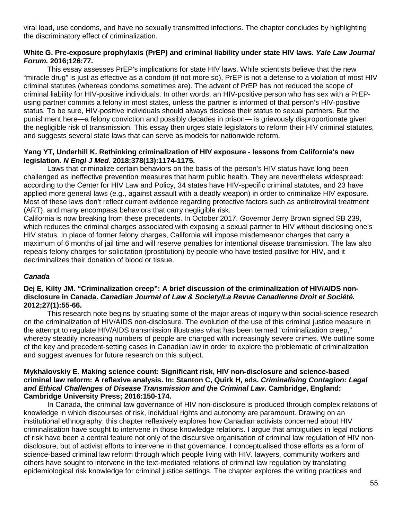viral load, use condoms, and have no sexually transmitted infections. The chapter concludes by highlighting the discriminatory effect of criminalization.

# **White G. Pre-exposure prophylaxis (PrEP) and criminal liability under state HIV laws.** *Yale Law Journal Forum.* **2016;126:77.**

This essay assesses PrEP's implications for state HIV laws. While scientists believe that the new "miracle drug" is just as effective as a condom (if not more so), PrEP is not a defense to a violation of most HIV criminal statutes (whereas condoms sometimes are). The advent of PrEP has not reduced the scope of criminal liability for HIV-positive individuals. In other words, an HIV-positive person who has sex with a PrEPusing partner commits a felony in most states, unless the partner is informed of that person's HIV-positive status. To be sure, HIV-positive individuals should always disclose their status to sexual partners. But the punishment here—a felony conviction and possibly decades in prison— is grievously disproportionate given the negligible risk of transmission. This essay then urges state legislators to reform their HIV criminal statutes, and suggests several state laws that can serve as models for nationwide reform.

### **Yang YT, Underhill K. Rethinking criminalization of HIV exposure - lessons from California's new legislation.** *N Engl J Med.* **2018;378(13):1174-1175.**

Laws that criminalize certain behaviors on the basis of the person's HIV status have long been challenged as ineffective prevention measures that harm public health. They are nevertheless widespread: according to the Center for HIV Law and Policy, 34 states have HIV-specific criminal statutes, and 23 have applied more general laws (e.g., against assault with a deadly weapon) in order to criminalize HIV exposure. Most of these laws don't reflect current evidence regarding protective factors such as antiretroviral treatment (ART), and many encompass behaviors that carry negligible risk.

California is now breaking from these precedents. In October 2017, Governor Jerry Brown signed SB 239, which reduces the criminal charges associated with exposing a sexual partner to HIV without disclosing one's HIV status. In place of former felony charges, California will impose misdemeanor charges that carry a maximum of 6 months of jail time and will reserve penalties for intentional disease transmission. The law also repeals felony charges for solicitation (prostitution) by people who have tested positive for HIV, and it decriminalizes their donation of blood or tissue.

# *Canada*

### **Dej E, Kilty JM. "Criminalization creep": A brief discussion of the criminalization of HIV/AIDS nondisclosure in Canada.** *Canadian Journal of Law & Society/La Revue Canadienne Droit et Société.*  **2012;27(1):55-66.**

This research note begins by situating some of the major areas of inquiry within social-science research on the criminalization of HIV/AIDS non-disclosure. The evolution of the use of this criminal justice measure in the attempt to regulate HIV/AIDS transmission illustrates what has been termed "criminalization creep," whereby steadily increasing numbers of people are charged with increasingly severe crimes. We outline some of the key and precedent-setting cases in Canadian law in order to explore the problematic of criminalization and suggest avenues for future research on this subject.

#### **Mykhalovskiy E. Making science count: Significant risk, HIV non-disclosure and science-based criminal law reform: A reflexive analysis. In: Stanton C, Quirk H, eds.** *Criminalising Contagion: Legal and Ethical Challenges of Disease Transmission and the Criminal Law***. Cambridge, England: Cambridge University Press; 2016:150-174.**

In Canada, the criminal law governance of HIV non-disclosure is produced through complex relations of knowledge in which discourses of risk, individual rights and autonomy are paramount. Drawing on an institutional ethnography, this chapter reflexively explores how Canadian activists concerned about HIV criminalisation have sought to intervene in those knowledge relations. I argue that ambiguities in legal notions of risk have been a central feature not only of the discursive organisation of criminal law regulation of HIV nondisclosure, but of activist efforts to intervene in that governance. I conceptualised those efforts as a form of science-based criminal law reform through which people living with HIV. lawyers, community workers and others have sought to intervene in the text-mediated relations of criminal law regulation by translating epidemiological risk knowledge for criminal justice settings. The chapter explores the writing practices and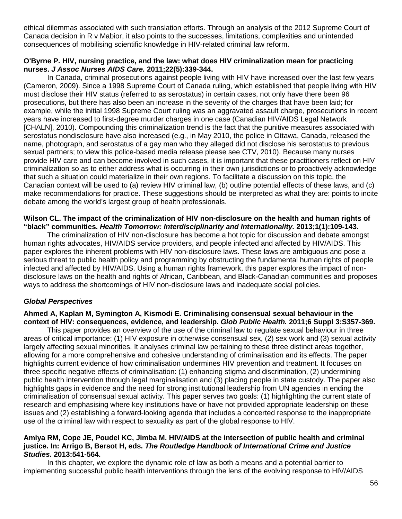ethical dilemmas associated with such translation efforts. Through an analysis of the 2012 Supreme Court of Canada decision in R v Mabior, it also points to the successes, limitations, complexities and unintended consequences of mobilising scientific knowledge in HIV-related criminal law reform.

# **O'Byrne P. HIV, nursing practice, and the law: what does HIV criminalization mean for practicing nurses.** *J Assoc Nurses AIDS Care.* **2011;22(5):339-344.**

In Canada, criminal prosecutions against people living with HIV have increased over the last few years (Cameron, 2009). Since a 1998 Supreme Court of Canada ruling, which established that people living with HIV must disclose their HIV status (referred to as serostatus) in certain cases, not only have there been 96 prosecutions, but there has also been an increase in the severity of the charges that have been laid; for example, while the initial 1998 Supreme Court ruling was an aggravated assault charge, prosecutions in recent years have increased to first-degree murder charges in one case (Canadian HIV/AIDS Legal Network [CHALN], 2010). Compounding this criminalization trend is the fact that the punitive measures associated with serostatus nondisclosure have also increased (e.g., in May 2010, the police in Ottawa, Canada, released the name, photograph, and serostatus of a gay man who they alleged did not disclose his serostatus to previous sexual partners; to view this police-based media release please see CTV, 2010). Because many nurses provide HIV care and can become involved in such cases, it is important that these practitioners reflect on HIV criminalization so as to either address what is occurring in their own jurisdictions or to proactively acknowledge that such a situation could materialize in their own regions. To facilitate a discussion on this topic, the Canadian context will be used to (a) review HIV criminal law, (b) outline potential effects of these laws, and (c) make recommendations for practice. These suggestions should be interpreted as what they are: points to incite debate among the world's largest group of health professionals.

# **Wilson CL. The impact of the criminalization of HIV non-disclosure on the health and human rights of "black" communities.** *Health Tomorrow: Interdisciplinarity and Internationality.* **2013;1(1):109-143.**

The criminalization of HIV non-disclosure has become a hot topic for discussion and debate amongst human rights advocates, HIV/AIDS service providers, and people infected and affected by HIV/AIDS. This paper explores the inherent problems with HIV non-disclosure laws. These laws are ambiguous and pose a serious threat to public health policy and programming by obstructing the fundamental human rights of people infected and affected by HIV/AIDS. Using a human rights framework, this paper explores the impact of nondisclosure laws on the health and rights of African, Caribbean, and Black-Canadian communities and proposes ways to address the shortcomings of HIV non-disclosure laws and inadequate social policies.

# *Global Perspectives*

### **Ahmed A, Kaplan M, Symington A, Kismodi E. Criminalising consensual sexual behaviour in the context of HIV: consequences, evidence, and leadership.** *Glob Public Health.* **2011;6 Suppl 3:S357-369.**

This paper provides an overview of the use of the criminal law to regulate sexual behaviour in three areas of critical importance: (1) HIV exposure in otherwise consensual sex, (2) sex work and (3) sexual activity largely affecting sexual minorities. It analyses criminal law pertaining to these three distinct areas together, allowing for a more comprehensive and cohesive understanding of criminalisation and its effects. The paper highlights current evidence of how criminalisation undermines HIV prevention and treatment. It focuses on three specific negative effects of criminalisation: (1) enhancing stigma and discrimination, (2) undermining public health intervention through legal marginalisation and (3) placing people in state custody. The paper also highlights gaps in evidence and the need for strong institutional leadership from UN agencies in ending the criminalisation of consensual sexual activity. This paper serves two goals: (1) highlighting the current state of research and emphasising where key institutions have or have not provided appropriate leadership on these issues and (2) establishing a forward-looking agenda that includes a concerted response to the inappropriate use of the criminal law with respect to sexuality as part of the global response to HIV.

# **Amiya RM, Cope JE, Poudel KC, Jimba M. HIV/AIDS at the intersection of public health and criminal justice. In: Arrigo B, Bersot H, eds.** *The Routledge Handbook of International Crime and Justice Studies.* **2013:541-564.**

In this chapter, we explore the dynamic role of law as both a means and a potential barrier to implementing successful public health interventions through the lens of the evolving response to HIV/AIDS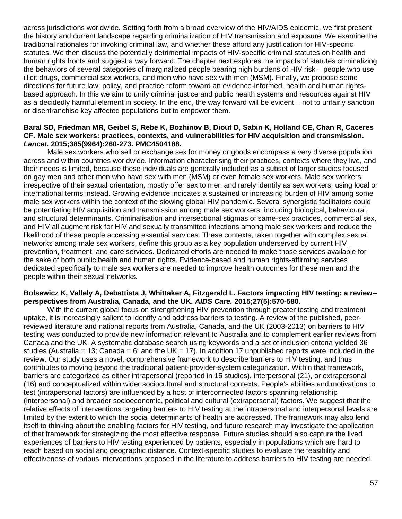across jurisdictions worldwide. Setting forth from a broad overview of the HIV/AIDS epidemic, we first present the history and current landscape regarding criminalization of HIV transmission and exposure. We examine the traditional rationales for invoking criminal law, and whether these afford any justification for HIV-specific statutes. We then discuss the potentially detrimental impacts of HIV-specific criminal statutes on health and human rights fronts and suggest a way forward. The chapter next explores the impacts of statutes criminalizing the behaviors of several categories of marginalized people bearing high burdens of HIV risk – people who use illicit drugs, commercial sex workers, and men who have sex with men (MSM). Finally, we propose some directions for future law, policy, and practice reform toward an evidence-informed, health and human rightsbased approach. In this we aim to unify criminal justice and public health systems and resources against HIV as a decidedly harmful element in society. In the end, the way forward will be evident – not to unfairly sanction or disenfranchise key affected populations but to empower them.

### **Baral SD, Friedman MR, Geibel S, Rebe K, Bozhinov B, Diouf D, Sabin K, Holland CE, Chan R, Caceres CF. Male sex workers: practices, contexts, and vulnerabilities for HIV acquisition and transmission.**  *Lancet.* **2015;385(9964):260-273. PMC4504188.**

Male sex workers who sell or exchange sex for money or goods encompass a very diverse population across and within countries worldwide. Information characterising their practices, contexts where they live, and their needs is limited, because these individuals are generally included as a subset of larger studies focused on gay men and other men who have sex with men (MSM) or even female sex workers. Male sex workers, irrespective of their sexual orientation, mostly offer sex to men and rarely identify as sex workers, using local or international terms instead. Growing evidence indicates a sustained or increasing burden of HIV among some male sex workers within the context of the slowing global HIV pandemic. Several synergistic facilitators could be potentiating HIV acquisition and transmission among male sex workers, including biological, behavioural, and structural determinants. Criminalisation and intersectional stigmas of same-sex practices, commercial sex, and HIV all augment risk for HIV and sexually transmitted infections among male sex workers and reduce the likelihood of these people accessing essential services. These contexts, taken together with complex sexual networks among male sex workers, define this group as a key population underserved by current HIV prevention, treatment, and care services. Dedicated efforts are needed to make those services available for the sake of both public health and human rights. Evidence-based and human rights-affirming services dedicated specifically to male sex workers are needed to improve health outcomes for these men and the people within their sexual networks.

### **Bolsewicz K, Vallely A, Debattista J, Whittaker A, Fitzgerald L. Factors impacting HIV testing: a review- perspectives from Australia, Canada, and the UK.** *AIDS Care.* **2015;27(5):570-580.**

With the current global focus on strengthening HIV prevention through greater testing and treatment uptake, it is increasingly salient to identify and address barriers to testing. A review of the published, peerreviewed literature and national reports from Australia, Canada, and the UK (2003-2013) on barriers to HIV testing was conducted to provide new information relevant to Australia and to complement earlier reviews from Canada and the UK. A systematic database search using keywords and a set of inclusion criteria yielded 36 studies (Australia = 13; Canada = 6; and the UK = 17). In addition 17 unpublished reports were included in the review. Our study uses a novel, comprehensive framework to describe barriers to HIV testing, and thus contributes to moving beyond the traditional patient-provider-system categorization. Within that framework, barriers are categorized as either intrapersonal (reported in 15 studies), interpersonal (21), or extrapersonal (16) and conceptualized within wider sociocultural and structural contexts. People's abilities and motivations to test (intrapersonal factors) are influenced by a host of interconnected factors spanning relationship (interpersonal) and broader socioeconomic, political and cultural (extrapersonal) factors. We suggest that the relative effects of interventions targeting barriers to HIV testing at the intrapersonal and interpersonal levels are limited by the extent to which the social determinants of health are addressed. The framework may also lend itself to thinking about the enabling factors for HIV testing, and future research may investigate the application of that framework for strategizing the most effective response. Future studies should also capture the lived experiences of barriers to HIV testing experienced by patients, especially in populations which are hard to reach based on social and geographic distance. Context-specific studies to evaluate the feasibility and effectiveness of various interventions proposed in the literature to address barriers to HIV testing are needed.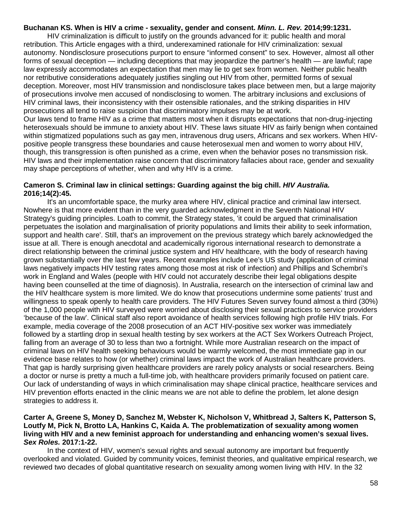# **Buchanan KS. When is HIV a crime - sexuality, gender and consent.** *Minn. L. Rev.* **2014;99:1231.**

HIV criminalization is difficult to justify on the grounds advanced for it: public health and moral retribution. This Article engages with a third, underexamined rationale for HIV criminalization: sexual autonomy. Nondisclosure prosecutions purport to ensure "informed consent" to sex. However, almost all other forms of sexual deception — including deceptions that may jeopardize the partner's health — are lawful; rape law expressly accommodates an expectation that men may lie to get sex from women. Neither public health nor retributive considerations adequately justifies singling out HIV from other, permitted forms of sexual deception. Moreover, most HIV transmission and nondisclosure takes place between men, but a large majority of prosecutions involve men accused of nondisclosing to women. The arbitrary inclusions and exclusions of HIV criminal laws, their inconsistency with their ostensible rationales, and the striking disparities in HIV prosecutions all tend to raise suspicion that discriminatory impulses may be at work.

Our laws tend to frame HIV as a crime that matters most when it disrupts expectations that non-drug-injecting heterosexuals should be immune to anxiety about HIV. These laws situate HIV as fairly benign when contained within stigmatized populations such as gay men, intravenous drug users, Africans and sex workers. When HIVpositive people transgress these boundaries and cause heterosexual men and women to worry about HIV, though, this transgression is often punished as a crime, even when the behavior poses no transmission risk. HIV laws and their implementation raise concern that discriminatory fallacies about race, gender and sexuality may shape perceptions of whether, when and why HIV is a crime.

### **Cameron S. Criminal law in clinical settings: Guarding against the big chill.** *HIV Australia.*  **2016;14(2):45.**

It's an uncomfortable space, the murky area where HIV, clinical practice and criminal law intersect. Nowhere is that more evident than in the very guarded acknowledgment in the Seventh National HIV Strategy's guiding principles. Loath to commit, the Strategy states, 'it could be argued that criminalisation perpetuates the isolation and marginalisation of priority populations and limits their ability to seek information, support and health care'. Still, that's an improvement on the previous strategy which barely acknowledged the issue at all. There is enough anecdotal and academically rigorous international research to demonstrate a direct relationship between the criminal justice system and HIV healthcare, with the body of research having grown substantially over the last few years. Recent examples include Lee's US study (application of criminal laws negatively impacts HIV testing rates among those most at risk of infection) and Phillips and Schembri's work in England and Wales (people with HIV could not accurately describe their legal obligations despite having been counselled at the time of diagnosis). In Australia, research on the intersection of criminal law and the HIV healthcare system is more limited. We do know that prosecutions undermine some patients' trust and willingness to speak openly to health care providers. The HIV Futures Seven survey found almost a third (30%) of the 1,000 people with HIV surveyed were worried about disclosing their sexual practices to service providers 'because of the law'. Clinical staff also report avoidance of health services following high profile HIV trials. For example, media coverage of the 2008 prosecution of an ACT HIV-positive sex worker was immediately followed by a startling drop in sexual health testing by sex workers at the ACT Sex Workers Outreach Project, falling from an average of 30 to less than two a fortnight. While more Australian research on the impact of criminal laws on HIV health seeking behaviours would be warmly welcomed, the most immediate gap in our evidence base relates to how (or whether) criminal laws impact the work of Australian healthcare providers. That gap is hardly surprising given healthcare providers are rarely policy analysts or social researchers. Being a doctor or nurse is pretty a much a full-time job, with healthcare providers primarily focused on patient care. Our lack of understanding of ways in which criminalisation may shape clinical practice, healthcare services and HIV prevention efforts enacted in the clinic means we are not able to define the problem, let alone design strategies to address it.

# **Carter A, Greene S, Money D, Sanchez M, Webster K, Nicholson V, Whitbread J, Salters K, Patterson S, Loutfy M, Pick N, Brotto LA, Hankins C, Kaida A. The problematization of sexuality among women living with HIV and a new feminist approach for understanding and enhancing women's sexual lives.**  *Sex Roles.* **2017:1-22.**

In the context of HIV, women's sexual rights and sexual autonomy are important but frequently overlooked and violated. Guided by community voices, feminist theories, and qualitative empirical research, we reviewed two decades of global quantitative research on sexuality among women living with HIV. In the 32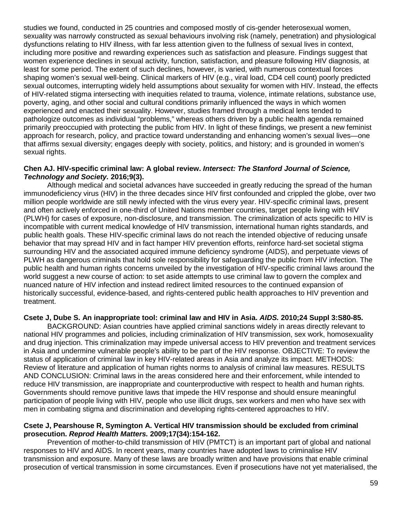studies we found, conducted in 25 countries and composed mostly of cis-gender heterosexual women, sexuality was narrowly constructed as sexual behaviours involving risk (namely, penetration) and physiological dysfunctions relating to HIV illness, with far less attention given to the fullness of sexual lives in context, including more positive and rewarding experiences such as satisfaction and pleasure. Findings suggest that women experience declines in sexual activity, function, satisfaction, and pleasure following HIV diagnosis, at least for some period. The extent of such declines, however, is varied, with numerous contextual forces shaping women's sexual well-being. Clinical markers of HIV (e.g., viral load, CD4 cell count) poorly predicted sexual outcomes, interrupting widely held assumptions about sexuality for women with HIV. Instead, the effects of HIV-related stigma intersecting with inequities related to trauma, violence, intimate relations, substance use, poverty, aging, and other social and cultural conditions primarily influenced the ways in which women experienced and enacted their sexuality. However, studies framed through a medical lens tended to pathologize outcomes as individual "problems," whereas others driven by a public health agenda remained primarily preoccupied with protecting the public from HIV. In light of these findings, we present a new feminist approach for research, policy, and practice toward understanding and enhancing women's sexual lives—one that affirms sexual diversity; engages deeply with society, politics, and history; and is grounded in women's sexual rights.

### **Chen AJ. HIV-specific criminal law: A global review.** *Intersect: The Stanford Journal of Science, Technology and Society.* **2016;9(3).**

Although medical and societal advances have succeeded in greatly reducing the spread of the human immunodeficiency virus (HIV) in the three decades since HIV first confounded and crippled the globe, over two million people worldwide are still newly infected with the virus every year. HIV-specific criminal laws, present and often actively enforced in one-third of United Nations member countries, target people living with HIV (PLWH) for cases of exposure, non-disclosure, and transmission. The criminalization of acts specific to HIV is incompatible with current medical knowledge of HIV transmission, international human rights standards, and public health goals. These HIV-specific criminal laws do not reach the intended objective of reducing unsafe behavior that may spread HIV and in fact hamper HIV prevention efforts, reinforce hard-set societal stigma surrounding HIV and the associated acquired immune deficiency syndrome (AIDS), and perpetuate views of PLWH as dangerous criminals that hold sole responsibility for safeguarding the public from HIV infection. The public health and human rights concerns unveiled by the investigation of HIV-specific criminal laws around the world suggest a new course of action: to set aside attempts to use criminal law to govern the complex and nuanced nature of HIV infection and instead redirect limited resources to the continued expansion of historically successful, evidence-based, and rights-centered public health approaches to HIV prevention and treatment.

# **Csete J, Dube S. An inappropriate tool: criminal law and HIV in Asia.** *AIDS.* **2010;24 Suppl 3:S80-85.**

BACKGROUND: Asian countries have applied criminal sanctions widely in areas directly relevant to national HIV programmes and policies, including criminalization of HIV transmission, sex work, homosexuality and drug injection. This criminalization may impede universal access to HIV prevention and treatment services in Asia and undermine vulnerable people's ability to be part of the HIV response. OBJECTIVE: To review the status of application of criminal law in key HIV-related areas in Asia and analyze its impact. METHODS: Review of literature and application of human rights norms to analysis of criminal law measures. RESULTS AND CONCLUSION: Criminal laws in the areas considered here and their enforcement, while intended to reduce HIV transmission, are inappropriate and counterproductive with respect to health and human rights. Governments should remove punitive laws that impede the HIV response and should ensure meaningful participation of people living with HIV, people who use illicit drugs, sex workers and men who have sex with men in combating stigma and discrimination and developing rights-centered approaches to HIV.

# **Csete J, Pearshouse R, Symington A. Vertical HIV transmission should be excluded from criminal prosecution.** *Reprod Health Matters.* **2009;17(34):154-162.**

Prevention of mother-to-child transmission of HIV (PMTCT) is an important part of global and national responses to HIV and AIDS. In recent years, many countries have adopted laws to criminalise HIV transmission and exposure. Many of these laws are broadly written and have provisions that enable criminal prosecution of vertical transmission in some circumstances. Even if prosecutions have not yet materialised, the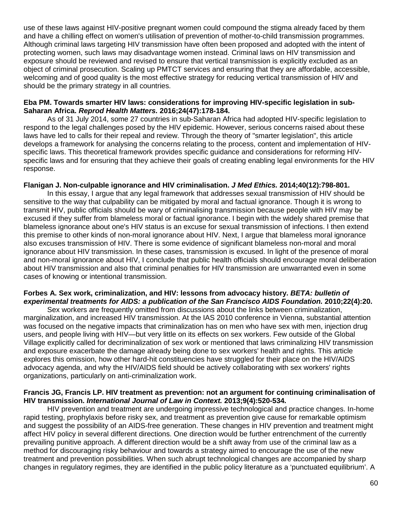use of these laws against HIV-positive pregnant women could compound the stigma already faced by them and have a chilling effect on women's utilisation of prevention of mother-to-child transmission programmes. Although criminal laws targeting HIV transmission have often been proposed and adopted with the intent of protecting women, such laws may disadvantage women instead. Criminal laws on HIV transmission and exposure should be reviewed and revised to ensure that vertical transmission is explicitly excluded as an object of criminal prosecution. Scaling up PMTCT services and ensuring that they are affordable, accessible, welcoming and of good quality is the most effective strategy for reducing vertical transmission of HIV and should be the primary strategy in all countries.

#### **Eba PM. Towards smarter HIV laws: considerations for improving HIV-specific legislation in sub-Saharan Africa.** *Reprod Health Matters.* **2016;24(47):178-184.**

As of 31 July 2014, some 27 countries in sub-Saharan Africa had adopted HIV-specific legislation to respond to the legal challenges posed by the HIV epidemic. However, serious concerns raised about these laws have led to calls for their repeal and review. Through the theory of "smarter legislation", this article develops a framework for analysing the concerns relating to the process, content and implementation of HIVspecific laws. This theoretical framework provides specific guidance and considerations for reforming HIVspecific laws and for ensuring that they achieve their goals of creating enabling legal environments for the HIV response.

### **Flanigan J. Non-culpable ignorance and HIV criminalisation.** *J Med Ethics.* **2014;40(12):798-801.**

In this essay, I argue that any legal framework that addresses sexual transmission of HIV should be sensitive to the way that culpability can be mitigated by moral and factual ignorance. Though it is wrong to transmit HIV, public officials should be wary of criminalising transmission because people with HIV may be excused if they suffer from blameless moral or factual ignorance. I begin with the widely shared premise that blameless ignorance about one's HIV status is an excuse for sexual transmission of infections. I then extend this premise to other kinds of non-moral ignorance about HIV. Next, I argue that blameless moral ignorance also excuses transmission of HIV. There is some evidence of significant blameless non-moral and moral ignorance about HIV transmission. In these cases, transmission is excused. In light of the presence of moral and non-moral ignorance about HIV, I conclude that public health officials should encourage moral deliberation about HIV transmission and also that criminal penalties for HIV transmission are unwarranted even in some cases of knowing or intentional transmission.

# **Forbes A. Sex work, criminalization, and HIV: lessons from advocacy history.** *BETA: bulletin of experimental treatments for AIDS: a publication of the San Francisco AIDS Foundation.* **2010;22(4):20.**

Sex workers are frequently omitted from discussions about the links between criminalization, marginalization, and increased HIV transmission. At the IAS 2010 conference in Vienna, substantial attention was focused on the negative impacts that criminalization has on men who have sex with men, injection drug users, and people living with HIV—but very little on its effects on sex workers. Few outside of the Global Village explicitly called for decriminalization of sex work or mentioned that laws criminalizing HIV transmission and exposure exacerbate the damage already being done to sex workers' health and rights. This article explores this omission, how other hard-hit constituencies have struggled for their place on the HIV/AIDS advocacy agenda, and why the HIV/AIDS field should be actively collaborating with sex workers' rights organizations, particularly on anti-criminalization work.

#### **Francis JG, Francis LP. HIV treatment as prevention: not an argument for continuing criminalisation of HIV transmission.** *International Journal of Law in Context.* **2013;9(4):520-534.**

HIV prevention and treatment are undergoing impressive technological and practice changes. In-home rapid testing, prophylaxis before risky sex, and treatment as prevention give cause for remarkable optimism and suggest the possibility of an AIDS-free generation. These changes in HIV prevention and treatment might affect HIV policy in several different directions. One direction would be further entrenchment of the currently prevailing punitive approach. A different direction would be a shift away from use of the criminal law as a method for discouraging risky behaviour and towards a strategy aimed to encourage the use of the new treatment and prevention possibilities. When such abrupt technological changes are accompanied by sharp changes in regulatory regimes, they are identified in the public policy literature as a 'punctuated equilibrium'. A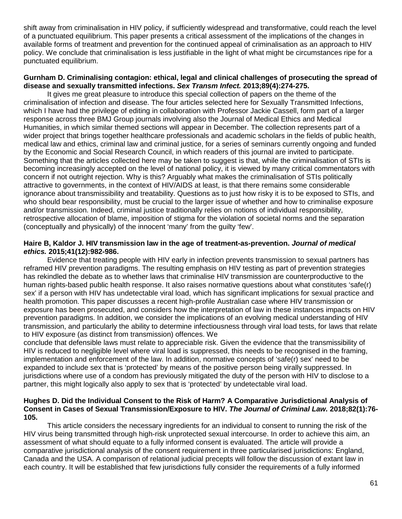shift away from criminalisation in HIV policy, if sufficiently widespread and transformative, could reach the level of a punctuated equilibrium. This paper presents a critical assessment of the implications of the changes in available forms of treatment and prevention for the continued appeal of criminalisation as an approach to HIV policy. We conclude that criminalisation is less justifiable in the light of what might be circumstances ripe for a punctuated equilibrium.

# **Gurnham D. Criminalising contagion: ethical, legal and clinical challenges of prosecuting the spread of disease and sexually transmitted infections.** *Sex Transm Infect.* **2013;89(4):274-275.**

It gives me great pleasure to introduce this special collection of papers on the theme of the criminalisation of infection and disease. The four articles selected here for Sexually Transmitted Infections, which I have had the privilege of editing in collaboration with Professor Jackie Cassell, form part of a larger response across three BMJ Group journals involving also the Journal of Medical Ethics and Medical Humanities, in which similar themed sections will appear in December. The collection represents part of a wider project that brings together healthcare professionals and academic scholars in the fields of public health, medical law and ethics, criminal law and criminal justice, for a series of seminars currently ongoing and funded by the Economic and Social Research Council, in which readers of this journal are invited to participate. Something that the articles collected here may be taken to suggest is that, while the criminalisation of STIs is becoming increasingly accepted on the level of national policy, it is viewed by many critical commentators with concern if not outright rejection. Why is this? Arguably what makes the criminalisation of STIs politically attractive to governments, in the context of HIV/AIDS at least, is that there remains some considerable ignorance about transmissibility and treatability. Questions as to just how risky it is to be exposed to STIs, and who should bear responsibility, must be crucial to the larger issue of whether and how to criminalise exposure and/or transmission. Indeed, criminal justice traditionally relies on notions of individual responsibility, retrospective allocation of blame, imposition of stigma for the violation of societal norms and the separation (conceptually and physically) of the innocent 'many' from the guilty 'few'.

### **Haire B, Kaldor J. HIV transmission law in the age of treatment-as-prevention.** *Journal of medical ethics.* **2015;41(12):982-986.**

Evidence that treating people with HIV early in infection prevents transmission to sexual partners has reframed HIV prevention paradigms. The resulting emphasis on HIV testing as part of prevention strategies has rekindled the debate as to whether laws that criminalise HIV transmission are counterproductive to the human rights-based public health response. It also raises normative questions about what constitutes 'safe(r) sex' if a person with HIV has undetectable viral load, which has significant implications for sexual practice and health promotion. This paper discusses a recent high-profile Australian case where HIV transmission or exposure has been prosecuted, and considers how the interpretation of law in these instances impacts on HIV prevention paradigms. In addition, we consider the implications of an evolving medical understanding of HIV transmission, and particularly the ability to determine infectiousness through viral load tests, for laws that relate to HIV exposure (as distinct from transmission) offences. We

conclude that defensible laws must relate to appreciable risk. Given the evidence that the transmissibility of HIV is reduced to negligible level where viral load is suppressed, this needs to be recognised in the framing, implementation and enforcement of the law. In addition, normative concepts of 'safe(r) sex' need to be expanded to include sex that is 'protected' by means of the positive person being virally suppressed. In jurisdictions where use of a condom has previously mitigated the duty of the person with HIV to disclose to a partner, this might logically also apply to sex that is 'protected' by undetectable viral load.

### **Hughes D. Did the Individual Consent to the Risk of Harm? A Comparative Jurisdictional Analysis of Consent in Cases of Sexual Transmission/Exposure to HIV.** *The Journal of Criminal Law.* **2018;82(1):76- 105.**

This article considers the necessary ingredients for an individual to consent to running the risk of the HIV virus being transmitted through high-risk unprotected sexual intercourse. In order to achieve this aim, an assessment of what should equate to a fully informed consent is evaluated. The article will provide a comparative jurisdictional analysis of the consent requirement in three particularised jurisdictions: England, Canada and the USA. A comparison of relational judicial precepts will follow the discussion of extant law in each country. It will be established that few jurisdictions fully consider the requirements of a fully informed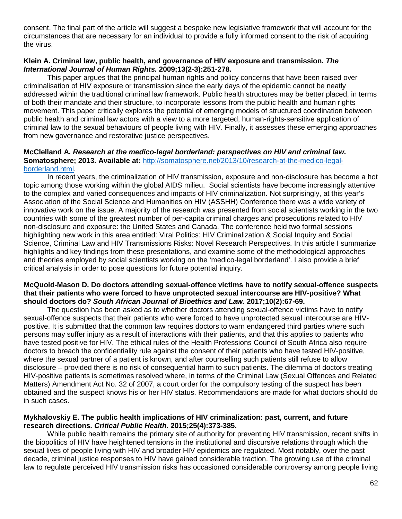consent. The final part of the article will suggest a bespoke new legislative framework that will account for the circumstances that are necessary for an individual to provide a fully informed consent to the risk of acquiring the virus.

# **Klein A. Criminal law, public health, and governance of HIV exposure and transmission.** *The International Journal of Human Rights.* **2009;13(2-3):251-278.**

This paper argues that the principal human rights and policy concerns that have been raised over criminalisation of HIV exposure or transmission since the early days of the epidemic cannot be neatly addressed within the traditional criminal law framework. Public health structures may be better placed, in terms of both their mandate and their structure, to incorporate lessons from the public health and human rights movement. This paper critically explores the potential of emerging models of structured coordination between public health and criminal law actors with a view to a more targeted, human-rights-sensitive application of criminal law to the sexual behaviours of people living with HIV. Finally, it assesses these emerging approaches from new governance and restorative justice perspectives.

#### **McClelland A.** *Research at the medico-legal borderland: perspectives on HIV and criminal law.* **Somatosphere; 2013. Available at:** [http://somatosphere.net/2013/10/research-at-the-medico-legal](http://somatosphere.net/2013/10/research-at-the-medico-legal-borderland.html)[borderland.html.](http://somatosphere.net/2013/10/research-at-the-medico-legal-borderland.html)

In recent years, the criminalization of HIV transmission, exposure and non-disclosure has become a hot topic among those working within the global AIDS milieu. Social scientists have become increasingly attentive to the complex and varied consequences and impacts of HIV criminalization. Not surprisingly, at this year's Association of the Social Science and Humanities on HIV (ASSHH) Conference there was a wide variety of innovative work on the issue. A majority of the research was presented from social scientists working in the two countries with some of the greatest number of per-capita criminal charges and prosecutions related to HIV non-disclosure and exposure: the United States and Canada. The conference held two formal sessions highlighting new work in this area entitled: Viral Politics: HIV Criminalization & Social Inquiry and Social Science, Criminal Law and HIV Transmissions Risks: Novel Research Perspectives. In this article I summarize highlights and key findings from these presentations, and examine some of the methodological approaches and theories employed by social scientists working on the 'medico-legal borderland'. I also provide a brief critical analysis in order to pose questions for future potential inquiry.

### **McQuoid-Mason D. Do doctors attending sexual-offence victims have to notify sexual-offence suspects that their patients who were forced to have unprotected sexual intercourse are HIV-positive? What should doctors do?** *South African Journal of Bioethics and Law.* **2017;10(2):67-69.**

The question has been asked as to whether doctors attending sexual-offence victims have to notify sexual-offence suspects that their patients who were forced to have unprotected sexual intercourse are HIVpositive. It is submitted that the common law requires doctors to warn endangered third parties where such persons may suffer injury as a result of interactions with their patients, and that this applies to patients who have tested positive for HIV. The ethical rules of the Health Professions Council of South Africa also require doctors to breach the confidentiality rule against the consent of their patients who have tested HIV-positive, where the sexual partner of a patient is known, and after counselling such patients still refuse to allow disclosure – provided there is no risk of consequential harm to such patients. The dilemma of doctors treating HIV-positive patients is sometimes resolved where, in terms of the Criminal Law (Sexual Offences and Related Matters) Amendment Act No. 32 of 2007, a court order for the compulsory testing of the suspect has been obtained and the suspect knows his or her HIV status. Recommendations are made for what doctors should do in such cases.

### **Mykhalovskiy E. The public health implications of HIV criminalization: past, current, and future research directions.** *Critical Public Health.* **2015;25(4):373-385.**

While public health remains the primary site of authority for preventing HIV transmission, recent shifts in the biopolitics of HIV have heightened tensions in the institutional and discursive relations through which the sexual lives of people living with HIV and broader HIV epidemics are regulated. Most notably, over the past decade, criminal justice responses to HIV have gained considerable traction. The growing use of the criminal law to regulate perceived HIV transmission risks has occasioned considerable controversy among people living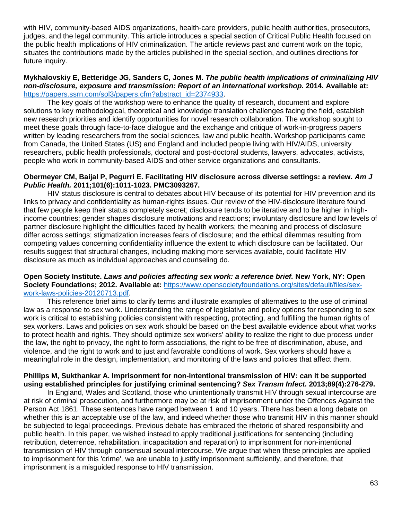with HIV, community-based AIDS organizations, health-care providers, public health authorities, prosecutors, judges, and the legal community. This article introduces a special section of Critical Public Health focused on the public health implications of HIV criminalization. The article reviews past and current work on the topic, situates the contributions made by the articles published in the special section, and outlines directions for future inquiry.

### **Mykhalovskiy E, Betteridge JG, Sanders C, Jones M.** *The public health implications of criminalizing HIV non-disclosure, exposure and transmission: Report of an international workshop.* **2014. Available at:** [https://papers.ssrn.com/sol3/papers.cfm?abstract\\_id=2374933.](https://papers.ssrn.com/sol3/papers.cfm?abstract_id=2374933)

The key goals of the workshop were to enhance the quality of research, document and explore solutions to key methodological, theoretical and knowledge translation challenges facing the field, establish new research priorities and identify opportunities for novel research collaboration. The workshop sought to meet these goals through face-to-face dialogue and the exchange and critique of work-in-progress papers written by leading researchers from the social sciences, law and public health. Workshop participants came from Canada, the United States (US) and England and included people living with HIV/AIDS, university researchers, public health professionals, doctoral and post-doctoral students, lawyers, advocates, activists, people who work in community-based AIDS and other service organizations and consultants.

# **Obermeyer CM, Baijal P, Pegurri E. Facilitating HIV disclosure across diverse settings: a review.** *Am J Public Health.* **2011;101(6):1011-1023. PMC3093267.**

HIV status disclosure is central to debates about HIV because of its potential for HIV prevention and its links to privacy and confidentiality as human-rights issues. Our review of the HIV-disclosure literature found that few people keep their status completely secret; disclosure tends to be iterative and to be higher in highincome countries; gender shapes disclosure motivations and reactions; involuntary disclosure and low levels of partner disclosure highlight the difficulties faced by health workers; the meaning and process of disclosure differ across settings; stigmatization increases fears of disclosure; and the ethical dilemmas resulting from competing values concerning confidentiality influence the extent to which disclosure can be facilitated. Our results suggest that structural changes, including making more services available, could facilitate HIV disclosure as much as individual approaches and counseling do.

### **Open Society Institute.** *Laws and policies affecting sex work: a reference brief.* **New York, NY: Open Society Foundations; 2012. Available at:** [https://www.opensocietyfoundations.org/sites/default/files/sex](https://www.opensocietyfoundations.org/sites/default/files/sex-work-laws-policies-20120713.pdf)[work-laws-policies-20120713.pdf.](https://www.opensocietyfoundations.org/sites/default/files/sex-work-laws-policies-20120713.pdf)

This reference brief aims to clarify terms and illustrate examples of alternatives to the use of criminal law as a response to sex work. Understanding the range of legislative and policy options for responding to sex work is critical to establishing policies consistent with respecting, protecting, and fulfilling the human rights of sex workers. Laws and policies on sex work should be based on the best available evidence about what works to protect health and rights. They should optimize sex workers' ability to realize the right to due process under the law, the right to privacy, the right to form associations, the right to be free of discrimination, abuse, and violence, and the right to work and to just and favorable conditions of work. Sex workers should have a meaningful role in the design, implementation, and monitoring of the laws and policies that affect them.

# **Phillips M, Sukthankar A. Imprisonment for non-intentional transmission of HIV: can it be supported using established principles for justifying criminal sentencing?** *Sex Transm Infect.* **2013;89(4):276-279.**

In England, Wales and Scotland, those who unintentionally transmit HIV through sexual intercourse are at risk of criminal prosecution, and furthermore may be at risk of imprisonment under the Offences Against the Person Act 1861. These sentences have ranged between 1 and 10 years. There has been a long debate on whether this is an acceptable use of the law, and indeed whether those who transmit HIV in this manner should be subjected to legal proceedings. Previous debate has embraced the rhetoric of shared responsibility and public health. In this paper, we wished instead to apply traditional justifications for sentencing (including retribution, deterrence, rehabilitation, incapacitation and reparation) to imprisonment for non-intentional transmission of HIV through consensual sexual intercourse. We argue that when these principles are applied to imprisonment for this 'crime', we are unable to justify imprisonment sufficiently, and therefore, that imprisonment is a misguided response to HIV transmission.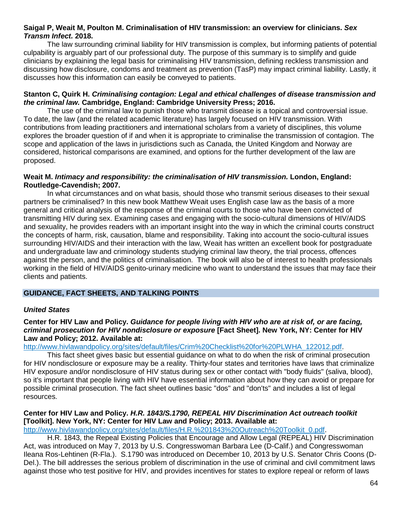# **Saigal P, Weait M, Poulton M. Criminalisation of HIV transmission: an overview for clinicians.** *Sex Transm Infect.* **2018.**

The law surrounding criminal liability for HIV transmission is complex, but informing patients of potential culpability is arguably part of our professional duty. The purpose of this summary is to simplify and guide clinicians by explaining the legal basis for criminalising HIV transmission, defining reckless transmission and discussing how disclosure, condoms and treatment as prevention (TasP) may impact criminal liability. Lastly, it discusses how this information can easily be conveyed to patients.

# **Stanton C, Quirk H.** *Criminalising contagion: Legal and ethical challenges of disease transmission and the criminal law.* **Cambridge, England: Cambridge University Press; 2016.**

The use of the criminal law to punish those who transmit disease is a topical and controversial issue. To date, the law (and the related academic literature) has largely focused on HIV transmission. With contributions from leading practitioners and international scholars from a variety of disciplines, this volume explores the broader question of if and when it is appropriate to criminalise the transmission of contagion. The scope and application of the laws in jurisdictions such as Canada, the United Kingdom and Norway are considered, historical comparisons are examined, and options for the further development of the law are proposed.

### **Weait M.** *Intimacy and responsibility: the criminalisation of HIV transmission.* **London, England: Routledge-Cavendish; 2007.**

In what circumstances and on what basis, should those who transmit serious diseases to their sexual partners be criminalised? In this new book Matthew Weait uses English case law as the basis of a more general and critical analysis of the response of the criminal courts to those who have been convicted of transmitting HIV during sex. Examining cases and engaging with the socio-cultural dimensions of HIV/AIDS and sexuality, he provides readers with an important insight into the way in which the criminal courts construct the concepts of harm, risk, causation, blame and responsibility. Taking into account the socio-cultural issues surrounding HIV/AIDS and their interaction with the law, Weait has written an excellent book for postgraduate and undergraduate law and criminology students studying criminal law theory, the trial process, offences against the person, and the politics of criminalisation. The book will also be of interest to health professionals working in the field of HIV/AIDS genito-urinary medicine who want to understand the issues that may face their clients and patients.

# **GUIDANCE, FACT SHEETS, AND TALKING POINTS**

# *United States*

### **Center for HIV Law and Policy.** *Guidance for people living with HIV who are at risk of, or are facing, criminal prosecution for HIV nondisclosure or exposure* **[Fact Sheet]. New York, NY: Center for HIV Law and Policy; 2012. Available at:**

[http://www.hivlawandpolicy.org/sites/default/files/Crim%20Checklist%20for%20PLWHA\\_122012.pdf.](http://www.hivlawandpolicy.org/sites/default/files/Crim%20Checklist%20for%20PLWHA_122012.pdf)

This fact sheet gives basic but essential guidance on what to do when the risk of criminal prosecution for HIV nondisclosure or exposure may be a reality. Thirty-four states and territories have laws that criminalize HIV exposure and/or nondisclosure of HIV status during sex or other contact with "body fluids" (saliva, blood), so it's important that people living with HIV have essential information about how they can avoid or prepare for possible criminal prosecution. The fact sheet outlines basic "dos" and "don'ts" and includes a list of legal resources.

# **Center for HIV Law and Policy.** *H.R. 1843/S.1790, REPEAL HIV Discrimination Act outreach toolkit* **[Toolkit]. New York, NY: Center for HIV Law and Policy; 2013. Available at:**

[http://www.hivlawandpolicy.org/sites/default/files/H.R.%201843%20Outreach%20Toolkit\\_0.pdf.](http://www.hivlawandpolicy.org/sites/default/files/H.R.%201843%20Outreach%20Toolkit_0.pdf)

H.R. 1843, the Repeal Existing Policies that Encourage and Allow Legal (REPEAL) HIV Discrimination Act, was introduced on May 7, 2013 by U.S. Congresswoman Barbara Lee (D-Calif.) and Congresswoman Ileana Ros-Lehtinen (R-Fla.). S.1790 was introduced on December 10, 2013 by U.S. Senator Chris Coons (D-Del.). The bill addresses the serious problem of discrimination in the use of criminal and civil commitment laws against those who test positive for HIV, and provides incentives for states to explore repeal or reform of laws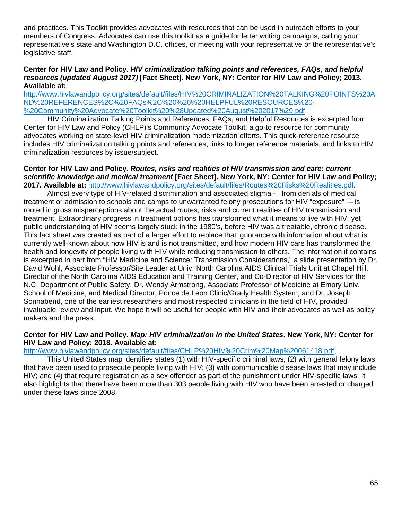and practices. This Toolkit provides advocates with resources that can be used in outreach efforts to your members of Congress. Advocates can use this toolkit as a guide for letter writing campaigns, calling your representative's state and Washington D.C. offices, or meeting with your representative or the representative's legislative staff.

#### **Center for HIV Law and Policy.** *HIV criminalization talking points and references, FAQs, and helpful resources (updated August 2017)* **[Fact Sheet]. New York, NY: Center for HIV Law and Policy; 2013. Available at:**

[http://www.hivlawandpolicy.org/sites/default/files/HIV%20CRIMINALIZATION%20TALKING%20POINTS%20A](http://www.hivlawandpolicy.org/sites/default/files/HIV%20CRIMINALIZATION%20TALKING%20POINTS%20AND%20REFERENCES%2C%20FAQs%2C%20%26%20HELPFUL%20RESOURCES%20-%20Community%20Advocate%20Toolkit%20%28Updated%20August%202017%29.pdf) [ND%20REFERENCES%2C%20FAQs%2C%20%26%20HELPFUL%20RESOURCES%20-](http://www.hivlawandpolicy.org/sites/default/files/HIV%20CRIMINALIZATION%20TALKING%20POINTS%20AND%20REFERENCES%2C%20FAQs%2C%20%26%20HELPFUL%20RESOURCES%20-%20Community%20Advocate%20Toolkit%20%28Updated%20August%202017%29.pdf) [%20Community%20Advocate%20Toolkit%20%28Updated%20August%202017%29.pdf.](http://www.hivlawandpolicy.org/sites/default/files/HIV%20CRIMINALIZATION%20TALKING%20POINTS%20AND%20REFERENCES%2C%20FAQs%2C%20%26%20HELPFUL%20RESOURCES%20-%20Community%20Advocate%20Toolkit%20%28Updated%20August%202017%29.pdf)

HIV Criminalization Talking Points and References, FAQs, and Helpful Resources is excerpted from Center for HIV Law and Policy (CHLP)'s Community Advocate Toolkit, a go-to resource for community advocates working on state-level HIV criminalization modernization efforts. This quick-reference resource includes HIV criminalization talking points and references, links to longer reference materials, and links to HIV criminalization resources by issue/subject.

#### **Center for HIV Law and Policy.** *Routes, risks and realities of HIV transmission and care: current scientific knowledge and medical treatment* **[Fact Sheet]. New York, NY: Center for HIV Law and Policy; 2017. Available at:** [http://www.hivlawandpolicy.org/sites/default/files/Routes%20Risks%20Realities.pdf.](http://www.hivlawandpolicy.org/sites/default/files/Routes%20Risks%20Realities.pdf)

Almost every type of HIV-related discrimination and associated stigma -– from denials of medical treatment or admission to schools and camps to unwarranted felony prosecutions for HIV "exposure" -– is rooted in gross misperceptions about the actual routes, risks and current realities of HIV transmission and treatment. Extraordinary progress in treatment options has transformed what it means to live with HIV, yet public understanding of HIV seems largely stuck in the 1980's, before HIV was a treatable, chronic disease. This fact sheet was created as part of a larger effort to replace that ignorance with information about what is currently well-known about how HIV is and is not transmitted, and how modern HIV care has transformed the health and longevity of people living with HIV while reducing transmission to others. The information it contains is excerpted in part from "HIV Medicine and Science: Transmission Considerations," a slide presentation by Dr. David Wohl, Associate Professor/Site Leader at Univ. North Carolina AIDS Clinical Trials Unit at Chapel Hill, Director of the North Carolina AIDS Education and Training Center, and Co-Director of HIV Services for the N.C. Department of Public Safety. Dr. Wendy Armstrong, Associate Professor of Medicine at Emory Univ. School of Medicine, and Medical Director, Ponce de Leon Clinic/Grady Health System, and Dr. Joseph Sonnabend, one of the earliest researchers and most respected clinicians in the field of HIV, provided invaluable review and input. We hope it will be useful for people with HIV and their advocates as well as policy makers and the press.

### **Center for HIV Law and Policy.** *Map: HIV criminalization in the United States***. New York, NY: Center for HIV Law and Policy; 2018. Available at:**

[http://www.hivlawandpolicy.org/sites/default/files/CHLP%20HIV%20Crim%20Map%20061418.pdf.](http://www.hivlawandpolicy.org/sites/default/files/CHLP%20HIV%20Crim%20Map%20061418.pdf)

This United States map identifies states (1) with HIV-specific criminal laws; (2) with general felony laws that have been used to prosecute people living with HIV; (3) with communicable disease laws that may include HIV; and (4) that require registration as a sex offender as part of the punishment under HIV-specific laws. It also highlights that there have been more than 303 people living with HIV who have been arrested or charged under these laws since 2008.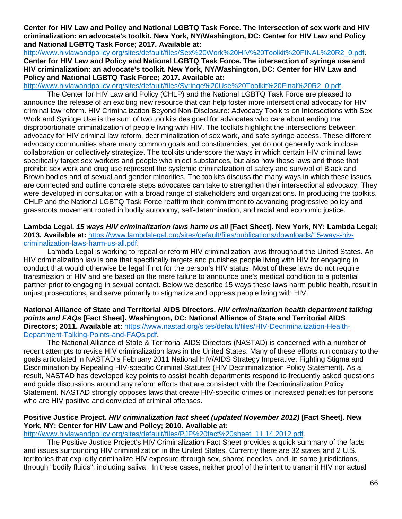**Center for HIV Law and Policy and National LGBTQ Task Force. The intersection of sex work and HIV criminalization: an advocate's toolkit. New York, NY/Washington, DC: Center for HIV Law and Policy and National LGBTQ Task Force; 2017. Available at:**

[http://www.hivlawandpolicy.org/sites/default/files/Sex%20Work%20HIV%20Toolkit%20FINAL%20R2\\_0.pdf.](http://www.hivlawandpolicy.org/sites/default/files/Sex%20Work%20HIV%20Toolkit%20FINAL%20R2_0.pdf)

**Center for HIV Law and Policy and National LGBTQ Task Force. The intersection of syringe use and HIV criminalization: an advocate's toolkit. New York, NY/Washington, DC: Center for HIV Law and Policy and National LGBTQ Task Force; 2017. Available at:**

[http://www.hivlawandpolicy.org/sites/default/files/Syringe%20Use%20Toolkit%20Final%20R2\\_0.pdf.](http://www.hivlawandpolicy.org/sites/default/files/Syringe%20Use%20Toolkit%20Final%20R2_0.pdf)

The Center for HIV Law and Policy (CHLP) and the National LGBTQ Task Force are pleased to announce the release of an exciting new resource that can help foster more intersectional advocacy for HIV criminal law reform. HIV Criminalization Beyond Non-Disclosure: Advocacy Toolkits on Intersections with Sex Work and Syringe Use is the sum of two toolkits designed for advocates who care about ending the disproportionate criminalization of people living with HIV. The toolkits highlight the intersections between advocacy for HIV criminal law reform, decriminalization of sex work, and safe syringe access. These different advocacy communities share many common goals and constituencies, yet do not generally work in close collaboration or collectively strategize. The toolkits underscore the ways in which certain HIV criminal laws specifically target sex workers and people who inject substances, but also how these laws and those that prohibit sex work and drug use represent the systemic criminalization of safety and survival of Black and Brown bodies and of sexual and gender minorities. The toolkits discuss the many ways in which these issues are connected and outline concrete steps advocates can take to strengthen their intersectional advocacy. They were developed in consultation with a broad range of stakeholders and organizations. In producing the toolkits, CHLP and the National LGBTQ Task Force reaffirm their commitment to advancing progressive policy and grassroots movement rooted in bodily autonomy, self-determination, and racial and economic justice.

**Lambda Legal.** *15 ways HIV criminalization laws harm us all* **[Fact Sheet]. New York, NY: Lambda Legal; 2013. Available at:** [https://www.lambdalegal.org/sites/default/files/publications/downloads/15-ways-hiv](https://www.lambdalegal.org/sites/default/files/publications/downloads/15-ways-hiv-criminalization-laws-harm-us-all.pdf)[criminalization-laws-harm-us-all.pdf.](https://www.lambdalegal.org/sites/default/files/publications/downloads/15-ways-hiv-criminalization-laws-harm-us-all.pdf)

Lambda Legal is working to repeal or reform HIV criminalization laws throughout the United States. An HIV criminalization law is one that specifically targets and punishes people living with HIV for engaging in conduct that would otherwise be legal if not for the person's HIV status. Most of these laws do not require transmission of HIV and are based on the mere failure to announce one's medical condition to a potential partner prior to engaging in sexual contact. Below we describe 15 ways these laws harm public health, result in unjust prosecutions, and serve primarily to stigmatize and oppress people living with HIV.

**National Alliance of State and Territorial AIDS Directors.** *HIV criminalization health department talking points and FAQs* **[Fact Sheet]. Washington, DC: National Alliance of State and Territorial AIDS Directors; 2011. Available at:** [https://www.nastad.org/sites/default/files/HIV-Decriminalization-Health-](https://www.nastad.org/sites/default/files/HIV-Decriminalization-Health-Department-Talking-Points-and-FAQs.pdf)[Department-Talking-Points-and-FAQs.pdf.](https://www.nastad.org/sites/default/files/HIV-Decriminalization-Health-Department-Talking-Points-and-FAQs.pdf)

The National Alliance of State & Territorial AIDS Directors (NASTAD) is concerned with a number of recent attempts to revise HIV criminalization laws in the United States. Many of these efforts run contrary to the goals articulated in NASTAD's February 2011 National HIV/AIDS Strategy Imperative: Fighting Stigma and Discrimination by Repealing HIV-specific Criminal Statutes (HIV Decriminalization Policy Statement). As a result, NASTAD has developed key points to assist health departments respond to frequently asked questions and guide discussions around any reform efforts that are consistent with the Decriminalization Policy Statement. NASTAD strongly opposes laws that create HIV-specific crimes or increased penalties for persons who are HIV positive and convicted of criminal offenses.

# **Positive Justice Project.** *HIV criminalization fact sheet (updated November 2012)* **[Fact Sheet]. New York, NY: Center for HIV Law and Policy; 2010. Available at:**

[http://www.hivlawandpolicy.org/sites/default/files/PJP%20fact%20sheet\\_11.14.2012.pdf.](http://www.hivlawandpolicy.org/sites/default/files/PJP%20fact%20sheet_11.14.2012.pdf)

The Positive Justice Project's HIV Criminalization Fact Sheet provides a quick summary of the facts and issues surrounding HIV criminalization in the United States. Currently there are 32 states and 2 U.S. territories that explicitly criminalize HIV exposure through sex, shared needles, and, in some jurisdictions, through "bodily fluids", including saliva. In these cases, neither proof of the intent to transmit HIV nor actual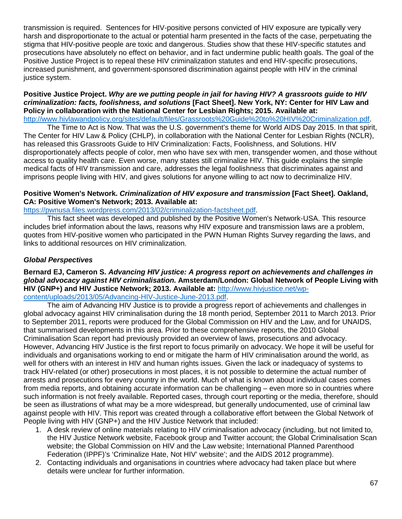transmission is required. Sentences for HIV-positive persons convicted of HIV exposure are typically very harsh and disproportionate to the actual or potential harm presented in the facts of the case, perpetuating the stigma that HIV-positive people are toxic and dangerous. Studies show that these HIV-specific statutes and prosecutions have absolutely no effect on behavior, and in fact undermine public health goals. The goal of the Positive Justice Project is to repeal these HIV criminalization statutes and end HIV-specific prosecutions, increased punishment, and government-sponsored discrimination against people with HIV in the criminal justice system.

# **Positive Justice Project.** *Why are we putting people in jail for having HIV? A grassroots guide to HIV criminalization: facts, foolishness, and solutions* **[Fact Sheet]. New York, NY: Center for HIV Law and Policy in collaboration with the National Center for Lesbian Rights; 2015. Available at:**

[http://www.hivlawandpolicy.org/sites/default/files/Grassroots%20Guide%20to%20HIV%20Criminalization.pdf.](http://www.hivlawandpolicy.org/sites/default/files/Grassroots%20Guide%20to%20HIV%20Criminalization.pdf)

The Time to Act is Now. That was the U.S. government's theme for World AIDS Day 2015. In that spirit, The Center for HIV Law & Policy (CHLP), in collaboration with the National Center for Lesbian Rights (NCLR), has released this Grassroots Guide to HIV Criminalization: Facts, Foolishness, and Solutions. HIV disproportionately affects people of color, men who have sex with men, transgender women, and those without access to quality health care. Even worse, many states still criminalize HIV. This guide explains the simple medical facts of HIV transmission and care, addresses the legal foolishness that discriminates against and imprisons people living with HIV, and gives solutions for anyone willing to act now to decriminalize HIV.

# **Positive Women's Network.** *Criminalization of HIV exposure and transmission* **[Fact Sheet]. Oakland, CA: Positive Women's Network; 2013. Available at:**

# [https://pwnusa.files.wordpress.com/2013/02/criminalization-factsheet.pdf.](https://pwnusa.files.wordpress.com/2013/02/criminalization-factsheet.pdf)

This fact sheet was developed and published by the Positive Women's Network-USA. This resource includes brief information about the laws, reasons why HIV exposure and transmission laws are a problem, quotes from HIV-positive women who participated in the PWN Human Rights Survey regarding the laws, and links to additional resources on HIV criminalization.

# *Global Perspectives*

**Bernard EJ, Cameron S.** *Advancing HIV justice: A progress report on achievements and challenges in global advocacy against HIV criminalisation.* **Amsterdam/London: Global Network of People Living with HIV (GNP+) and HIV Justice Network; 2013. Available at:** [http://www.hivjustice.net/wp](http://www.hivjustice.net/wp-content/uploads/2013/05/Advancing-HIV-Justice-June-2013.pdf)[content/uploads/2013/05/Advancing-HIV-Justice-June-2013.pdf.](http://www.hivjustice.net/wp-content/uploads/2013/05/Advancing-HIV-Justice-June-2013.pdf)

The aim of Advancing HIV Justice is to provide a progress report of achievements and challenges in global advocacy against HIV criminalisation during the 18 month period, September 2011 to March 2013. Prior to September 2011, reports were produced for the Global Commission on HIV and the Law, and for UNAIDS, that summarised developments in this area. Prior to these comprehensive reports, the 2010 Global Criminalisation Scan report had previously provided an overview of laws, prosecutions and advocacy. However, Advancing HIV Justice is the first report to focus primarily on advocacy. We hope it will be useful for individuals and organisations working to end or mitigate the harm of HIV criminalisation around the world, as well for others with an interest in HIV and human rights issues. Given the lack or inadequacy of systems to track HIV-related (or other) prosecutions in most places, it is not possible to determine the actual number of arrests and prosecutions for every country in the world. Much of what is known about individual cases comes from media reports, and obtaining accurate information can be challenging – even more so in countries where such information is not freely available. Reported cases, through court reporting or the media, therefore, should be seen as illustrations of what may be a more widespread, but generally undocumented, use of criminal law against people with HIV. This report was created through a collaborative effort between the Global Network of People living with HIV (GNP+) and the HIV Justice Network that included:

- 1. A desk review of online materials relating to HIV criminalisation advocacy (including, but not limited to, the HIV Justice Network website, Facebook group and Twitter account; the Global Criminalisation Scan website; the Global Commission on HIV and the Law website; International Planned Parenthood Federation (IPPF)'s 'Criminalize Hate, Not HIV' website'; and the AIDS 2012 programme).
- 2. Contacting individuals and organisations in countries where advocacy had taken place but where details were unclear for further information.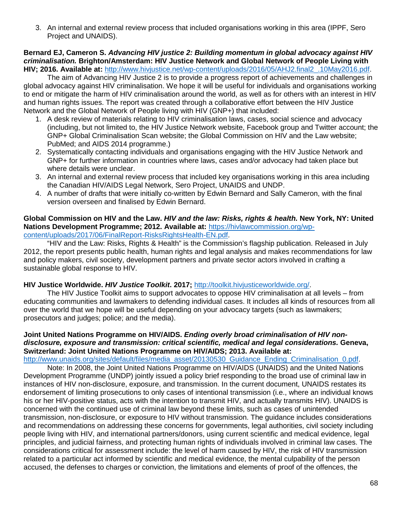3. An internal and external review process that included organisations working in this area (IPPF, Sero Project and UNAIDS).

#### **Bernard EJ, Cameron S.** *Advancing HIV justice 2: Building momentum in global advocacy against HIV criminalisation.* **Brighton/Amsterdam: HIV Justice Network and Global Network of People Living with HIV; 2016. Available at:** [http://www.hivjustice.net/wp-content/uploads/2016/05/AHJ2.final2\\_.10May2016.pdf.](http://www.hivjustice.net/wp-content/uploads/2016/05/AHJ2.final2_.10May2016.pdf)

The aim of Advancing HIV Justice 2 is to provide a progress report of achievements and challenges in

global advocacy against HIV criminalisation. We hope it will be useful for individuals and organisations working to end or mitigate the harm of HIV criminalisation around the world, as well as for others with an interest in HIV and human rights issues. The report was created through a collaborative effort between the HIV Justice Network and the Global Network of People living with HIV (GNP+) that included:

- 1. A desk review of materials relating to HIV criminalisation laws, cases, social science and advocacy (including, but not limited to, the HIV Justice Network website, Facebook group and Twitter account; the GNP+ Global Criminalisation Scan website; the Global Commission on HIV and the Law website; PubMed; and AIDS 2014 programme.)
- 2. Systematically contacting individuals and organisations engaging with the HIV Justice Network and GNP+ for further information in countries where laws, cases and/or advocacy had taken place but where details were unclear.
- 3. An internal and external review process that included key organisations working in this area including the Canadian HIV/AIDS Legal Network, Sero Project, UNAIDS and UNDP.
- 4. A number of drafts that were initially co-written by Edwin Bernard and Sally Cameron, with the final version overseen and finalised by Edwin Bernard.

### **Global Commission on HIV and the Law.** *HIV and the law: Risks, rights & health.* **New York, NY: United Nations Development Programme; 2012. Available at:** [https://hivlawcommission.org/wp](https://hivlawcommission.org/wp-content/uploads/2017/06/FinalReport-RisksRightsHealth-EN.pdf)[content/uploads/2017/06/FinalReport-RisksRightsHealth-EN.pdf.](https://hivlawcommission.org/wp-content/uploads/2017/06/FinalReport-RisksRightsHealth-EN.pdf)

"HIV and the Law: Risks, Rights & Health" is the Commission's flagship publication. Released in July 2012, the report presents public health, human rights and legal analysis and makes recommendations for law and policy makers, civil society, development partners and private sector actors involved in crafting a sustainable global response to HIV.

# **HIV Justice Worldwide.** *HIV Justice Toolkit***. 2017;** [http://toolkit.hivjusticeworldwide.org/.](http://toolkit.hivjusticeworldwide.org/)

The HIV Justice Toolkit aims to support advocates to oppose HIV criminalisation at all levels – from educating communities and lawmakers to defending individual cases. It includes all kinds of resources from all over the world that we hope will be useful depending on your advocacy targets (such as lawmakers; prosecutors and judges; police; and the media).

# **Joint United Nations Programme on HIV/AIDS.** *Ending overly broad criminalisation of HIV nondisclosure, exposure and transmission: critical scientific, medical and legal considerations.* **Geneva, Switzerland: Joint United Nations Programme on HIV/AIDS; 2013. Available at:**

[http://www.unaids.org/sites/default/files/media\\_asset/20130530\\_Guidance\\_Ending\\_Criminalisation\\_0.pdf.](http://www.unaids.org/sites/default/files/media_asset/20130530_Guidance_Ending_Criminalisation_0.pdf)

Note: In 2008, the Joint United Nations Programme on HIV/AIDS (UNAIDS) and the United Nations Development Programme (UNDP) jointly issued a policy brief responding to the broad use of criminal law in instances of HIV non-disclosure, exposure, and transmission. In the current document, UNAIDS restates its endorsement of limiting prosecutions to only cases of intentional transmission (i.e., where an individual knows his or her HIV-positive status, acts with the intention to transmit HIV, and actually transmits HIV). UNAIDS is concerned with the continued use of criminal law beyond these limits, such as cases of unintended transmission, non-disclosure, or exposure to HIV without transmission. The guidance includes considerations and recommendations on addressing these concerns for governments, legal authorities, civil society including people living with HIV, and international partners/donors, using current scientific and medical evidence, legal principles, and judicial fairness, and protecting human rights of individuals involved in criminal law cases. The considerations critical for assessment include: the level of harm caused by HIV, the risk of HIV transmission related to a particular act informed by scientific and medical evidence, the mental culpability of the person accused, the defenses to charges or conviction, the limitations and elements of proof of the offences, the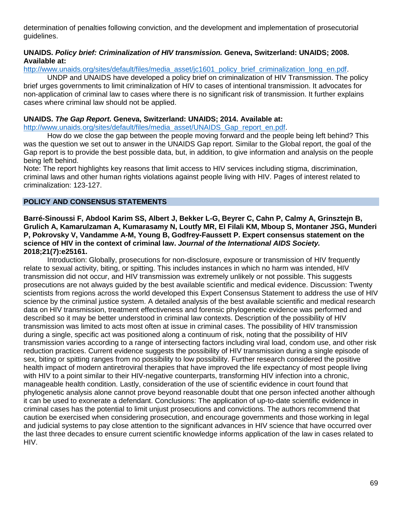determination of penalties following conviction, and the development and implementation of prosecutorial guidelines.

# **UNAIDS.** *Policy brief: Criminalization of HIV transmission.* **Geneva, Switzerland: UNAIDS; 2008. Available at:**

http://www.unaids.org/sites/default/files/media\_asset/ic1601\_policy\_brief\_criminalization\_long\_en.pdf.

UNDP and UNAIDS have developed a policy brief on criminalization of HIV Transmission. The policy brief urges governments to limit criminalization of HIV to cases of intentional transmission. It advocates for non-application of criminal law to cases where there is no significant risk of transmission. It further explains cases where criminal law should not be applied.

### **UNAIDS.** *The Gap Report.* **Geneva, Switzerland: UNAIDS; 2014. Available at:**

[http://www.unaids.org/sites/default/files/media\\_asset/UNAIDS\\_Gap\\_report\\_en.pdf.](http://www.unaids.org/sites/default/files/media_asset/UNAIDS_Gap_report_en.pdf)

How do we close the gap between the people moving forward and the people being left behind? This was the question we set out to answer in the UNAIDS Gap report. Similar to the Global report, the goal of the Gap report is to provide the best possible data, but, in addition, to give information and analysis on the people being left behind.

Note: The report highlights key reasons that limit access to HIV services including stigma, discrimination, criminal laws and other human rights violations against people living with HIV. Pages of interest related to criminalization: 123-127.

# **POLICY AND CONSENSUS STATEMENTS**

**Barré-Sinoussi F, Abdool Karim SS, Albert J, Bekker L-G, Beyrer C, Cahn P, Calmy A, Grinsztejn B, Grulich A, Kamarulzaman A, Kumarasamy N, Loutfy MR, El Filali KM, Mboup S, Montaner JSG, Munderi P, Pokrovsky V, Vandamme A-M, Young B, Godfrey-Faussett P. Expert consensus statement on the science of HIV in the context of criminal law.** *Journal of the International AIDS Society.*  **2018;21(7):e25161.** 

Introduction: Globally, prosecutions for non-disclosure, exposure or transmission of HIV frequently relate to sexual activity, biting, or spitting. This includes instances in which no harm was intended, HIV transmission did not occur, and HIV transmission was extremely unlikely or not possible. This suggests prosecutions are not always guided by the best available scientific and medical evidence. Discussion: Twenty scientists from regions across the world developed this Expert Consensus Statement to address the use of HIV science by the criminal justice system. A detailed analysis of the best available scientific and medical research data on HIV transmission, treatment effectiveness and forensic phylogenetic evidence was performed and described so it may be better understood in criminal law contexts. Description of the possibility of HIV transmission was limited to acts most often at issue in criminal cases. The possibility of HIV transmission during a single, specific act was positioned along a continuum of risk, noting that the possibility of HIV transmission varies according to a range of intersecting factors including viral load, condom use, and other risk reduction practices. Current evidence suggests the possibility of HIV transmission during a single episode of sex, biting or spitting ranges from no possibility to low possibility. Further research considered the positive health impact of modern antiretroviral therapies that have improved the life expectancy of most people living with HIV to a point similar to their HIV-negative counterparts, transforming HIV infection into a chronic, manageable health condition. Lastly, consideration of the use of scientific evidence in court found that phylogenetic analysis alone cannot prove beyond reasonable doubt that one person infected another although it can be used to exonerate a defendant. Conclusions: The application of up-to-date scientific evidence in criminal cases has the potential to limit unjust prosecutions and convictions. The authors recommend that caution be exercised when considering prosecution, and encourage governments and those working in legal and judicial systems to pay close attention to the significant advances in HIV science that have occurred over the last three decades to ensure current scientific knowledge informs application of the law in cases related to HIV.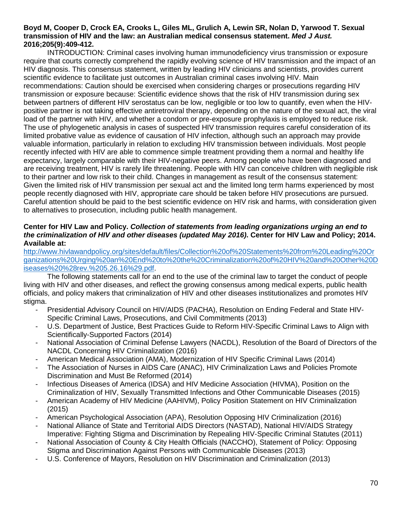# **Boyd M, Cooper D, Crock EA, Crooks L, Giles ML, Grulich A, Lewin SR, Nolan D, Yarwood T. Sexual transmission of HIV and the law: an Australian medical consensus statement.** *Med J Aust.*  **2016;205(9):409-412.**

INTRODUCTION: Criminal cases involving human immunodeficiency virus transmission or exposure require that courts correctly comprehend the rapidly evolving science of HIV transmission and the impact of an HIV diagnosis. This consensus statement, written by leading HIV clinicians and scientists, provides current scientific evidence to facilitate just outcomes in Australian criminal cases involving HIV. Main recommendations: Caution should be exercised when considering charges or prosecutions regarding HIV transmission or exposure because: Scientific evidence shows that the risk of HIV transmission during sex between partners of different HIV serostatus can be low, negligible or too low to quantify, even when the HIVpositive partner is not taking effective antiretroviral therapy, depending on the nature of the sexual act, the viral load of the partner with HIV, and whether a condom or pre-exposure prophylaxis is employed to reduce risk. The use of phylogenetic analysis in cases of suspected HIV transmission requires careful consideration of its limited probative value as evidence of causation of HIV infection, although such an approach may provide valuable information, particularly in relation to excluding HIV transmission between individuals. Most people recently infected with HIV are able to commence simple treatment providing them a normal and healthy life expectancy, largely comparable with their HIV-negative peers. Among people who have been diagnosed and are receiving treatment, HIV is rarely life threatening. People with HIV can conceive children with negligible risk to their partner and low risk to their child. Changes in management as result of the consensus statement: Given the limited risk of HIV transmission per sexual act and the limited long term harms experienced by most people recently diagnosed with HIV, appropriate care should be taken before HIV prosecutions are pursued. Careful attention should be paid to the best scientific evidence on HIV risk and harms, with consideration given to alternatives to prosecution, including public health management.

# **Center for HIV Law and Policy.** *Collection of statements from leading organizations urging an end to the criminalization of HIV and other diseases (updated May 2016)***. Center for HIV Law and Policy; 2014. Available at:**

[http://www.hivlawandpolicy.org/sites/default/files/Collection%20of%20Statements%20from%20Leading%20Or](http://www.hivlawandpolicy.org/sites/default/files/Collection%20of%20Statements%20from%20Leading%20Organizations%20Urging%20an%20End%20to%20the%20Criminalization%20of%20HIV%20and%20Other%20Diseases%20%28rev.%205.26.16%29.pdf) [ganizations%20Urging%20an%20End%20to%20the%20Criminalization%20of%20HIV%20and%20Other%20D](http://www.hivlawandpolicy.org/sites/default/files/Collection%20of%20Statements%20from%20Leading%20Organizations%20Urging%20an%20End%20to%20the%20Criminalization%20of%20HIV%20and%20Other%20Diseases%20%28rev.%205.26.16%29.pdf) [iseases%20%28rev.%205.26.16%29.pdf.](http://www.hivlawandpolicy.org/sites/default/files/Collection%20of%20Statements%20from%20Leading%20Organizations%20Urging%20an%20End%20to%20the%20Criminalization%20of%20HIV%20and%20Other%20Diseases%20%28rev.%205.26.16%29.pdf)

The following statements call for an end to the use of the criminal law to target the conduct of people living with HIV and other diseases, and reflect the growing consensus among medical experts, public health officials, and policy makers that criminalization of HIV and other diseases institutionalizes and promotes HIV stigma.

- Presidential Advisory Council on HIV/AIDS (PACHA), Resolution on Ending Federal and State HIV-Specific Criminal Laws, Prosecutions, and Civil Commitments (2013)
- U.S. Department of Justice, Best Practices Guide to Reform HIV-Specific Criminal Laws to Align with Scientifically-Supported Factors (2014)
- National Association of Criminal Defense Lawyers (NACDL), Resolution of the Board of Directors of the NACDL Concerning HIV Criminalization (2016)
- American Medical Association (AMA), Modernization of HIV Specific Criminal Laws (2014)
- The Association of Nurses in AIDS Care (ANAC), HIV Criminalization Laws and Policies Promote Discrimination and Must Be Reformed (2014)
- Infectious Diseases of America (IDSA) and HIV Medicine Association (HIVMA), Position on the Criminalization of HIV, Sexually Transmitted Infections and Other Communicable Diseases (2015)
- American Academy of HIV Medicine (AAHIVM), Policy Position Statement on HIV Criminalization (2015)
- American Psychological Association (APA), Resolution Opposing HIV Criminalization (2016)
- National Alliance of State and Territorial AIDS Directors (NASTAD), National HIV/AIDS Strategy Imperative: Fighting Stigma and Discrimination by Repealing HIV-Specific Criminal Statutes (2011)
- National Association of County & City Health Officials (NACCHO), Statement of Policy: Opposing Stigma and Discrimination Against Persons with Communicable Diseases (2013)
- U.S. Conference of Mayors, Resolution on HIV Discrimination and Criminalization (2013)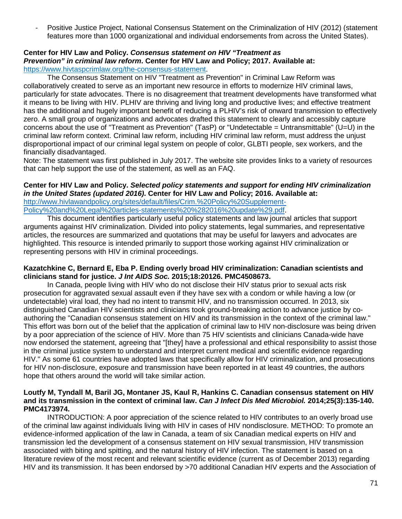- Positive Justice Project, National Consensus Statement on the Criminalization of HIV (2012) (statement features more than 1000 organizational and individual endorsements from across the United States).

# **Center for HIV Law and Policy.** *Consensus statement on HIV "Treatment as Prevention" in criminal law reform***. Center for HIV Law and Policy; 2017. Available at:**

[https://www.hivtaspcrimlaw.org/the-consensus-statement.](https://www.hivtaspcrimlaw.org/the-consensus-statement)

The Consensus Statement on HIV "Treatment as Prevention" in Criminal Law Reform was collaboratively created to serve as an important new resource in efforts to modernize HIV criminal laws, particularly for state advocates. There is no disagreement that treatment developments have transformed what it means to be living with HIV. PLHIV are thriving and living long and productive lives; and effective treatment has the additional and hugely important benefit of reducing a PLHIV's risk of onward transmission to effectively zero. A small group of organizations and advocates drafted this statement to clearly and accessibly capture concerns about the use of "Treatment as Prevention" (TasP) or "Undetectable = Untransmittable" (U=U) in the criminal law reform context. Criminal law reform, including HIV criminal law reform, must address the unjust disproportional impact of our criminal legal system on people of color, GLBTI people, sex workers, and the financially disadvantaged.

Note: The statement was first published in July 2017. The website site provides links to a variety of resources that can help support the use of the statement, as well as an FAQ.

# **Center for HIV Law and Policy.** *Selected policy statements and support for ending HIV criminalization in the United States (updated 2016)***. Center for HIV Law and Policy; 2016. Available at:**

[http://www.hivlawandpolicy.org/sites/default/files/Crim.%20Policy%20Supplement-](http://www.hivlawandpolicy.org/sites/default/files/Crim.%20Policy%20Supplement-Policy%20and%20Legal%20articles-statements%20%282016%20update%29.pdf)[Policy%20and%20Legal%20articles-statements%20%282016%20update%29.pdf.](http://www.hivlawandpolicy.org/sites/default/files/Crim.%20Policy%20Supplement-Policy%20and%20Legal%20articles-statements%20%282016%20update%29.pdf)

This document identifies particularly useful policy statements and law journal articles that support arguments against HIV criminalization. Divided into policy statements, legal summaries, and representative articles, the resources are summarized and quotations that may be useful for lawyers and advocates are highlighted. This resource is intended primarily to support those working against HIV criminalization or representing persons with HIV in criminal proceedings.

# **Kazatchkine C, Bernard E, Eba P. Ending overly broad HIV criminalization: Canadian scientists and clinicians stand for justice.** *J Int AIDS Soc.* **2015;18:20126. PMC4508673.**

In Canada, people living with HIV who do not disclose their HIV status prior to sexual acts risk prosecution for aggravated sexual assault even if they have sex with a condom or while having a low (or undetectable) viral load, they had no intent to transmit HIV, and no transmission occurred. In 2013, six distinguished Canadian HIV scientists and clinicians took ground-breaking action to advance justice by coauthoring the "Canadian consensus statement on HIV and its transmission in the context of the criminal law." This effort was born out of the belief that the application of criminal law to HIV non-disclosure was being driven by a poor appreciation of the science of HIV. More than 75 HIV scientists and clinicians Canada-wide have now endorsed the statement, agreeing that "[they] have a professional and ethical responsibility to assist those in the criminal justice system to understand and interpret current medical and scientific evidence regarding HIV." As some 61 countries have adopted laws that specifically allow for HIV criminalization, and prosecutions for HIV non-disclosure, exposure and transmission have been reported in at least 49 countries, the authors hope that others around the world will take similar action.

# **Loutfy M, Tyndall M, Baril JG, Montaner JS, Kaul R, Hankins C. Canadian consensus statement on HIV and its transmission in the context of criminal law.** *Can J Infect Dis Med Microbiol.* **2014;25(3):135-140. PMC4173974.**

INTRODUCTION: A poor appreciation of the science related to HIV contributes to an overly broad use of the criminal law against individuals living with HIV in cases of HIV nondisclosure. METHOD: To promote an evidence-informed application of the law in Canada, a team of six Canadian medical experts on HIV and transmission led the development of a consensus statement on HIV sexual transmission, HIV transmission associated with biting and spitting, and the natural history of HIV infection. The statement is based on a literature review of the most recent and relevant scientific evidence (current as of December 2013) regarding HIV and its transmission. It has been endorsed by >70 additional Canadian HIV experts and the Association of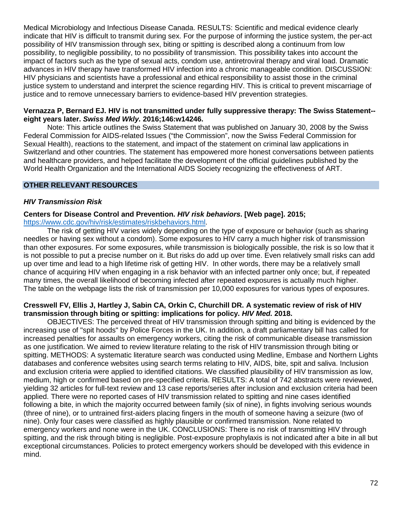Medical Microbiology and Infectious Disease Canada. RESULTS: Scientific and medical evidence clearly indicate that HIV is difficult to transmit during sex. For the purpose of informing the justice system, the per-act possibility of HIV transmission through sex, biting or spitting is described along a continuum from low possibility, to negligible possibility, to no possibility of transmission. This possibility takes into account the impact of factors such as the type of sexual acts, condom use, antiretroviral therapy and viral load. Dramatic advances in HIV therapy have transformed HIV infection into a chronic manageable condition. DISCUSSION: HIV physicians and scientists have a professional and ethical responsibility to assist those in the criminal justice system to understand and interpret the science regarding HIV. This is critical to prevent miscarriage of justice and to remove unnecessary barriers to evidence-based HIV prevention strategies.

#### **Vernazza P, Bernard EJ. HIV is not transmitted under fully suppressive therapy: The Swiss Statement- eight years later.** *Swiss Med Wkly.* **2016;146:w14246.**

Note: This article outlines the Swiss Statement that was published on January 30, 2008 by the Swiss Federal Commission for AIDS-related Issues ("the Commission", now the Swiss Federal Commission for Sexual Health), reactions to the statement, and impact of the statement on criminal law applications in Switzerland and other countries. The statement has empowered more honest conversations between patients and healthcare providers, and helped facilitate the development of the official guidelines published by the World Health Organization and the International AIDS Society recognizing the effectiveness of ART.

# **OTHER RELEVANT RESOURCES**

# *HIV Transmission Risk*

## **Centers for Disease Control and Prevention.** *HIV risk behaviors***. [Web page]. 2015;** [https://www.cdc.gov/hiv/risk/estimates/riskbehaviors.html.](https://www.cdc.gov/hiv/risk/estimates/riskbehaviors.html)

The risk of getting HIV varies widely depending on the type of exposure or behavior (such as sharing needles or having sex without a condom). Some exposures to HIV carry a much higher risk of transmission than other exposures. For some exposures, while transmission is biologically possible, the risk is so low that it is not possible to put a precise number on it. But risks do add up over time. Even relatively small risks can add up over time and lead to a high lifetime risk of getting HIV. In other words, there may be a relatively small chance of acquiring HIV when engaging in a risk behavior with an infected partner only once; but, if repeated many times, the overall likelihood of becoming infected after repeated exposures is actually much higher. The table on the webpage lists the risk of transmission per 10,000 exposures for various types of exposures.

### **Cresswell FV, Ellis J, Hartley J, Sabin CA, Orkin C, Churchill DR. A systematic review of risk of HIV transmission through biting or spitting: implications for policy.** *HIV Med.* **2018.**

OBJECTIVES: The perceived threat of HIV transmission through spitting and biting is evidenced by the increasing use of "spit hoods" by Police Forces in the UK. In addition, a draft parliamentary bill has called for increased penalties for assaults on emergency workers, citing the risk of communicable disease transmission as one justification. We aimed to review literature relating to the risk of HIV transmission through biting or spitting. METHODS: A systematic literature search was conducted using Medline, Embase and Northern Lights databases and conference websites using search terms relating to HIV, AIDS, bite, spit and saliva. Inclusion and exclusion criteria were applied to identified citations. We classified plausibility of HIV transmission as low, medium, high or confirmed based on pre-specified criteria. RESULTS: A total of 742 abstracts were reviewed, yielding 32 articles for full-text review and 13 case reports/series after inclusion and exclusion criteria had been applied. There were no reported cases of HIV transmission related to spitting and nine cases identified following a bite, in which the majority occurred between family (six of nine), in fights involving serious wounds (three of nine), or to untrained first-aiders placing fingers in the mouth of someone having a seizure (two of nine). Only four cases were classified as highly plausible or confirmed transmission. None related to emergency workers and none were in the UK. CONCLUSIONS: There is no risk of transmitting HIV through spitting, and the risk through biting is negligible. Post-exposure prophylaxis is not indicated after a bite in all but exceptional circumstances. Policies to protect emergency workers should be developed with this evidence in mind.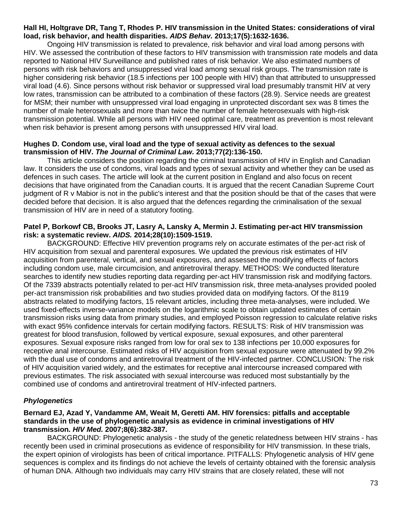# **Hall HI, Holtgrave DR, Tang T, Rhodes P. HIV transmission in the United States: considerations of viral load, risk behavior, and health disparities.** *AIDS Behav.* **2013;17(5):1632-1636.**

Ongoing HIV transmission is related to prevalence, risk behavior and viral load among persons with HIV. We assessed the contribution of these factors to HIV transmission with transmission rate models and data reported to National HIV Surveillance and published rates of risk behavior. We also estimated numbers of persons with risk behaviors and unsuppressed viral load among sexual risk groups. The transmission rate is higher considering risk behavior (18.5 infections per 100 people with HIV) than that attributed to unsuppressed viral load (4.6). Since persons without risk behavior or suppressed viral load presumably transmit HIV at very low rates, transmission can be attributed to a combination of these factors (28.9). Service needs are greatest for MSM; their number with unsuppressed viral load engaging in unprotected discordant sex was 8 times the number of male heterosexuals and more than twice the number of female heterosexuals with high-risk transmission potential. While all persons with HIV need optimal care, treatment as prevention is most relevant when risk behavior is present among persons with unsuppressed HIV viral load.

### **Hughes D. Condom use, viral load and the type of sexual activity as defences to the sexual transmission of HIV.** *The Journal of Criminal Law.* **2013;77(2):136-150.**

This article considers the position regarding the criminal transmission of HIV in English and Canadian law. It considers the use of condoms, viral loads and types of sexual activity and whether they can be used as defences in such cases. The article will look at the current position in England and also focus on recent decisions that have originated from the Canadian courts. It is argued that the recent Canadian Supreme Court judgment of R v Mabior is not in the public's interest and that the position should be that of the cases that were decided before that decision. It is also argued that the defences regarding the criminalisation of the sexual transmission of HIV are in need of a statutory footing.

### **Patel P, Borkowf CB, Brooks JT, Lasry A, Lansky A, Mermin J. Estimating per-act HIV transmission risk: a systematic review.** *AIDS.* **2014;28(10):1509-1519.**

BACKGROUND: Effective HIV prevention programs rely on accurate estimates of the per-act risk of HIV acquisition from sexual and parenteral exposures. We updated the previous risk estimates of HIV acquisition from parenteral, vertical, and sexual exposures, and assessed the modifying effects of factors including condom use, male circumcision, and antiretroviral therapy. METHODS: We conducted literature searches to identify new studies reporting data regarding per-act HIV transmission risk and modifying factors. Of the 7339 abstracts potentially related to per-act HIV transmission risk, three meta-analyses provided pooled per-act transmission risk probabilities and two studies provided data on modifying factors. Of the 8119 abstracts related to modifying factors, 15 relevant articles, including three meta-analyses, were included. We used fixed-effects inverse-variance models on the logarithmic scale to obtain updated estimates of certain transmission risks using data from primary studies, and employed Poisson regression to calculate relative risks with exact 95% confidence intervals for certain modifying factors. RESULTS: Risk of HIV transmission was greatest for blood transfusion, followed by vertical exposure, sexual exposures, and other parenteral exposures. Sexual exposure risks ranged from low for oral sex to 138 infections per 10,000 exposures for receptive anal intercourse. Estimated risks of HIV acquisition from sexual exposure were attenuated by 99.2% with the dual use of condoms and antiretroviral treatment of the HIV-infected partner. CONCLUSION: The risk of HIV acquisition varied widely, and the estimates for receptive anal intercourse increased compared with previous estimates. The risk associated with sexual intercourse was reduced most substantially by the combined use of condoms and antiretroviral treatment of HIV-infected partners.

# *Phylogenetics*

## **Bernard EJ, Azad Y, Vandamme AM, Weait M, Geretti AM. HIV forensics: pitfalls and acceptable standards in the use of phylogenetic analysis as evidence in criminal investigations of HIV transmission.** *HIV Med.* **2007;8(6):382-387.**

BACKGROUND: Phylogenetic analysis - the study of the genetic relatedness between HIV strains - has recently been used in criminal prosecutions as evidence of responsibility for HIV transmission. In these trials, the expert opinion of virologists has been of critical importance. PITFALLS: Phylogenetic analysis of HIV gene sequences is complex and its findings do not achieve the levels of certainty obtained with the forensic analysis of human DNA. Although two individuals may carry HIV strains that are closely related, these will not